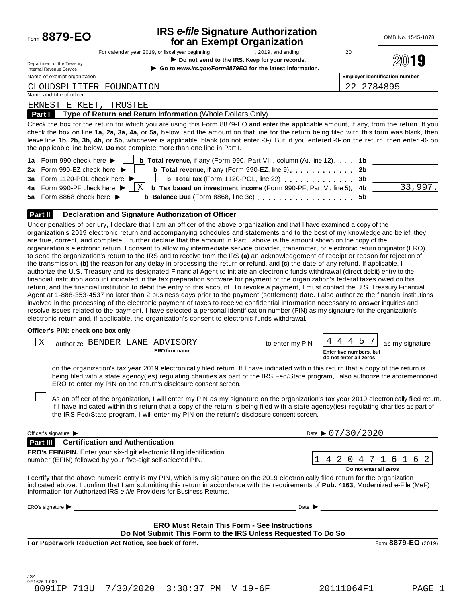| For calendar year 2019, or fiscal year beginning ________________, 2019, and ending<br>Do not send to the IRS. Keep for your records.<br>Department of the Treasury<br>Go to www.irs.gov/Form8879EO for the latest information.<br><b>Internal Revenue Service</b><br>Name of exempt organization<br>CLOUDSPLITTER FOUNDATION<br>Name and title of officer<br>ERNEST E KEET,<br>TRUSTEE<br>Type of Return and Return Information (Whole Dollars Only)<br>Part I<br>Check the box for the return for which you are using this Form 8879-EO and enter the applicable amount, if any, from the return. If you<br>check the box on line 1a, 2a, 3a, 4a, or 5a, below, and the amount on that line for the return being filed with this form was blank, then<br>leave line 1b, 2b, 3b, 4b, or 5b, whichever is applicable, blank (do not enter -0-). But, if you entered -0- on the return, then enter -0- on<br>the applicable line below. Do not complete more than one line in Part I.<br>1a Form 990 check here ▶<br><b>b</b> Total revenue, if any (Form 990, Part VIII, column $(A)$ , line 12) $\ldots$ 1b<br><b>b</b> Total revenue, if any (Form 990-EZ, line 9) contains the contact of the Total and Total and Total and Total A<br>2a Form 990-EZ check here ▶<br>3a Form 1120-POL check here ▶<br>b Total tax (Form 1120-POL, line 22)<br>Χ<br>4a Form 990-PF check here ><br>Balance Due (Form 8868, line 3c) 5b _________<br>5a Form 8868 check here $\blacktriangleright$<br>b<br>Declaration and Signature Authorization of Officer<br>Part II<br>Under penalties of perjury, I declare that I am an officer of the above organization and that I have examined a copy of the<br>organization's 2019 electronic return and accompanying schedules and statements and to the best of my knowledge and belief, they<br>are true, correct, and complete. I further declare that the amount in Part I above is the amount shown on the copy of the<br>organization's electronic return. I consent to allow my intermediate service provider, transmitter, or electronic return originator (ERO)<br>to send the organization's return to the IRS and to receive from the IRS (a) an acknowledgement of receipt or reason for rejection of<br>the transmission, (b) the reason for any delay in processing the return or refund, and (c) the date of any refund. If applicable, I<br>authorize the U.S. Treasury and its designated Financial Agent to initiate an electronic funds withdrawal (direct debit) entry to the<br>financial institution account indicated in the tax preparation software for payment of the organization's federal taxes owed on this<br>return, and the financial institution to debit the entry to this account. To revoke a payment, I must contact the U.S. Treasury Financial<br>Agent at 1-888-353-4537 no later than 2 business days prior to the payment (settlement) date. I also authorize the financial institutions<br>involved in the processing of the electronic payment of taxes to receive confidential information necessary to answer inquiries and<br>resolve issues related to the payment. I have selected a personal identification number (PIN) as my signature for the organization's<br>electronic return and, if applicable, the organization's consent to electronic funds withdrawal.<br>Officer's PIN: check one box only<br>  X<br>I authorize BENDER LANE<br>ADVISORY<br>to enter my PIN<br><b>ERO firm name</b><br>on the organization's tax year 2019 electronically filed return. If I have indicated within this return that a copy of the return is<br>being filed with a state agency(ies) regulating charities as part of the IRS Fed/State program, I also authorize the aforementioned<br>ERO to enter my PIN on the return's disclosure consent screen.<br>As an officer of the organization, I will enter my PIN as my signature on the organization's tax year 2019 electronically filed return.<br>If I have indicated within this return that a copy of the return is being filed with a state agency(ies) regulating charities as part of<br>the IRS Fed/State program, I will enter my PIN on the return's disclosure consent screen.<br>Date $\triangleright$ 07/30/2020<br>Officer's signature<br><b>Part III</b> Certification and Authentication | OMB No. 1545-1878                                                             |
|-----------------------------------------------------------------------------------------------------------------------------------------------------------------------------------------------------------------------------------------------------------------------------------------------------------------------------------------------------------------------------------------------------------------------------------------------------------------------------------------------------------------------------------------------------------------------------------------------------------------------------------------------------------------------------------------------------------------------------------------------------------------------------------------------------------------------------------------------------------------------------------------------------------------------------------------------------------------------------------------------------------------------------------------------------------------------------------------------------------------------------------------------------------------------------------------------------------------------------------------------------------------------------------------------------------------------------------------------------------------------------------------------------------------------------------------------------------------------------------------------------------------------------------------------------------------------------------------------------------------------------------------------------------------------------------------------------------------------------------------------------------------------------------------------------------------------------------------------------------------------------------------------------------------------------------------------------------------------------------------------------------------------------------------------------------------------------------------------------------------------------------------------------------------------------------------------------------------------------------------------------------------------------------------------------------------------------------------------------------------------------------------------------------------------------------------------------------------------------------------------------------------------------------------------------------------------------------------------------------------------------------------------------------------------------------------------------------------------------------------------------------------------------------------------------------------------------------------------------------------------------------------------------------------------------------------------------------------------------------------------------------------------------------------------------------------------------------------------------------------------------------------------------------------------------------------------------------------------------------------------------------------------------------------------------------------------------------------------------------------------------------------------------------------------------------------------------------------------------------------------------------------------------------------------------------------------------------------------------------------------------------------------------------------------------------------------------------------------------------------------------------------------------------------------------------------------------------------------------------------------------------------------------------------------------------------------------------------------------------------------------------------------------------------------------------------------------------------------------------------------------------------------------------------------------------------------------------------------------------------------------------------------------------------------------------------------------------------|-------------------------------------------------------------------------------|
|                                                                                                                                                                                                                                                                                                                                                                                                                                                                                                                                                                                                                                                                                                                                                                                                                                                                                                                                                                                                                                                                                                                                                                                                                                                                                                                                                                                                                                                                                                                                                                                                                                                                                                                                                                                                                                                                                                                                                                                                                                                                                                                                                                                                                                                                                                                                                                                                                                                                                                                                                                                                                                                                                                                                                                                                                                                                                                                                                                                                                                                                                                                                                                                                                                                                                                                                                                                                                                                                                                                                                                                                                                                                                                                                                                                                                                                                                                                                                                                                                                                                                                                                                                                                                                                                                                                                         | 20                                                                            |
|                                                                                                                                                                                                                                                                                                                                                                                                                                                                                                                                                                                                                                                                                                                                                                                                                                                                                                                                                                                                                                                                                                                                                                                                                                                                                                                                                                                                                                                                                                                                                                                                                                                                                                                                                                                                                                                                                                                                                                                                                                                                                                                                                                                                                                                                                                                                                                                                                                                                                                                                                                                                                                                                                                                                                                                                                                                                                                                                                                                                                                                                                                                                                                                                                                                                                                                                                                                                                                                                                                                                                                                                                                                                                                                                                                                                                                                                                                                                                                                                                                                                                                                                                                                                                                                                                                                                         | Ľ.                                                                            |
|                                                                                                                                                                                                                                                                                                                                                                                                                                                                                                                                                                                                                                                                                                                                                                                                                                                                                                                                                                                                                                                                                                                                                                                                                                                                                                                                                                                                                                                                                                                                                                                                                                                                                                                                                                                                                                                                                                                                                                                                                                                                                                                                                                                                                                                                                                                                                                                                                                                                                                                                                                                                                                                                                                                                                                                                                                                                                                                                                                                                                                                                                                                                                                                                                                                                                                                                                                                                                                                                                                                                                                                                                                                                                                                                                                                                                                                                                                                                                                                                                                                                                                                                                                                                                                                                                                                                         | <b>Employer identification number</b>                                         |
|                                                                                                                                                                                                                                                                                                                                                                                                                                                                                                                                                                                                                                                                                                                                                                                                                                                                                                                                                                                                                                                                                                                                                                                                                                                                                                                                                                                                                                                                                                                                                                                                                                                                                                                                                                                                                                                                                                                                                                                                                                                                                                                                                                                                                                                                                                                                                                                                                                                                                                                                                                                                                                                                                                                                                                                                                                                                                                                                                                                                                                                                                                                                                                                                                                                                                                                                                                                                                                                                                                                                                                                                                                                                                                                                                                                                                                                                                                                                                                                                                                                                                                                                                                                                                                                                                                                                         | 22-2784895                                                                    |
|                                                                                                                                                                                                                                                                                                                                                                                                                                                                                                                                                                                                                                                                                                                                                                                                                                                                                                                                                                                                                                                                                                                                                                                                                                                                                                                                                                                                                                                                                                                                                                                                                                                                                                                                                                                                                                                                                                                                                                                                                                                                                                                                                                                                                                                                                                                                                                                                                                                                                                                                                                                                                                                                                                                                                                                                                                                                                                                                                                                                                                                                                                                                                                                                                                                                                                                                                                                                                                                                                                                                                                                                                                                                                                                                                                                                                                                                                                                                                                                                                                                                                                                                                                                                                                                                                                                                         |                                                                               |
|                                                                                                                                                                                                                                                                                                                                                                                                                                                                                                                                                                                                                                                                                                                                                                                                                                                                                                                                                                                                                                                                                                                                                                                                                                                                                                                                                                                                                                                                                                                                                                                                                                                                                                                                                                                                                                                                                                                                                                                                                                                                                                                                                                                                                                                                                                                                                                                                                                                                                                                                                                                                                                                                                                                                                                                                                                                                                                                                                                                                                                                                                                                                                                                                                                                                                                                                                                                                                                                                                                                                                                                                                                                                                                                                                                                                                                                                                                                                                                                                                                                                                                                                                                                                                                                                                                                                         |                                                                               |
|                                                                                                                                                                                                                                                                                                                                                                                                                                                                                                                                                                                                                                                                                                                                                                                                                                                                                                                                                                                                                                                                                                                                                                                                                                                                                                                                                                                                                                                                                                                                                                                                                                                                                                                                                                                                                                                                                                                                                                                                                                                                                                                                                                                                                                                                                                                                                                                                                                                                                                                                                                                                                                                                                                                                                                                                                                                                                                                                                                                                                                                                                                                                                                                                                                                                                                                                                                                                                                                                                                                                                                                                                                                                                                                                                                                                                                                                                                                                                                                                                                                                                                                                                                                                                                                                                                                                         |                                                                               |
|                                                                                                                                                                                                                                                                                                                                                                                                                                                                                                                                                                                                                                                                                                                                                                                                                                                                                                                                                                                                                                                                                                                                                                                                                                                                                                                                                                                                                                                                                                                                                                                                                                                                                                                                                                                                                                                                                                                                                                                                                                                                                                                                                                                                                                                                                                                                                                                                                                                                                                                                                                                                                                                                                                                                                                                                                                                                                                                                                                                                                                                                                                                                                                                                                                                                                                                                                                                                                                                                                                                                                                                                                                                                                                                                                                                                                                                                                                                                                                                                                                                                                                                                                                                                                                                                                                                                         | 2b                                                                            |
|                                                                                                                                                                                                                                                                                                                                                                                                                                                                                                                                                                                                                                                                                                                                                                                                                                                                                                                                                                                                                                                                                                                                                                                                                                                                                                                                                                                                                                                                                                                                                                                                                                                                                                                                                                                                                                                                                                                                                                                                                                                                                                                                                                                                                                                                                                                                                                                                                                                                                                                                                                                                                                                                                                                                                                                                                                                                                                                                                                                                                                                                                                                                                                                                                                                                                                                                                                                                                                                                                                                                                                                                                                                                                                                                                                                                                                                                                                                                                                                                                                                                                                                                                                                                                                                                                                                                         | 3b                                                                            |
|                                                                                                                                                                                                                                                                                                                                                                                                                                                                                                                                                                                                                                                                                                                                                                                                                                                                                                                                                                                                                                                                                                                                                                                                                                                                                                                                                                                                                                                                                                                                                                                                                                                                                                                                                                                                                                                                                                                                                                                                                                                                                                                                                                                                                                                                                                                                                                                                                                                                                                                                                                                                                                                                                                                                                                                                                                                                                                                                                                                                                                                                                                                                                                                                                                                                                                                                                                                                                                                                                                                                                                                                                                                                                                                                                                                                                                                                                                                                                                                                                                                                                                                                                                                                                                                                                                                                         |                                                                               |
|                                                                                                                                                                                                                                                                                                                                                                                                                                                                                                                                                                                                                                                                                                                                                                                                                                                                                                                                                                                                                                                                                                                                                                                                                                                                                                                                                                                                                                                                                                                                                                                                                                                                                                                                                                                                                                                                                                                                                                                                                                                                                                                                                                                                                                                                                                                                                                                                                                                                                                                                                                                                                                                                                                                                                                                                                                                                                                                                                                                                                                                                                                                                                                                                                                                                                                                                                                                                                                                                                                                                                                                                                                                                                                                                                                                                                                                                                                                                                                                                                                                                                                                                                                                                                                                                                                                                         |                                                                               |
|                                                                                                                                                                                                                                                                                                                                                                                                                                                                                                                                                                                                                                                                                                                                                                                                                                                                                                                                                                                                                                                                                                                                                                                                                                                                                                                                                                                                                                                                                                                                                                                                                                                                                                                                                                                                                                                                                                                                                                                                                                                                                                                                                                                                                                                                                                                                                                                                                                                                                                                                                                                                                                                                                                                                                                                                                                                                                                                                                                                                                                                                                                                                                                                                                                                                                                                                                                                                                                                                                                                                                                                                                                                                                                                                                                                                                                                                                                                                                                                                                                                                                                                                                                                                                                                                                                                                         |                                                                               |
|                                                                                                                                                                                                                                                                                                                                                                                                                                                                                                                                                                                                                                                                                                                                                                                                                                                                                                                                                                                                                                                                                                                                                                                                                                                                                                                                                                                                                                                                                                                                                                                                                                                                                                                                                                                                                                                                                                                                                                                                                                                                                                                                                                                                                                                                                                                                                                                                                                                                                                                                                                                                                                                                                                                                                                                                                                                                                                                                                                                                                                                                                                                                                                                                                                                                                                                                                                                                                                                                                                                                                                                                                                                                                                                                                                                                                                                                                                                                                                                                                                                                                                                                                                                                                                                                                                                                         |                                                                               |
|                                                                                                                                                                                                                                                                                                                                                                                                                                                                                                                                                                                                                                                                                                                                                                                                                                                                                                                                                                                                                                                                                                                                                                                                                                                                                                                                                                                                                                                                                                                                                                                                                                                                                                                                                                                                                                                                                                                                                                                                                                                                                                                                                                                                                                                                                                                                                                                                                                                                                                                                                                                                                                                                                                                                                                                                                                                                                                                                                                                                                                                                                                                                                                                                                                                                                                                                                                                                                                                                                                                                                                                                                                                                                                                                                                                                                                                                                                                                                                                                                                                                                                                                                                                                                                                                                                                                         |                                                                               |
|                                                                                                                                                                                                                                                                                                                                                                                                                                                                                                                                                                                                                                                                                                                                                                                                                                                                                                                                                                                                                                                                                                                                                                                                                                                                                                                                                                                                                                                                                                                                                                                                                                                                                                                                                                                                                                                                                                                                                                                                                                                                                                                                                                                                                                                                                                                                                                                                                                                                                                                                                                                                                                                                                                                                                                                                                                                                                                                                                                                                                                                                                                                                                                                                                                                                                                                                                                                                                                                                                                                                                                                                                                                                                                                                                                                                                                                                                                                                                                                                                                                                                                                                                                                                                                                                                                                                         |                                                                               |
|                                                                                                                                                                                                                                                                                                                                                                                                                                                                                                                                                                                                                                                                                                                                                                                                                                                                                                                                                                                                                                                                                                                                                                                                                                                                                                                                                                                                                                                                                                                                                                                                                                                                                                                                                                                                                                                                                                                                                                                                                                                                                                                                                                                                                                                                                                                                                                                                                                                                                                                                                                                                                                                                                                                                                                                                                                                                                                                                                                                                                                                                                                                                                                                                                                                                                                                                                                                                                                                                                                                                                                                                                                                                                                                                                                                                                                                                                                                                                                                                                                                                                                                                                                                                                                                                                                                                         |                                                                               |
|                                                                                                                                                                                                                                                                                                                                                                                                                                                                                                                                                                                                                                                                                                                                                                                                                                                                                                                                                                                                                                                                                                                                                                                                                                                                                                                                                                                                                                                                                                                                                                                                                                                                                                                                                                                                                                                                                                                                                                                                                                                                                                                                                                                                                                                                                                                                                                                                                                                                                                                                                                                                                                                                                                                                                                                                                                                                                                                                                                                                                                                                                                                                                                                                                                                                                                                                                                                                                                                                                                                                                                                                                                                                                                                                                                                                                                                                                                                                                                                                                                                                                                                                                                                                                                                                                                                                         | 4 4 5<br>as my signature<br>Enter five numbers, but<br>do not enter all zeros |
|                                                                                                                                                                                                                                                                                                                                                                                                                                                                                                                                                                                                                                                                                                                                                                                                                                                                                                                                                                                                                                                                                                                                                                                                                                                                                                                                                                                                                                                                                                                                                                                                                                                                                                                                                                                                                                                                                                                                                                                                                                                                                                                                                                                                                                                                                                                                                                                                                                                                                                                                                                                                                                                                                                                                                                                                                                                                                                                                                                                                                                                                                                                                                                                                                                                                                                                                                                                                                                                                                                                                                                                                                                                                                                                                                                                                                                                                                                                                                                                                                                                                                                                                                                                                                                                                                                                                         |                                                                               |
|                                                                                                                                                                                                                                                                                                                                                                                                                                                                                                                                                                                                                                                                                                                                                                                                                                                                                                                                                                                                                                                                                                                                                                                                                                                                                                                                                                                                                                                                                                                                                                                                                                                                                                                                                                                                                                                                                                                                                                                                                                                                                                                                                                                                                                                                                                                                                                                                                                                                                                                                                                                                                                                                                                                                                                                                                                                                                                                                                                                                                                                                                                                                                                                                                                                                                                                                                                                                                                                                                                                                                                                                                                                                                                                                                                                                                                                                                                                                                                                                                                                                                                                                                                                                                                                                                                                                         |                                                                               |
|                                                                                                                                                                                                                                                                                                                                                                                                                                                                                                                                                                                                                                                                                                                                                                                                                                                                                                                                                                                                                                                                                                                                                                                                                                                                                                                                                                                                                                                                                                                                                                                                                                                                                                                                                                                                                                                                                                                                                                                                                                                                                                                                                                                                                                                                                                                                                                                                                                                                                                                                                                                                                                                                                                                                                                                                                                                                                                                                                                                                                                                                                                                                                                                                                                                                                                                                                                                                                                                                                                                                                                                                                                                                                                                                                                                                                                                                                                                                                                                                                                                                                                                                                                                                                                                                                                                                         |                                                                               |
| ERO's EFIN/PIN. Enter your six-digit electronic filing identification                                                                                                                                                                                                                                                                                                                                                                                                                                                                                                                                                                                                                                                                                                                                                                                                                                                                                                                                                                                                                                                                                                                                                                                                                                                                                                                                                                                                                                                                                                                                                                                                                                                                                                                                                                                                                                                                                                                                                                                                                                                                                                                                                                                                                                                                                                                                                                                                                                                                                                                                                                                                                                                                                                                                                                                                                                                                                                                                                                                                                                                                                                                                                                                                                                                                                                                                                                                                                                                                                                                                                                                                                                                                                                                                                                                                                                                                                                                                                                                                                                                                                                                                                                                                                                                                   |                                                                               |
| number (EFIN) followed by your five-digit self-selected PIN.                                                                                                                                                                                                                                                                                                                                                                                                                                                                                                                                                                                                                                                                                                                                                                                                                                                                                                                                                                                                                                                                                                                                                                                                                                                                                                                                                                                                                                                                                                                                                                                                                                                                                                                                                                                                                                                                                                                                                                                                                                                                                                                                                                                                                                                                                                                                                                                                                                                                                                                                                                                                                                                                                                                                                                                                                                                                                                                                                                                                                                                                                                                                                                                                                                                                                                                                                                                                                                                                                                                                                                                                                                                                                                                                                                                                                                                                                                                                                                                                                                                                                                                                                                                                                                                                            | 4 2 0 4 7 1 6 1 6 2                                                           |
|                                                                                                                                                                                                                                                                                                                                                                                                                                                                                                                                                                                                                                                                                                                                                                                                                                                                                                                                                                                                                                                                                                                                                                                                                                                                                                                                                                                                                                                                                                                                                                                                                                                                                                                                                                                                                                                                                                                                                                                                                                                                                                                                                                                                                                                                                                                                                                                                                                                                                                                                                                                                                                                                                                                                                                                                                                                                                                                                                                                                                                                                                                                                                                                                                                                                                                                                                                                                                                                                                                                                                                                                                                                                                                                                                                                                                                                                                                                                                                                                                                                                                                                                                                                                                                                                                                                                         | Do not enter all zeros                                                        |
| I certify that the above numeric entry is my PIN, which is my signature on the 2019 electronically filed return for the organization<br>indicated above. I confirm that I am submitting this return in accordance with the requirements of Pub. 4163, Modernized e-File (MeF)<br>Information for Authorized IRS e-file Providers for Business Returns.                                                                                                                                                                                                                                                                                                                                                                                                                                                                                                                                                                                                                                                                                                                                                                                                                                                                                                                                                                                                                                                                                                                                                                                                                                                                                                                                                                                                                                                                                                                                                                                                                                                                                                                                                                                                                                                                                                                                                                                                                                                                                                                                                                                                                                                                                                                                                                                                                                                                                                                                                                                                                                                                                                                                                                                                                                                                                                                                                                                                                                                                                                                                                                                                                                                                                                                                                                                                                                                                                                                                                                                                                                                                                                                                                                                                                                                                                                                                                                                  |                                                                               |
| <u> 1980 - Johann Barn, fransk politik (f. 1980)</u><br>ERO's signature<br>Date $\blacktriangleright$                                                                                                                                                                                                                                                                                                                                                                                                                                                                                                                                                                                                                                                                                                                                                                                                                                                                                                                                                                                                                                                                                                                                                                                                                                                                                                                                                                                                                                                                                                                                                                                                                                                                                                                                                                                                                                                                                                                                                                                                                                                                                                                                                                                                                                                                                                                                                                                                                                                                                                                                                                                                                                                                                                                                                                                                                                                                                                                                                                                                                                                                                                                                                                                                                                                                                                                                                                                                                                                                                                                                                                                                                                                                                                                                                                                                                                                                                                                                                                                                                                                                                                                                                                                                                                   | <u> 1980 - Johann Barbara, martxa alemaniar a</u>                             |
| <b>ERO Must Retain This Form - See Instructions</b>                                                                                                                                                                                                                                                                                                                                                                                                                                                                                                                                                                                                                                                                                                                                                                                                                                                                                                                                                                                                                                                                                                                                                                                                                                                                                                                                                                                                                                                                                                                                                                                                                                                                                                                                                                                                                                                                                                                                                                                                                                                                                                                                                                                                                                                                                                                                                                                                                                                                                                                                                                                                                                                                                                                                                                                                                                                                                                                                                                                                                                                                                                                                                                                                                                                                                                                                                                                                                                                                                                                                                                                                                                                                                                                                                                                                                                                                                                                                                                                                                                                                                                                                                                                                                                                                                     |                                                                               |
| Do Not Submit This Form to the IRS Unless Requested To Do So                                                                                                                                                                                                                                                                                                                                                                                                                                                                                                                                                                                                                                                                                                                                                                                                                                                                                                                                                                                                                                                                                                                                                                                                                                                                                                                                                                                                                                                                                                                                                                                                                                                                                                                                                                                                                                                                                                                                                                                                                                                                                                                                                                                                                                                                                                                                                                                                                                                                                                                                                                                                                                                                                                                                                                                                                                                                                                                                                                                                                                                                                                                                                                                                                                                                                                                                                                                                                                                                                                                                                                                                                                                                                                                                                                                                                                                                                                                                                                                                                                                                                                                                                                                                                                                                            |                                                                               |
| For Paperwork Reduction Act Notice, see back of form.                                                                                                                                                                                                                                                                                                                                                                                                                                                                                                                                                                                                                                                                                                                                                                                                                                                                                                                                                                                                                                                                                                                                                                                                                                                                                                                                                                                                                                                                                                                                                                                                                                                                                                                                                                                                                                                                                                                                                                                                                                                                                                                                                                                                                                                                                                                                                                                                                                                                                                                                                                                                                                                                                                                                                                                                                                                                                                                                                                                                                                                                                                                                                                                                                                                                                                                                                                                                                                                                                                                                                                                                                                                                                                                                                                                                                                                                                                                                                                                                                                                                                                                                                                                                                                                                                   | Form 8879-EO (2019)                                                           |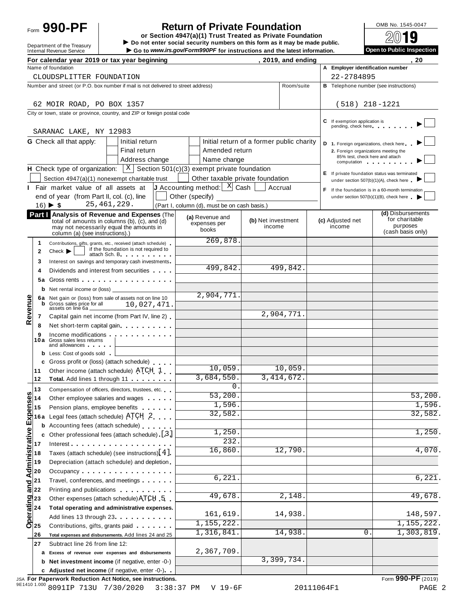# Form **990-PF**  $\begin{bmatrix} 1 & 0 \end{bmatrix}$  **Return of Private Foundation**  $\begin{bmatrix} 0 \end{bmatrix}$   $\begin{bmatrix} 0 \end{bmatrix}$   $\begin{bmatrix} 0 \end{bmatrix}$

**or Section 4947(a)(1) Trust Treated as Private Foundation** Form 990-PF<br> **Do** not enter social security numbers on this form as it may be made public.<br>
Internal Revenue Service<br>
internal Revenue Service<br>
internal Revenue Service<br>
internal Revenue Service

Go to www.irs.gov/Form990PF for instructions and the latest information.

| Open to Public Inspection |  |  |
|---------------------------|--|--|
|                           |  |  |

|                                                                       |              | For calendar year 2019 or tax year beginning                                                                                                                                                                                  |                 |                                                                         |                              | , 2019, and ending      |                                                                    | . 20                                                                                     |
|-----------------------------------------------------------------------|--------------|-------------------------------------------------------------------------------------------------------------------------------------------------------------------------------------------------------------------------------|-----------------|-------------------------------------------------------------------------|------------------------------|-------------------------|--------------------------------------------------------------------|------------------------------------------------------------------------------------------|
|                                                                       |              | Name of foundation                                                                                                                                                                                                            |                 |                                                                         |                              |                         | A Employer identification number                                   |                                                                                          |
|                                                                       |              | CLOUDSPLITTER FOUNDATION                                                                                                                                                                                                      |                 |                                                                         |                              |                         | 22-2784895                                                         |                                                                                          |
|                                                                       |              | Number and street (or P.O. box number if mail is not delivered to street address)                                                                                                                                             |                 |                                                                         |                              | Room/suite              |                                                                    | <b>B</b> Telephone number (see instructions)                                             |
|                                                                       |              |                                                                                                                                                                                                                               |                 |                                                                         |                              |                         | $(518)$ 218-1221                                                   |                                                                                          |
|                                                                       |              | 62 MOIR ROAD, PO BOX 1357                                                                                                                                                                                                     |                 |                                                                         |                              |                         |                                                                    |                                                                                          |
|                                                                       |              | City or town, state or province, country, and ZIP or foreign postal code                                                                                                                                                      |                 |                                                                         |                              |                         | If exemption application is                                        |                                                                                          |
|                                                                       |              | SARANAC LAKE, NY 12983                                                                                                                                                                                                        |                 |                                                                         |                              |                         | pending, check here                                                |                                                                                          |
|                                                                       |              | <b>G</b> Check all that apply:<br>Initial return                                                                                                                                                                              |                 | Initial return of a former public charity                               |                              |                         | D 1. Foreign organizations, check here                             |                                                                                          |
|                                                                       |              | Final return                                                                                                                                                                                                                  |                 | Amended return                                                          |                              |                         | 2. Foreign organizations meeting the                               |                                                                                          |
|                                                                       |              | Address change                                                                                                                                                                                                                |                 | Name change                                                             |                              |                         | 85% test, check here and attach<br>computation and the computation |                                                                                          |
|                                                                       |              | <b>H</b> Check type of organization: $X \mid X$ Section 501(c)(3) exempt private foundation                                                                                                                                   |                 |                                                                         |                              |                         |                                                                    |                                                                                          |
|                                                                       |              | Section 4947(a)(1) nonexempt charitable trust                                                                                                                                                                                 |                 | Other taxable private foundation                                        |                              |                         | under section 507(b)(1)(A), check here                             | E If private foundation status was terminated                                            |
|                                                                       |              | Fair market value of all assets at                                                                                                                                                                                            |                 | <b>J</b> Accounting method: $\begin{bmatrix} X \\ Y \end{bmatrix}$ Cash |                              | Accrual                 |                                                                    |                                                                                          |
|                                                                       |              | end of year (from Part II, col. (c), line                                                                                                                                                                                     | Other (specify) |                                                                         |                              |                         |                                                                    | If the foundation is in a 60-month termination<br>under section 507(b)(1)(B), check here |
|                                                                       |              | 25, 461, 229.<br>$16) \triangleright $ \$                                                                                                                                                                                     |                 | (Part I, column (d), must be on cash basis.)                            |                              |                         |                                                                    |                                                                                          |
|                                                                       |              | Part   Analysis of Revenue and Expenses (The                                                                                                                                                                                  |                 |                                                                         |                              |                         |                                                                    | (d) Disbursements                                                                        |
|                                                                       |              | total of amounts in columns (b), (c), and (d)                                                                                                                                                                                 |                 | (a) Revenue and<br>expenses per                                         | (b) Net investment<br>income |                         | (c) Adjusted net<br>income                                         | for charitable<br>purposes                                                               |
|                                                                       |              | may not necessarily equal the amounts in<br>column (a) (see instructions).)                                                                                                                                                   |                 | books                                                                   |                              |                         |                                                                    | (cash basis only)                                                                        |
|                                                                       | 1            | Contributions, gifts, grants, etc., received (attach schedule)                                                                                                                                                                |                 | 269,878                                                                 |                              |                         |                                                                    |                                                                                          |
|                                                                       | $\mathbf{2}$ | if the foundation is not required to<br>Check<br>attach Sch. B. Particular attach Sch. B.                                                                                                                                     |                 |                                                                         |                              |                         |                                                                    |                                                                                          |
|                                                                       | 3            | Interest on savings and temporary cash investments                                                                                                                                                                            |                 |                                                                         |                              |                         |                                                                    |                                                                                          |
|                                                                       | 4            | Dividends and interest from securities                                                                                                                                                                                        |                 | 499,842.                                                                |                              | 499,842.                |                                                                    |                                                                                          |
|                                                                       | 5а           | Gross rents                                                                                                                                                                                                                   |                 |                                                                         |                              |                         |                                                                    |                                                                                          |
|                                                                       |              | <b>b</b> Net rental income or (loss) $\qquad$                                                                                                                                                                                 |                 |                                                                         |                              |                         |                                                                    |                                                                                          |
|                                                                       |              | 6a Net gain or (loss) from sale of assets not on line 10                                                                                                                                                                      |                 | 2,904,771                                                               |                              |                         |                                                                    |                                                                                          |
|                                                                       | b            | Gross sales price for all<br>10,027,471.                                                                                                                                                                                      |                 |                                                                         |                              |                         |                                                                    |                                                                                          |
| Revenue                                                               | 7            | assets on line 6a _<br>Capital gain net income (from Part IV, line 2)                                                                                                                                                         |                 |                                                                         |                              | $\overline{2,904,771}.$ |                                                                    |                                                                                          |
|                                                                       | 8            | Net short-term capital gain                                                                                                                                                                                                   |                 |                                                                         |                              |                         |                                                                    |                                                                                          |
|                                                                       | 9            | Income modifications and the control of the state of the state of the state of the state of the state of the state of the state of the state of the state of the state of the state of the state of the state of the state of |                 |                                                                         |                              |                         |                                                                    |                                                                                          |
|                                                                       | 10a          | Gross sales less returns<br>and allowances and the state of                                                                                                                                                                   |                 |                                                                         |                              |                         |                                                                    |                                                                                          |
|                                                                       |              | <b>b</b> Less: Cost of goods sold                                                                                                                                                                                             |                 |                                                                         |                              |                         |                                                                    |                                                                                          |
|                                                                       |              | c Gross profit or (loss) (attach schedule)                                                                                                                                                                                    |                 |                                                                         |                              |                         |                                                                    |                                                                                          |
|                                                                       | 11           | Other income (attach schedule) ATCH 1                                                                                                                                                                                         |                 | 10,059.                                                                 |                              | 10,059.                 |                                                                    |                                                                                          |
|                                                                       | 12           | Total. Add lines 1 through 11                                                                                                                                                                                                 |                 | 3,684,550.                                                              |                              | 3,414,672.              |                                                                    |                                                                                          |
|                                                                       | 13           | Compensation of officers, directors, trustees, etc.                                                                                                                                                                           |                 | $0$ .                                                                   |                              |                         |                                                                    |                                                                                          |
| ທ                                                                     |              | Other employee salaries and wages                                                                                                                                                                                             |                 | 53,200                                                                  |                              |                         |                                                                    | 53,200                                                                                   |
|                                                                       |              | Pension plans, employee benefits                                                                                                                                                                                              |                 | 1,596.                                                                  |                              |                         |                                                                    | $\overline{1,596}$ .                                                                     |
|                                                                       | 16 a         | Legal fees (attach schedule) ATCH 2                                                                                                                                                                                           |                 | 32,582.                                                                 |                              |                         |                                                                    | 32,582.                                                                                  |
|                                                                       |              | Accounting fees (attach schedule)                                                                                                                                                                                             |                 |                                                                         |                              |                         |                                                                    |                                                                                          |
| and Administrative Expense<br>and Administrative Expense<br>2 2 3 3 4 |              | Other professional fees (attach schedule) [3]                                                                                                                                                                                 |                 | 1,250.                                                                  |                              |                         |                                                                    | $\overline{1,250}$ .                                                                     |
|                                                                       |              | Interest                                                                                                                                                                                                                      |                 | 232                                                                     |                              |                         |                                                                    |                                                                                          |
|                                                                       |              | Taxes (attach schedule) (see instructions) $[4]$                                                                                                                                                                              |                 | 16,860.                                                                 |                              | 12,790                  |                                                                    | $\overline{4,070}$ .                                                                     |
|                                                                       |              | Depreciation (attach schedule) and depletion                                                                                                                                                                                  |                 |                                                                         |                              |                         |                                                                    |                                                                                          |
|                                                                       |              |                                                                                                                                                                                                                               |                 |                                                                         |                              |                         |                                                                    |                                                                                          |
|                                                                       |              | Travel, conferences, and meetings                                                                                                                                                                                             |                 | 6,221                                                                   |                              |                         |                                                                    | 6,221.                                                                                   |
|                                                                       |              | Printing and publications <b>Community</b> Printing and publications                                                                                                                                                          |                 | 49,678                                                                  |                              | 2,148                   |                                                                    | 49,678.                                                                                  |
|                                                                       |              | Other expenses (attach schedule) ATCH 5                                                                                                                                                                                       |                 |                                                                         |                              |                         |                                                                    |                                                                                          |
| Decrating<br>$\frac{23}{24}$<br>$\frac{23}{25}$                       |              | Total operating and administrative expenses.                                                                                                                                                                                  |                 | 161,619.                                                                |                              | 14,938                  |                                                                    | 148,597.                                                                                 |
|                                                                       |              | Add lines 13 through 23                                                                                                                                                                                                       |                 | 1, 155, 222.                                                            |                              |                         |                                                                    | 1,155,222.                                                                               |
|                                                                       |              | Contributions, gifts, grants paid                                                                                                                                                                                             |                 | 1,316,841                                                               |                              | 14,938                  | 0.                                                                 | 1,303,819.                                                                               |
|                                                                       | 26           | Total expenses and disbursements. Add lines 24 and 25                                                                                                                                                                         |                 |                                                                         |                              |                         |                                                                    |                                                                                          |
|                                                                       | 27           | Subtract line 26 from line 12:                                                                                                                                                                                                |                 | 2,367,709.                                                              |                              |                         |                                                                    |                                                                                          |
|                                                                       | а            | Excess of revenue over expenses and disbursements                                                                                                                                                                             |                 |                                                                         |                              | 3,399,734.              |                                                                    |                                                                                          |
|                                                                       | b            | Net investment income (if negative, enter -0-)                                                                                                                                                                                |                 |                                                                         |                              |                         |                                                                    |                                                                                          |
|                                                                       |              | c Adjusted net income (if negative, enter -0-)                                                                                                                                                                                |                 |                                                                         |                              |                         |                                                                    |                                                                                          |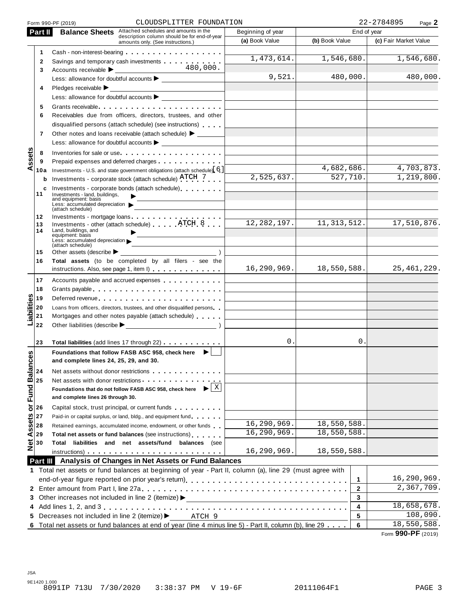|                                 | Form 990-PF (2019)                                                        | CLOUDSPLITTER FOUNDATION                                                                                                                                                                                                       |                   |                          |                       |  |
|---------------------------------|---------------------------------------------------------------------------|--------------------------------------------------------------------------------------------------------------------------------------------------------------------------------------------------------------------------------|-------------------|--------------------------|-----------------------|--|
| Part II                         |                                                                           | <b>Balance Sheets</b> Attached schedules and amounts in the                                                                                                                                                                    | Beginning of year |                          | End of year           |  |
|                                 |                                                                           | description column should be for end-of-year<br>amounts only. (See instructions.)                                                                                                                                              | (a) Book Value    | (b) Book Value           | (c) Fair Market Value |  |
| 1                               |                                                                           |                                                                                                                                                                                                                                |                   |                          |                       |  |
| $\mathbf{2}$                    |                                                                           | Savings and temporary cash investments                                                                                                                                                                                         | 1,473,614.        | $\overline{1,546,680}$ . | 1,546,680.            |  |
| 3                               |                                                                           | 480,000.                                                                                                                                                                                                                       |                   |                          |                       |  |
|                                 |                                                                           |                                                                                                                                                                                                                                | 9,521.            | 480,000.                 | 480,000.              |  |
| 4                               | Pledges receivable $\blacktriangleright$                                  |                                                                                                                                                                                                                                |                   |                          |                       |  |
|                                 |                                                                           |                                                                                                                                                                                                                                |                   |                          |                       |  |
| 5                               |                                                                           | Grants receivable entering the state of the state of the state of the state of the state of the state of the s                                                                                                                 |                   |                          |                       |  |
| 6                               |                                                                           | Receivables due from officers, directors, trustees, and other                                                                                                                                                                  |                   |                          |                       |  |
|                                 |                                                                           | disqualified persons (attach schedule) (see instructions)                                                                                                                                                                      |                   |                          |                       |  |
| 7                               |                                                                           | Other notes and loans receivable (attach schedule) > ______                                                                                                                                                                    |                   |                          |                       |  |
|                                 |                                                                           | Less: allowance for doubtful accounts $\blacktriangleright$                                                                                                                                                                    |                   |                          |                       |  |
| 8                               |                                                                           | Inventories for sale or use                                                                                                                                                                                                    |                   |                          |                       |  |
| ssets<br>9                      |                                                                           | Prepaid expenses and deferred charges <b>Expenses</b> Prepaid expenses and deferred charges                                                                                                                                    |                   |                          |                       |  |
| ⋖<br>10a                        |                                                                           | Investments - U.S. and state government obligations (attach schedule) [6]                                                                                                                                                      |                   | 4,682,686.               | 4,703,873.            |  |
| b                               |                                                                           | Investments - corporate stock (attach schedule) ATCH 7                                                                                                                                                                         | 2,525,637.        | 527,710.                 | 1,219,800.            |  |
| c                               |                                                                           | Investments - corporate bonds (attach schedule)                                                                                                                                                                                |                   |                          |                       |  |
| 11                              | Investments - land, buildings,<br>and equipment: basis                    |                                                                                                                                                                                                                                |                   |                          |                       |  |
|                                 | Less: accumulated depreciation<br>(attach schedule)                       |                                                                                                                                                                                                                                |                   |                          |                       |  |
| 12                              |                                                                           |                                                                                                                                                                                                                                |                   |                          |                       |  |
| 13                              |                                                                           | Investments - mortgage loans<br>Investments - other (attach schedule) ATCH 8                                                                                                                                                   | 12, 282, 197.     | 11,313,512.              | 17,510,876.           |  |
| 14                              | Land, buildings, and<br>equipment: basis                                  |                                                                                                                                                                                                                                |                   |                          |                       |  |
|                                 | Less: accumulated depreciation $\blacktriangleright$<br>(attach schedule) | and the control of the control of                                                                                                                                                                                              |                   |                          |                       |  |
| 15                              | Other assets (describe $\blacktriangleright$                              |                                                                                                                                                                                                                                |                   |                          |                       |  |
| 16                              |                                                                           | Total assets (to be completed by all filers - see the                                                                                                                                                                          |                   |                          |                       |  |
|                                 |                                                                           | instructions. Also, see page 1, item I)                                                                                                                                                                                        | 16, 290, 969.     | 18,550,588.              | 25, 461, 229.         |  |
| 17                              |                                                                           | Accounts payable and accrued expenses                                                                                                                                                                                          |                   |                          |                       |  |
| 18                              |                                                                           |                                                                                                                                                                                                                                |                   |                          |                       |  |
| 19                              |                                                                           | Deferred revenue expansion of the state of the state of the state of the state of the state of the state of the                                                                                                                |                   |                          |                       |  |
| 20                              |                                                                           | Loans from officers, directors, trustees, and other disqualified persons                                                                                                                                                       |                   |                          |                       |  |
| Liabilities<br>21               |                                                                           | Mortgages and other notes payable (attach schedule)                                                                                                                                                                            |                   |                          |                       |  |
| 22                              |                                                                           |                                                                                                                                                                                                                                |                   |                          |                       |  |
|                                 |                                                                           |                                                                                                                                                                                                                                |                   |                          |                       |  |
| 23                              |                                                                           | Total liabilities (add lines 17 through 22)                                                                                                                                                                                    | 0.                | 0.                       |                       |  |
| ΘŚ                              | Foundations that follow FASB ASC 958, check here                          | $\blacktriangleright$                                                                                                                                                                                                          |                   |                          |                       |  |
|                                 | and complete lines 24, 25, 29, and 30.                                    |                                                                                                                                                                                                                                |                   |                          |                       |  |
| 24                              |                                                                           | Net assets without donor restrictions example.                                                                                                                                                                                 |                   |                          |                       |  |
| 25                              |                                                                           | Net assets with donor restrictions experience of the set of the set of the set of the set of the set of the set of the set of the set of the set of the set of the set of the set of the set of the set of the set of the set  |                   |                          |                       |  |
|                                 | Foundations that do not follow FASB ASC 958, check here                   | X                                                                                                                                                                                                                              |                   |                          |                       |  |
|                                 | and complete lines 26 through 30.                                         |                                                                                                                                                                                                                                |                   |                          |                       |  |
| Net Assets or Fund Balanc<br>26 |                                                                           | Capital stock, trust principal, or current funds                                                                                                                                                                               |                   |                          |                       |  |
| 27                              |                                                                           | Paid-in or capital surplus, or land, bldg., and equipment fund                                                                                                                                                                 |                   |                          |                       |  |
| 28                              |                                                                           | Retained earnings, accumulated income, endowment, or other funds                                                                                                                                                               | 16,290,969.       | 18,550,588.              |                       |  |
| 29                              |                                                                           | Total net assets or fund balances (see instructions)                                                                                                                                                                           | 16,290,969.       | 18,550,588.              |                       |  |
| 30                              |                                                                           | Total liabilities and net assets/fund balances (see                                                                                                                                                                            |                   |                          |                       |  |
|                                 |                                                                           | instructions) and the contract of the contract of the contract of the contract of the contract of the contract of the contract of the contract of the contract of the contract of the contract of the contract of the contract | 16,290,969.       | 18,550,588.              |                       |  |
|                                 |                                                                           | Part III Analysis of Changes in Net Assets or Fund Balances                                                                                                                                                                    |                   |                          |                       |  |
|                                 |                                                                           | 1 Total net assets or fund balances at beginning of year - Part II, column (a), line 29 (must agree with                                                                                                                       |                   |                          |                       |  |
|                                 |                                                                           |                                                                                                                                                                                                                                |                   | 1                        | 16,290,969.           |  |
|                                 |                                                                           |                                                                                                                                                                                                                                |                   | 2                        | 2,367,709.            |  |
|                                 | 3 Other increases not included in line 2 (itemize) >                      |                                                                                                                                                                                                                                |                   | 3                        |                       |  |
|                                 |                                                                           |                                                                                                                                                                                                                                |                   | 4                        | 18,658,678.           |  |
|                                 |                                                                           |                                                                                                                                                                                                                                |                   |                          |                       |  |
|                                 | 5 Decreases not included in line 2 (itemize) >                            | ATCH 9                                                                                                                                                                                                                         |                   | 5                        | 108,090.              |  |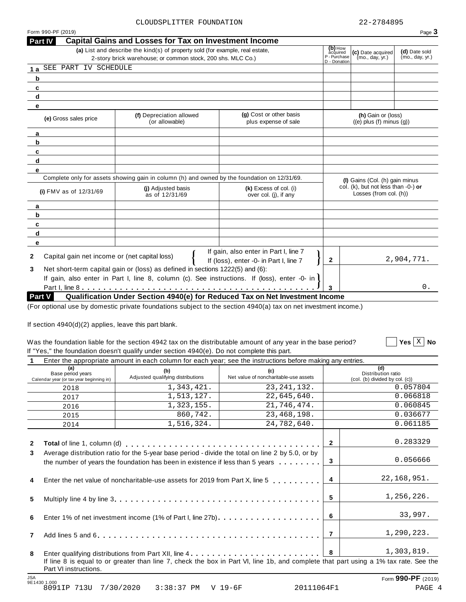$\boxed{\phantom{1}}$  Yes  $\boxed{\text{X}}$  No

| Form 990-PF (2019) |                                                                                                                                  |                                                                                                                                              |                                                                              |                                                               |                                                       | Page 3     |
|--------------------|----------------------------------------------------------------------------------------------------------------------------------|----------------------------------------------------------------------------------------------------------------------------------------------|------------------------------------------------------------------------------|---------------------------------------------------------------|-------------------------------------------------------|------------|
| <b>Part IV</b>     |                                                                                                                                  | <b>Capital Gains and Losses for Tax on Investment Income</b>                                                                                 |                                                                              |                                                               |                                                       |            |
|                    |                                                                                                                                  | (a) List and describe the kind(s) of property sold (for example, real estate,<br>2-story brick warehouse; or common stock, 200 shs. MLC Co.) | $(b)$ How<br>acquired<br>P - Purchase<br>D - Donation                        | (c) Date acquired<br>(mo., day, yr.)                          | (d) Date sold<br>(mo., day, yr.)                      |            |
| 1a                 | SEE PART IV SCHEDULE                                                                                                             |                                                                                                                                              |                                                                              |                                                               |                                                       |            |
| b                  |                                                                                                                                  |                                                                                                                                              |                                                                              |                                                               |                                                       |            |
| c                  |                                                                                                                                  |                                                                                                                                              |                                                                              |                                                               |                                                       |            |
| d                  |                                                                                                                                  |                                                                                                                                              |                                                                              |                                                               |                                                       |            |
| е                  |                                                                                                                                  |                                                                                                                                              |                                                                              |                                                               |                                                       |            |
|                    | (e) Gross sales price                                                                                                            | (f) Depreciation allowed<br>(or allowable)                                                                                                   | (g) Cost or other basis<br>plus expense of sale                              |                                                               | (h) Gain or (loss)<br>$((e)$ plus $(f)$ minus $(q)$ ) |            |
| a                  |                                                                                                                                  |                                                                                                                                              |                                                                              |                                                               |                                                       |            |
| b                  |                                                                                                                                  |                                                                                                                                              |                                                                              |                                                               |                                                       |            |
| c                  |                                                                                                                                  |                                                                                                                                              |                                                                              |                                                               |                                                       |            |
| d                  |                                                                                                                                  |                                                                                                                                              |                                                                              |                                                               |                                                       |            |
| е                  |                                                                                                                                  |                                                                                                                                              |                                                                              |                                                               |                                                       |            |
|                    |                                                                                                                                  | Complete only for assets showing gain in column (h) and owned by the foundation on 12/31/69.                                                 |                                                                              |                                                               | (I) Gains (Col. (h) gain minus                        |            |
|                    | (i) FMV as of $12/31/69$                                                                                                         | (i) Adjusted basis<br>as of 12/31/69                                                                                                         | (k) Excess of col. (i)<br>over col. (j), if any                              | col. (k), but not less than -0-) or<br>Losses (from col. (h)) |                                                       |            |
| a                  |                                                                                                                                  |                                                                                                                                              |                                                                              |                                                               |                                                       |            |
| b                  |                                                                                                                                  |                                                                                                                                              |                                                                              |                                                               |                                                       |            |
| c                  |                                                                                                                                  |                                                                                                                                              |                                                                              |                                                               |                                                       |            |
| d                  |                                                                                                                                  |                                                                                                                                              |                                                                              |                                                               |                                                       |            |
| е                  |                                                                                                                                  |                                                                                                                                              |                                                                              |                                                               |                                                       |            |
| $\mathbf{2}$       | If gain, also enter in Part I, line 7<br>Capital gain net income or (net capital loss)<br>If (loss), enter -0- in Part I, line 7 |                                                                                                                                              |                                                                              |                                                               |                                                       | 2,904,771. |
| 3                  |                                                                                                                                  | Net short-term capital gain or (loss) as defined in sections 1222(5) and (6):                                                                |                                                                              |                                                               |                                                       |            |
|                    |                                                                                                                                  | If gain, also enter in Part I, line 8, column (c). See instructions. If (loss), enter -0- in l                                               |                                                                              |                                                               |                                                       |            |
|                    |                                                                                                                                  |                                                                                                                                              |                                                                              | 3                                                             |                                                       | 0.         |
| Part V             |                                                                                                                                  |                                                                                                                                              | Qualification Under Section 4940(e) for Reduced Tax on Net Investment Income |                                                               |                                                       |            |

(For optional use by domestic private foundations subject to the section 4940(a) tax on net investment income.)

If section  $4940(d)(2)$  applies, leave this part blank.

#### Was the foundation liable for the section 4942 tax on the distributable amount of any year in the base period? If "Yes," the foundation doesn't qualify under section 4940(e). Do not complete this part. **Yes No**

|                |                                                                      | Enter the appropriate amount in each column for each year; see the instructions before making any entries.                                                                                      |                                                                                                                                      |                |                                                             |
|----------------|----------------------------------------------------------------------|-------------------------------------------------------------------------------------------------------------------------------------------------------------------------------------------------|--------------------------------------------------------------------------------------------------------------------------------------|----------------|-------------------------------------------------------------|
|                | (a)<br>Base period years<br>Calendar year (or tax year beginning in) | (b)<br>(c)<br>Adjusted qualifying distributions<br>Net value of noncharitable-use assets                                                                                                        |                                                                                                                                      |                | (d)<br>Distribution ratio<br>(col. (b) divided by col. (c)) |
|                | 2018                                                                 | 1,343,421.                                                                                                                                                                                      | 23, 241, 132.                                                                                                                        |                | 0.057804                                                    |
|                | 2017                                                                 | 1,513,127.                                                                                                                                                                                      | 22,645,640.                                                                                                                          |                | 0.066818                                                    |
|                | 2016                                                                 | 1,323,155.                                                                                                                                                                                      | 21,746,474.                                                                                                                          |                | 0.060845                                                    |
|                | 2015                                                                 | 860,742.                                                                                                                                                                                        | 23, 468, 198.                                                                                                                        |                | 0.036677                                                    |
|                | 2014                                                                 | 1,516,324.                                                                                                                                                                                      | 24,782,640.                                                                                                                          |                | 0.061185                                                    |
| $\mathbf{2}$   |                                                                      |                                                                                                                                                                                                 |                                                                                                                                      | $\overline{2}$ | 0.283329                                                    |
| 3              |                                                                      | Average distribution ratio for the 5-year base period - divide the total on line 2 by 5.0, or by<br>the number of years the foundation has been in existence if less than 5 years $\dots \dots$ |                                                                                                                                      | $\mathbf{3}$   | 0.056666                                                    |
| 4              |                                                                      | Enter the net value of noncharitable-use assets for 2019 from Part X, line 5                                                                                                                    | $\overline{4}$                                                                                                                       | 22, 168, 951.  |                                                             |
| 5              |                                                                      |                                                                                                                                                                                                 | 5                                                                                                                                    | 1,256,226.     |                                                             |
| 6              |                                                                      |                                                                                                                                                                                                 |                                                                                                                                      | 6              | 33,997.                                                     |
| $\overline{7}$ |                                                                      |                                                                                                                                                                                                 |                                                                                                                                      | $\overline{7}$ | 1,290,223.                                                  |
| 8              |                                                                      |                                                                                                                                                                                                 |                                                                                                                                      | 8              | 1,303,819.                                                  |
|                | Part VI instructions.                                                |                                                                                                                                                                                                 | If line 8 is equal to or greater than line 7, check the box in Part VI, line 1b, and complete that part using a 1% tax rate. See the |                |                                                             |
| <b>JSA</b>     | 9E1430 1.000                                                         |                                                                                                                                                                                                 |                                                                                                                                      |                | Form 990-PF (2019)                                          |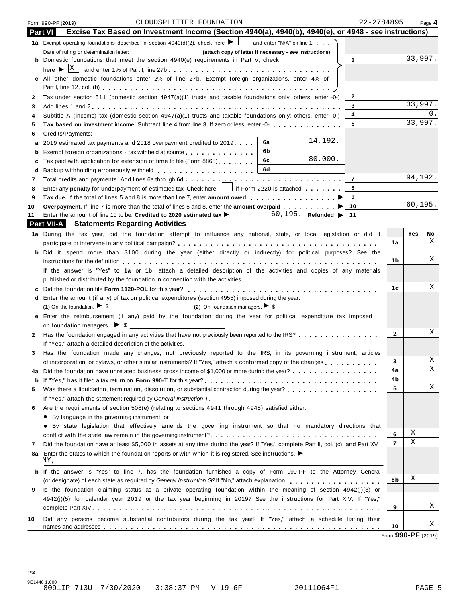|                | 22-2784895<br>CLOUDSPLITTER FOUNDATION<br>Form 990-PF (2019)                                                                                                                                                                         |                |          | Page 4 |  |  |
|----------------|--------------------------------------------------------------------------------------------------------------------------------------------------------------------------------------------------------------------------------------|----------------|----------|--------|--|--|
| <b>Part VI</b> | Excise Tax Based on Investment Income (Section 4940(a), 4940(b), 4940(e), or 4948 - see instructions)                                                                                                                                |                |          |        |  |  |
|                | 1a Exempt operating foundations described in section 4940(d)(2), check here $\blacktriangleright$ and enter "N/A" on line 1.                                                                                                         |                |          |        |  |  |
|                |                                                                                                                                                                                                                                      |                |          |        |  |  |
|                | <b>b</b> Domestic foundations that meet the section 4940(e) requirements in Part V, check<br>$\mathbf{1}$                                                                                                                            |                | 33,997.  |        |  |  |
|                |                                                                                                                                                                                                                                      |                |          |        |  |  |
|                | c All other domestic foundations enter 2% of line 27b. Exempt foreign organizations, enter 4% of                                                                                                                                     |                |          |        |  |  |
|                |                                                                                                                                                                                                                                      |                |          |        |  |  |
| 2              | Tax under section 511 (domestic section 4947(a)(1) trusts and taxable foundations only; others, enter -0-)<br>2                                                                                                                      |                |          |        |  |  |
| 3              | 3                                                                                                                                                                                                                                    |                | 33,997.  |        |  |  |
| 4              | 4<br>Subtitle A (income) tax (domestic section 4947(a)(1) trusts and taxable foundations only; others, enter -0-)                                                                                                                    |                |          | $0$ .  |  |  |
| 5              | 5<br>Tax based on investment income. Subtract line 4 from line 3. If zero or less, enter -0-                                                                                                                                         |                | 33,997.  |        |  |  |
| 6              | Credits/Payments:                                                                                                                                                                                                                    |                |          |        |  |  |
| а              | 14,192.<br>6а<br>2019 estimated tax payments and 2018 overpayment credited to 2019.                                                                                                                                                  |                |          |        |  |  |
| b              | 6b<br>Exempt foreign organizations - tax withheld at source                                                                                                                                                                          |                |          |        |  |  |
| c              | 80,000.<br>6c<br>Tax paid with application for extension of time to file (Form 8868)                                                                                                                                                 |                |          |        |  |  |
| d              | 6d<br>Backup withholding erroneously withheld entity and the set of the set of the set of the set of the set of the set of the set of the set of the set of the set of the set of the set of the set of the set of the set of the se |                |          |        |  |  |
| 7              | $\overline{7}$                                                                                                                                                                                                                       |                | 94,192.  |        |  |  |
| 8              | 8<br>Enter any penalty for underpayment of estimated tax. Check here     if Form 2220 is attached                                                                                                                                    |                |          |        |  |  |
| 9              | 9                                                                                                                                                                                                                                    |                |          |        |  |  |
| 10             | Overpayment. If line 7 is more than the total of lines 5 and 8, enter the amount overpaid ▶<br>10                                                                                                                                    |                | 60, 195. |        |  |  |
| 11             | Enter the amount of line 10 to be: Credited to 2020 estimated tax $\triangleright$ 60, 195. Refunded $\triangleright$ 11                                                                                                             |                |          |        |  |  |
|                | <b>Part VII-A</b> Statements Regarding Activities                                                                                                                                                                                    |                |          |        |  |  |
|                | 1a During the tax year, did the foundation attempt to influence any national, state, or local legislation or did it                                                                                                                  |                | Yes      | No     |  |  |
|                |                                                                                                                                                                                                                                      | 1a             |          | X      |  |  |
|                | b Did it spend more than \$100 during the year (either directly or indirectly) for political purposes? See the                                                                                                                       |                |          |        |  |  |
|                |                                                                                                                                                                                                                                      | 1b.            |          | Χ      |  |  |
|                | If the answer is "Yes" to 1a or 1b, attach a detailed description of the activities and copies of any materials                                                                                                                      |                |          |        |  |  |
|                | published or distributed by the foundation in connection with the activities.                                                                                                                                                        |                |          |        |  |  |
| c              |                                                                                                                                                                                                                                      | 1c             |          | Χ      |  |  |
| d              | Enter the amount (if any) of tax on political expenditures (section 4955) imposed during the year:                                                                                                                                   |                |          |        |  |  |
|                | (1) On the foundation. $\triangleright$ \$                                                                                                                                                                                           |                |          |        |  |  |
|                | e Enter the reimbursement (if any) paid by the foundation during the year for political expenditure tax imposed                                                                                                                      |                |          |        |  |  |
|                |                                                                                                                                                                                                                                      |                |          |        |  |  |
|                | 2 Has the foundation engaged in any activities that have not previously been reported to the IRS?                                                                                                                                    | $\mathbf{2}$   |          | Χ      |  |  |
|                | If "Yes," attach a detailed description of the activities.                                                                                                                                                                           |                |          |        |  |  |
| 3              | Has the foundation made any changes, not previously reported to the IRS, in its governing instrument, articles                                                                                                                       |                |          |        |  |  |
|                | of incorporation, or bylaws, or other similar instruments? If "Yes," attach a conformed copy of the changes                                                                                                                          | 3              |          | Χ      |  |  |
| 4a             | Did the foundation have unrelated business gross income of \$1,000 or more during the year?                                                                                                                                          | 4a             |          | Χ      |  |  |
| b              |                                                                                                                                                                                                                                      | 4b             |          |        |  |  |
| 5              | Was there a liquidation, termination, dissolution, or substantial contraction during the year?                                                                                                                                       | 5              |          | Χ      |  |  |
|                | If "Yes," attach the statement required by General Instruction T.                                                                                                                                                                    |                |          |        |  |  |
| 6              | Are the requirements of section 508(e) (relating to sections 4941 through 4945) satisfied either:                                                                                                                                    |                |          |        |  |  |
|                | • By language in the governing instrument, or                                                                                                                                                                                        |                |          |        |  |  |
|                | • By state legislation that effectively amends the governing instrument so that no mandatory directions that                                                                                                                         |                |          |        |  |  |
|                |                                                                                                                                                                                                                                      | 6              | Χ        |        |  |  |
| 7              | Did the foundation have at least \$5,000 in assets at any time during the year? If "Yes," complete Part II, col. (c), and Part XV                                                                                                    | $\overline{7}$ | Χ        |        |  |  |
| 8a             | Enter the states to which the foundation reports or with which it is registered. See instructions. $\blacktriangleright$                                                                                                             |                |          |        |  |  |
|                | NY,                                                                                                                                                                                                                                  |                |          |        |  |  |
|                | <b>b</b> If the answer is "Yes" to line 7, has the foundation furnished a copy of Form 990-PF to the Attorney General                                                                                                                |                |          |        |  |  |
|                |                                                                                                                                                                                                                                      | 8b             | Χ        |        |  |  |
| 9              | Is the foundation claiming status as a private operating foundation within the meaning of section 4942(j)(3) or                                                                                                                      |                |          |        |  |  |
|                | 4942(j)(5) for calendar year 2019 or the tax year beginning in 2019? See the instructions for Part XIV. If "Yes,"                                                                                                                    |                |          |        |  |  |
|                |                                                                                                                                                                                                                                      | 9              |          | Χ      |  |  |
| 10             | Did any persons become substantial contributors during the tax year? If "Yes," attach a schedule listing their                                                                                                                       |                |          |        |  |  |
|                |                                                                                                                                                                                                                                      | 10             |          | Χ      |  |  |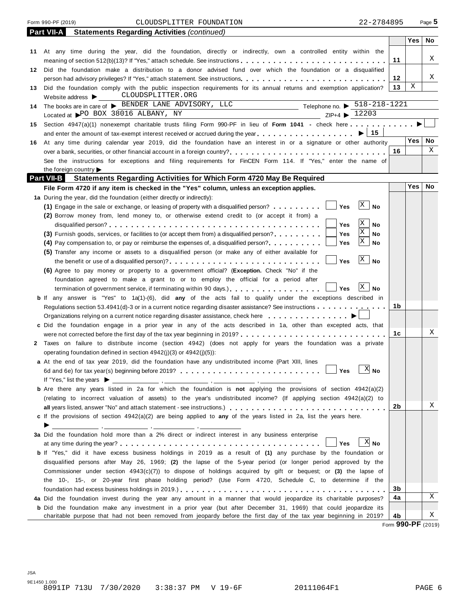#### Form 990-PF (2019) CLOUDSPLITTER FOUNDATION 22-2784895 Page **5**

|    | <b>Part VII-A</b><br><b>Statements Regarding Activities (continued)</b>                                                                                                                             |    |            |           |
|----|-----------------------------------------------------------------------------------------------------------------------------------------------------------------------------------------------------|----|------------|-----------|
|    |                                                                                                                                                                                                     |    | <b>Yes</b> | No.       |
|    | 11 At any time during the year, did the foundation, directly or indirectly, own a controlled entity within the                                                                                      |    |            |           |
|    | meaning of section 512(b)(13)? If "Yes," attach schedule. See instructions                                                                                                                          | 11 |            | X         |
|    | 12 Did the foundation make a distribution to a donor advised fund over which the foundation or a disqualified                                                                                       |    |            |           |
|    |                                                                                                                                                                                                     | 12 |            | X         |
| 13 | Did the foundation comply with the public inspection requirements for its annual returns and exemption application?                                                                                 | 13 | Χ          |           |
|    | Website address <a> E<br/> CLOUDSPLITTER.ORG</a>                                                                                                                                                    |    |            |           |
| 14 | The books are in care of $\triangleright$ BENDER LANE ADVISORY, LLC Telephone no. $\triangleright$ 518-218-1221<br>Located at $\triangleright$ PO BOX 38016 ALBANY, NY ZIP+4 $\triangleright$ 12203 |    |            |           |
|    |                                                                                                                                                                                                     |    |            |           |
| 15 | Section 4947(a)(1) nonexempt charitable trusts filing Form 990-PF in lieu of Form 1041 - check here                                                                                                 |    |            |           |
|    |                                                                                                                                                                                                     |    |            |           |
| 16 | At any time during calendar year 2019, did the foundation have an interest in or a signature or other authority                                                                                     |    | Yes l      | <b>No</b> |
|    | over a bank, securities, or other financial account in a foreign country?<br>$\ldots, \ldots, \ldots, \ldots, \ldots, \ldots, \ldots, \ldots, \ldots$                                               | 16 |            | X         |
|    | See the instructions for exceptions and filing requirements for FinCEN Form 114. If "Yes," enter the name of                                                                                        |    |            |           |
|    | the foreign country                                                                                                                                                                                 |    |            |           |
|    | <b>Part VII-B</b><br><b>Statements Regarding Activities for Which Form 4720 May Be Required</b>                                                                                                     |    | <b>Yes</b> | <b>No</b> |
|    | File Form 4720 if any item is checked in the "Yes" column, unless an exception applies.                                                                                                             |    |            |           |
|    | 1a During the year, did the foundation (either directly or indirectly):<br>X                                                                                                                        |    |            |           |
|    | Yes<br>(1) Engage in the sale or exchange, or leasing of property with a disqualified person?<br><b>No</b>                                                                                          |    |            |           |
|    | (2) Borrow money from, lend money to, or otherwise extend credit to (or accept it from) a<br>X                                                                                                      |    |            |           |
|    | Yes<br>No<br>X                                                                                                                                                                                      |    |            |           |
|    | (3) Furnish goods, services, or facilities to (or accept them from) a disqualified person?<br>Yes<br>No<br>X                                                                                        |    |            |           |
|    | Yes<br>No<br>$(4)$ Pay compensation to, or pay or reimburse the expenses of, a disqualified person?                                                                                                 |    |            |           |
|    | (5) Transfer any income or assets to a disqualified person (or make any of either available for<br>$\mathbf{x}$<br>Yes<br><b>No</b>                                                                 |    |            |           |
|    | (6) Agree to pay money or property to a government official? (Exception. Check "No" if the                                                                                                          |    |            |           |
|    | foundation agreed to make a grant to or to employ the official for a period after                                                                                                                   |    |            |           |
|    | $\mathbf{X}$<br>Yes<br>No<br>termination of government service, if terminating within 90 days.)                                                                                                     |    |            |           |
|    | <b>b</b> If any answer is "Yes" to 1a(1)-(6), did any of the acts fail to qualify under the exceptions described in                                                                                 |    |            |           |
|    | Regulations section 53.4941(d)-3 or in a current notice regarding disaster assistance? See instructions                                                                                             | 1b |            |           |
|    | Organizations relying on a current notice regarding disaster assistance, check here                                                                                                                 |    |            |           |
|    | c Did the foundation engage in a prior year in any of the acts described in 1a, other than excepted acts, that                                                                                      |    |            |           |
|    | were not corrected before the first day of the tax year beginning in 2019?                                                                                                                          | 1с |            | Χ         |
|    | 2 Taxes on failure to distribute income (section 4942) (does not apply for years the foundation was a private                                                                                       |    |            |           |
|    | operating foundation defined in section 4942(i)(3) or 4942(i)(5)):                                                                                                                                  |    |            |           |
|    | a At the end of tax year 2019, did the foundation have any undistributed income (Part XIII, lines                                                                                                   |    |            |           |
|    | $\mathbb{X}$ No<br>Yes                                                                                                                                                                              |    |            |           |
|    | If "Yes," list the years $\blacktriangleright$                                                                                                                                                      |    |            |           |
|    | <b>b</b> Are there any years listed in 2a for which the foundation is not applying the provisions of section $4942(a)(2)$                                                                           |    |            |           |
|    | (relating to incorrect valuation of assets) to the year's undistributed income? (If applying section 4942(a)(2) to                                                                                  |    |            |           |
|    |                                                                                                                                                                                                     | 2b |            | Χ         |
|    | c If the provisions of section 4942(a)(2) are being applied to any of the years listed in 2a, list the years here.                                                                                  |    |            |           |
|    | ▶                                                                                                                                                                                                   |    |            |           |
|    | 3a Did the foundation hold more than a 2% direct or indirect interest in any business enterprise                                                                                                    |    |            |           |
|    | $X$ No<br>Yes                                                                                                                                                                                       |    |            |           |
|    | <b>b</b> If "Yes," did it have excess business holdings in 2019 as a result of (1) any purchase by the foundation or                                                                                |    |            |           |
|    | disqualified persons after May 26, 1969; (2) the lapse of the 5-year period (or longer period approved by the                                                                                       |    |            |           |
|    | Commissioner under section $4943(c)(7)$ ) to dispose of holdings acquired by gift or bequest; or (3) the lapse of                                                                                   |    |            |           |
|    | the 10-, 15-, or 20-year first phase holding period? (Use Form 4720, Schedule C, to determine if the                                                                                                |    |            |           |
|    |                                                                                                                                                                                                     | 3b |            |           |
|    | 4a Did the foundation invest during the year any amount in a manner that would jeopardize its charitable purposes?                                                                                  | 4a |            | X         |
|    | <b>b</b> Did the foundation make any investment in a prior year (but after December 31, 1969) that could jeopardize its                                                                             |    |            |           |
|    | charitable purpose that had not been removed from jeopardy before the first day of the tax year beginning in 2019?                                                                                  | 4b |            | Χ         |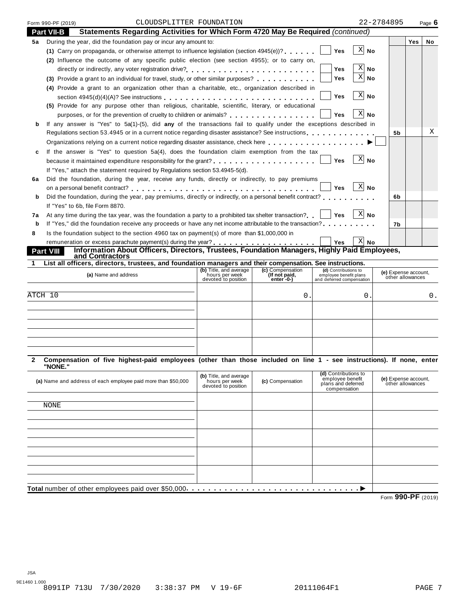| Form 990-PF (2019) | CLOUDSPLITTER FOUNDATION                                                                                           | 22-2784895     |            | Page $6$ |
|--------------------|--------------------------------------------------------------------------------------------------------------------|----------------|------------|----------|
| <b>Part VII-B</b>  | Statements Regarding Activities for Which Form 4720 May Be Required (continued)                                    |                |            |          |
| 5а                 | During the year, did the foundation pay or incur any amount to:                                                    |                | <b>Yes</b> | No       |
|                    | (1) Carry on propaganda, or otherwise attempt to influence legislation (section $4945(e)$ )?<br><b>Yes</b>         | -X <br>No      |            |          |
|                    | (2) Influence the outcome of any specific public election (see section 4955); or to carry on,                      |                |            |          |
|                    | <b>Yes</b>                                                                                                         | ΧI<br>No.      |            |          |
|                    | Yes<br>(3) Provide a grant to an individual for travel, study, or other similar purposes?                          | $X $ No        |            |          |
|                    | (4) Provide a grant to an organization other than a charitable, etc., organization described in                    |                |            |          |
|                    | <b>Yes</b>                                                                                                         | X <br>No       |            |          |
|                    | (5) Provide for any purpose other than religious, charitable, scientific, literary, or educational                 |                |            |          |
|                    | purposes, or for the prevention of cruelty to children or animals?<br><b>Yes</b>                                   | X <br>No       |            |          |
|                    | If any answer is "Yes" to 5a(1)-(5), did any of the transactions fail to qualify under the exceptions described in |                |            |          |
|                    | Regulations section 53.4945 or in a current notice regarding disaster assistance? See instructions                 | 5 <sub>b</sub> |            | X        |
|                    | Organizations relying on a current notice regarding disaster assistance, check here                                |                |            |          |
| c                  | If the answer is "Yes" to question 5a(4), does the foundation claim exemption from the tax                         |                |            |          |
|                    | Yes                                                                                                                | X<br>No        |            |          |
|                    | If "Yes," attach the statement required by Regulations section 53.4945-5(d).                                       |                |            |          |
| 6a                 | Did the foundation, during the year, receive any funds, directly or indirectly, to pay premiums                    |                |            |          |
|                    | <b>Yes</b><br>on a personal benefit contract?                                                                      | $X$ No         |            |          |
| b                  | Did the foundation, during the year, pay premiums, directly or indirectly, on a personal benefit contract?         | 6b             |            |          |
|                    | If "Yes" to 6b, file Form 8870.                                                                                    |                |            |          |
| 7a                 | At any time during the tax year, was the foundation a party to a prohibited tax shelter transaction?<br>Yes        | $ X $ No       |            |          |
| b                  | If "Yes," did the foundation receive any proceeds or have any net income attributable to the transaction?          | 7b             |            |          |
| 8                  | Is the foundation subject to the section 4960 tax on payment(s) of more than \$1,000,000 in                        |                |            |          |
|                    | <b>Yes</b>                                                                                                         | $X $ No        |            |          |
| <b>Part VIII</b>   | Information About Officers, Directors, Trustees, Foundation Managers, Highly Paid Employees,<br>and Contractors    |                |            |          |
|                    | Liet all afficers directors trustees and foundation menseers and their compensation. Cas instructions              |                |            |          |

| List all officers, directors, trustees, and foundation managers and their compensation. See instructions. |                                                                 |                                                  |                                                                             |                                          |  |
|-----------------------------------------------------------------------------------------------------------|-----------------------------------------------------------------|--------------------------------------------------|-----------------------------------------------------------------------------|------------------------------------------|--|
| (a) Name and address                                                                                      | (b) Title, and average<br>hours per week<br>devoted to position | (c) Compensation<br>(If not paid,<br>$enter - 0$ | (d) Contributions to<br>employee benefit plans<br>and deferred compensation | (e) Expense account,<br>other allowances |  |
| ATCH 10                                                                                                   |                                                                 | U                                                |                                                                             | 0.                                       |  |
|                                                                                                           |                                                                 |                                                  |                                                                             |                                          |  |
|                                                                                                           |                                                                 |                                                  |                                                                             |                                          |  |
|                                                                                                           |                                                                 |                                                  |                                                                             |                                          |  |

2 Compensation of five highest-paid employees (other than those included on line 1 - see instructions). If none, enter **"NONE."**

| (a) Name and address of each employee paid more than \$50,000 | (b) Title, and average hours per week<br>devoted to position | (c) Compensation | (d) Contributions to<br>employee benefit<br>plans and deferred<br>compensation | (e) Expense account,<br>other allowances |  |  |
|---------------------------------------------------------------|--------------------------------------------------------------|------------------|--------------------------------------------------------------------------------|------------------------------------------|--|--|
|                                                               |                                                              |                  |                                                                                |                                          |  |  |
| NONE                                                          |                                                              |                  |                                                                                |                                          |  |  |
|                                                               |                                                              |                  |                                                                                |                                          |  |  |
|                                                               |                                                              |                  |                                                                                |                                          |  |  |
|                                                               |                                                              |                  |                                                                                |                                          |  |  |
|                                                               |                                                              |                  |                                                                                |                                          |  |  |
|                                                               |                                                              |                  |                                                                                |                                          |  |  |
|                                                               |                                                              |                  |                                                                                |                                          |  |  |
|                                                               |                                                              |                  |                                                                                |                                          |  |  |
|                                                               |                                                              |                  |                                                                                |                                          |  |  |
|                                                               |                                                              |                  |                                                                                |                                          |  |  |
| $0.00 \text{ } \text{D} \text{ } \text{F}$<br>-               |                                                              |                  |                                                                                |                                          |  |  |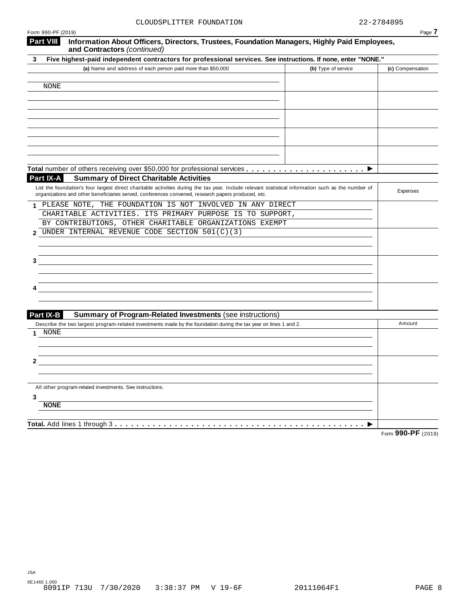| Form 990-PF (2019)<br><b>Part VIII</b>                                                                                                                                                                                                                    |                     | Page 7           |
|-----------------------------------------------------------------------------------------------------------------------------------------------------------------------------------------------------------------------------------------------------------|---------------------|------------------|
| Information About Officers, Directors, Trustees, Foundation Managers, Highly Paid Employees,<br>and Contractors (continued)                                                                                                                               |                     |                  |
| Five highest-paid independent contractors for professional services. See instructions. If none, enter "NONE."<br>3                                                                                                                                        |                     |                  |
| (a) Name and address of each person paid more than \$50,000                                                                                                                                                                                               | (b) Type of service | (c) Compensation |
|                                                                                                                                                                                                                                                           |                     |                  |
| NONE                                                                                                                                                                                                                                                      |                     |                  |
|                                                                                                                                                                                                                                                           |                     |                  |
|                                                                                                                                                                                                                                                           |                     |                  |
|                                                                                                                                                                                                                                                           |                     |                  |
|                                                                                                                                                                                                                                                           |                     |                  |
|                                                                                                                                                                                                                                                           |                     |                  |
|                                                                                                                                                                                                                                                           |                     |                  |
|                                                                                                                                                                                                                                                           |                     |                  |
|                                                                                                                                                                                                                                                           |                     |                  |
| <b>Summary of Direct Charitable Activities</b><br>Part IX-A                                                                                                                                                                                               |                     |                  |
| List the foundation's four largest direct charitable activities during the tax year. Include relevant statistical information such as the number of<br>organizations and other beneficiaries served, conferences convened, research papers produced, etc. |                     | Expenses         |
| PLEASE NOTE, THE FOUNDATION IS NOT INVOLVED IN ANY DIRECT                                                                                                                                                                                                 |                     |                  |
| CHARITABLE ACTIVITIES. ITS PRIMARY PURPOSE IS TO SUPPORT,                                                                                                                                                                                                 |                     |                  |
| BY CONTRIBUTIONS, OTHER CHARITABLE ORGANIZATIONS EXEMPT                                                                                                                                                                                                   |                     |                  |
| UNDER INTERNAL REVENUE CODE SECTION 501(C)(3)<br>2                                                                                                                                                                                                        |                     |                  |
|                                                                                                                                                                                                                                                           |                     |                  |
| 3                                                                                                                                                                                                                                                         |                     |                  |
|                                                                                                                                                                                                                                                           |                     |                  |
|                                                                                                                                                                                                                                                           |                     |                  |
|                                                                                                                                                                                                                                                           |                     |                  |
|                                                                                                                                                                                                                                                           |                     |                  |
|                                                                                                                                                                                                                                                           |                     |                  |
| Part IX-B<br><b>Summary of Program-Related Investments (see instructions)</b>                                                                                                                                                                             |                     |                  |
| Describe the two largest program-related investments made by the foundation during the tax year on lines 1 and 2.<br>NONE                                                                                                                                 |                     | Amount           |
|                                                                                                                                                                                                                                                           |                     |                  |
|                                                                                                                                                                                                                                                           |                     |                  |
| 2                                                                                                                                                                                                                                                         |                     |                  |
|                                                                                                                                                                                                                                                           |                     |                  |
|                                                                                                                                                                                                                                                           |                     |                  |
| All other program-related investments. See instructions.                                                                                                                                                                                                  |                     |                  |
| 3                                                                                                                                                                                                                                                         |                     |                  |
| <b>NONE</b>                                                                                                                                                                                                                                               |                     |                  |
|                                                                                                                                                                                                                                                           |                     |                  |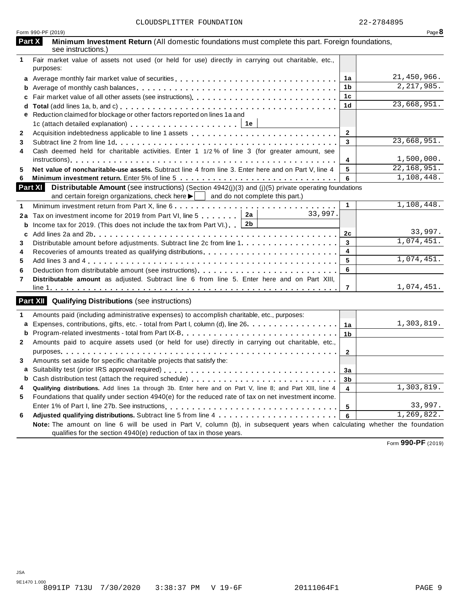|              | Form 990-PF (2019)                                                                                                                                                                                                           |                 | Page $8$     |
|--------------|------------------------------------------------------------------------------------------------------------------------------------------------------------------------------------------------------------------------------|-----------------|--------------|
|              | Part X<br>Minimum Investment Return (All domestic foundations must complete this part. Foreign foundations,<br>see instructions.)                                                                                            |                 |              |
| $\mathbf{1}$ | Fair market value of assets not used (or held for use) directly in carrying out charitable, etc.,<br>purposes:                                                                                                               |                 |              |
|              |                                                                                                                                                                                                                              | 1a              | 21,450,966.  |
| b            |                                                                                                                                                                                                                              | 1b              | 2, 217, 985. |
| c            |                                                                                                                                                                                                                              | 1 <sub>c</sub>  |              |
| d            |                                                                                                                                                                                                                              | 1 <sub>d</sub>  | 23,668,951.  |
|              | e Reduction claimed for blockage or other factors reported on lines 1a and                                                                                                                                                   |                 |              |
|              |                                                                                                                                                                                                                              |                 |              |
| $\mathbf{2}$ |                                                                                                                                                                                                                              | $\mathbf{2}$    |              |
| 3            |                                                                                                                                                                                                                              | $\overline{3}$  | 23,668,951.  |
| 4            | Cash deemed held for charitable activities. Enter 1 1/2% of line 3 (for greater amount, see                                                                                                                                  |                 |              |
|              |                                                                                                                                                                                                                              | 4               | 1,500,000.   |
| 5            | Net value of noncharitable-use assets. Subtract line 4 from line 3. Enter here and on Part V, line 4                                                                                                                         | 5               | 22,168,951.  |
| 6            |                                                                                                                                                                                                                              | 6               | 1,108,448.   |
|              | <b>Part XI</b> Distributable Amount (see instructions) (Section 4942(j)(3) and (j)(5) private operating foundations<br>and certain foreign organizations, check here $\blacktriangleright$   and do not complete this part.) |                 |              |
| 1            |                                                                                                                                                                                                                              | 1               | 1,108,448.   |
|              | 33,997.<br>2a<br>2a Tax on investment income for 2019 from Part VI, line 5                                                                                                                                                   |                 |              |
| b            | 2b<br>Income tax for 2019. (This does not include the tax from Part VI.)                                                                                                                                                     |                 |              |
| c            |                                                                                                                                                                                                                              | 2c              | 33,997.      |
| 3            |                                                                                                                                                                                                                              | $\mathbf{3}$    | 1,074,451.   |
| 4            |                                                                                                                                                                                                                              | 4               |              |
| 5            |                                                                                                                                                                                                                              | $\sqrt{5}$      | 1,074,451.   |
| 6            | Deduction from distributable amount (see instructions).                                                                                                                                                                      | 6               |              |
| 7            | Distributable amount as adjusted. Subtract line 6 from line 5. Enter here and on Part XIII,                                                                                                                                  |                 |              |
|              |                                                                                                                                                                                                                              | $\overline{7}$  | 1,074,451.   |
|              | <b>Part XII</b> Qualifying Distributions (see instructions)                                                                                                                                                                  |                 |              |
| 1            | Amounts paid (including administrative expenses) to accomplish charitable, etc., purposes:                                                                                                                                   |                 |              |
| a            | Expenses, contributions, gifts, etc. - total from Part I, column (d), line 26.                                                                                                                                               | 1a              | 1,303,819.   |
|              |                                                                                                                                                                                                                              |                 |              |
| b            |                                                                                                                                                                                                                              | 1 <sub>b</sub>  |              |
| $\mathbf{2}$ | Amounts paid to acquire assets used (or held for use) directly in carrying out charitable, etc.,                                                                                                                             | $\overline{2}$  |              |
| 3            | Amounts set aside for specific charitable projects that satisfy the:                                                                                                                                                         |                 |              |
|              |                                                                                                                                                                                                                              | 3a              |              |
| b            |                                                                                                                                                                                                                              | 3b              |              |
| 4            | Qualifying distributions. Add lines 1a through 3b. Enter here and on Part V, line 8; and Part XIII, line 4                                                                                                                   | $\overline{4}$  | 1,303,819.   |
| 5            | Foundations that qualify under section 4940(e) for the reduced rate of tax on net investment income.                                                                                                                         |                 |              |
|              |                                                                                                                                                                                                                              |                 | 33,997.      |
| 6            |                                                                                                                                                                                                                              | $5\phantom{.0}$ | 1,269,822.   |
|              | Note: The amount on line 6 will be used in Part V, column (b), in subsequent years when calculating whether the foundation                                                                                                   | 6               |              |
|              | qualifies for the section 4940(e) reduction of tax in those years.                                                                                                                                                           |                 |              |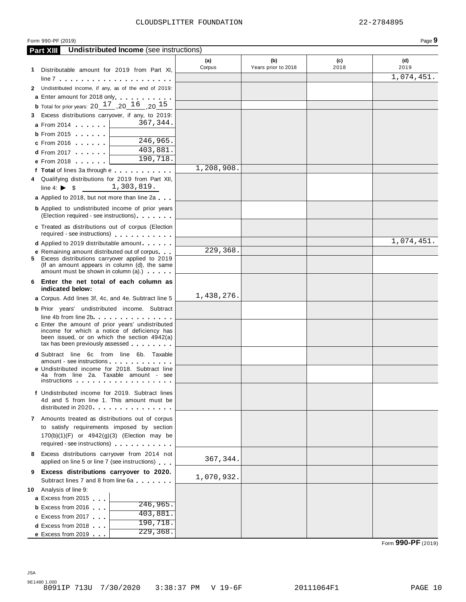#### Form 990-PF (2019)

| -10 |  |
|-----|--|
|     |  |

|    | Undistributed Income (see instructions)<br><b>Part XIII</b>                                                                                                                                                                         |               |                            |             |                            |
|----|-------------------------------------------------------------------------------------------------------------------------------------------------------------------------------------------------------------------------------------|---------------|----------------------------|-------------|----------------------------|
|    | 1 Distributable amount for 2019 from Part XI,                                                                                                                                                                                       | (a)<br>Corpus | (b)<br>Years prior to 2018 | (c)<br>2018 | (d)<br>2019                |
|    |                                                                                                                                                                                                                                     |               |                            |             | $\overline{1}$ , 074, 451. |
|    | 2 Undistributed income, if any, as of the end of 2019:                                                                                                                                                                              |               |                            |             |                            |
|    | <b>a</b> Enter amount for 2018 only                                                                                                                                                                                                 |               |                            |             |                            |
|    | <b>b</b> Total for prior years: 20 $17$ , 20 $16$ , 20 $15$                                                                                                                                                                         |               |                            |             |                            |
| 3. | Excess distributions carryover, if any, to 2019:                                                                                                                                                                                    |               |                            |             |                            |
|    | 367,344.<br><b>a</b> From 2014                                                                                                                                                                                                      |               |                            |             |                            |
|    | <b>b</b> From 2015 <b></b>                                                                                                                                                                                                          |               |                            |             |                            |
|    | 246,965.<br>$c$ From 2016                                                                                                                                                                                                           |               |                            |             |                            |
|    | 403,881.<br>$d$ From 2017                                                                                                                                                                                                           |               |                            |             |                            |
|    | 190,718.<br><b>e</b> From 2018                                                                                                                                                                                                      |               |                            |             |                            |
|    | f Total of lines 3a through e                                                                                                                                                                                                       | 1,208,908.    |                            |             |                            |
|    | 4 Qualifying distributions for 2019 from Part XII,<br>1,303,819.<br>line 4: $\triangleright$ \$                                                                                                                                     |               |                            |             |                            |
|    | a Applied to 2018, but not more than line 2a                                                                                                                                                                                        |               |                            |             |                            |
|    | <b>b</b> Applied to undistributed income of prior years                                                                                                                                                                             |               |                            |             |                            |
|    | (Election required - see instructions)                                                                                                                                                                                              |               |                            |             |                            |
|    | c Treated as distributions out of corpus (Election                                                                                                                                                                                  |               |                            |             |                            |
|    | required - see instructions) extending the set of the set of the set of the set of the set of the set of the set of the set of the set of the set of the set of the set of the set of the set of the set of the set of the set      |               |                            |             |                            |
|    | <b>d</b> Applied to 2019 distributable amount                                                                                                                                                                                       |               |                            |             | 1,074,451.                 |
|    | e Remaining amount distributed out of corpus.                                                                                                                                                                                       | 229,368.      |                            |             |                            |
|    | 5 Excess distributions carryover applied to 2019<br>(If an amount appears in column (d), the same<br>amount must be shown in column (a).)                                                                                           |               |                            |             |                            |
|    | 6 Enter the net total of each column as<br>indicated below:                                                                                                                                                                         |               |                            |             |                            |
|    | <b>a</b> Corpus. Add lines 3f, 4c, and 4e. Subtract line 5                                                                                                                                                                          | 1,438,276.    |                            |             |                            |
|    | <b>b</b> Prior years' undistributed income. Subtract                                                                                                                                                                                |               |                            |             |                            |
|    | line 4b from line 2b                                                                                                                                                                                                                |               |                            |             |                            |
|    | c Enter the amount of prior years' undistributed<br>income for which a notice of deficiency has                                                                                                                                     |               |                            |             |                            |
|    | been issued, or on which the section 4942(a)                                                                                                                                                                                        |               |                            |             |                            |
|    | tax has been previously assessed                                                                                                                                                                                                    |               |                            |             |                            |
|    | <b>d</b> Subtract line 6c from line 6b. Taxable                                                                                                                                                                                     |               |                            |             |                            |
|    | amount - see instructions experience of the set of the set of the set of the set of the set of the set of the<br><b>e</b> Undistributed income for 2018. Subtract line                                                              |               |                            |             |                            |
|    | 4a from line 2a. Taxable amount - see                                                                                                                                                                                               |               |                            |             |                            |
|    | instructions <b>contained</b> in the contact of the contact of the contact of the contact of the contact of the contact of the contact of the contact of the contact of the contact of the contact of the contact of the contact of |               |                            |             |                            |
|    | f Undistributed income for 2019. Subtract lines                                                                                                                                                                                     |               |                            |             |                            |
|    | 4d and 5 from line 1. This amount must be<br>distributed in 2020                                                                                                                                                                    |               |                            |             |                            |
|    | 7 Amounts treated as distributions out of corpus                                                                                                                                                                                    |               |                            |             |                            |
|    | to satisfy requirements imposed by section                                                                                                                                                                                          |               |                            |             |                            |
|    | $170(b)(1)(F)$ or $4942(g)(3)$ (Election may be                                                                                                                                                                                     |               |                            |             |                            |
|    | required - see instructions)                                                                                                                                                                                                        |               |                            |             |                            |
|    | 8 Excess distributions carryover from 2014 not                                                                                                                                                                                      |               |                            |             |                            |
|    | applied on line 5 or line 7 (see instructions)                                                                                                                                                                                      | 367, 344.     |                            |             |                            |
|    | 9 Excess distributions carryover to 2020.                                                                                                                                                                                           |               |                            |             |                            |
|    | Subtract lines 7 and 8 from line 6a                                                                                                                                                                                                 | 1,070,932.    |                            |             |                            |
|    | 10 Analysis of line 9:                                                                                                                                                                                                              |               |                            |             |                            |
|    | <b>a</b> Excess from 2015<br>246,965.                                                                                                                                                                                               |               |                            |             |                            |
|    | <b>b</b> Excess from 2016<br>403,881.                                                                                                                                                                                               |               |                            |             |                            |
|    | c Excess from 2017<br>190, 718.                                                                                                                                                                                                     |               |                            |             |                            |
|    | <b>d</b> Excess from 2018<br>229, 368.<br>e Excess from $2019$                                                                                                                                                                      |               |                            |             |                            |
|    |                                                                                                                                                                                                                                     |               |                            |             |                            |

Form **990-PF** (2019)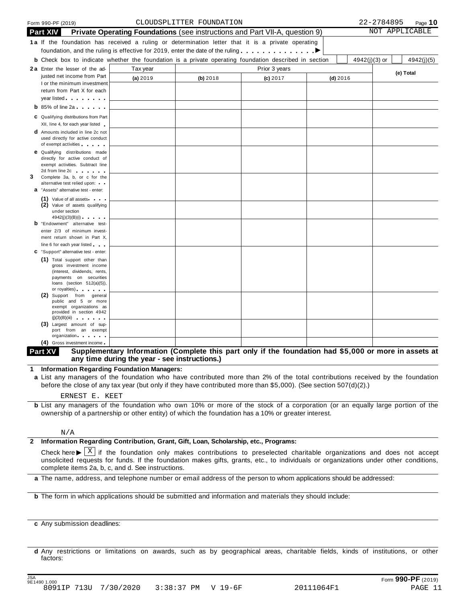|   | Form 990-PF (2019)                                                                                                                                                                                                                   |                                                                                    |          | CLOUDSPLITTER FOUNDATION |          |  |               |  |            |               | 22-2784895 | Page $10$      |
|---|--------------------------------------------------------------------------------------------------------------------------------------------------------------------------------------------------------------------------------------|------------------------------------------------------------------------------------|----------|--------------------------|----------|--|---------------|--|------------|---------------|------------|----------------|
|   | <b>Part XIV</b>                                                                                                                                                                                                                      | <b>Private Operating Foundations</b> (see instructions and Part VII-A, question 9) |          |                          |          |  |               |  |            |               |            | NOT APPLICABLE |
|   | 1a If the foundation has received a ruling or determination letter that it is a private operating                                                                                                                                    |                                                                                    |          |                          |          |  |               |  |            |               |            |                |
|   | foundation, and the ruling is effective for 2019, enter the date of the ruling $\dots \dots \dots$                                                                                                                                   |                                                                                    |          |                          |          |  |               |  |            |               |            |                |
|   | <b>b</b> Check box to indicate whether the foundation is a private operating foundation described in section                                                                                                                         |                                                                                    |          |                          |          |  |               |  |            | 4942(j)(3) or |            | 4942(j)(5)     |
|   | 2a Enter the lesser of the ad-                                                                                                                                                                                                       |                                                                                    | Tax year |                          |          |  | Prior 3 years |  |            |               |            |                |
|   | justed net income from Part                                                                                                                                                                                                          |                                                                                    | (a) 2019 |                          | (b) 2018 |  | (c) 2017      |  | $(d)$ 2016 |               |            | (e) Total      |
|   | I or the minimum investment                                                                                                                                                                                                          |                                                                                    |          |                          |          |  |               |  |            |               |            |                |
|   | return from Part X for each                                                                                                                                                                                                          |                                                                                    |          |                          |          |  |               |  |            |               |            |                |
|   | year listed <b>with the set of the set of the set of the set of the set of the set of the set of the set of the set of the set of the set of the set of the set of the set of the set of the set of the set of the set of the se</b> |                                                                                    |          |                          |          |  |               |  |            |               |            |                |
|   | $\mathbf b$ 85% of line 2a $\mathbf b$                                                                                                                                                                                               |                                                                                    |          |                          |          |  |               |  |            |               |            |                |
|   | C Qualifying distributions from Part                                                                                                                                                                                                 |                                                                                    |          |                          |          |  |               |  |            |               |            |                |
|   | XII, line 4, for each year listed                                                                                                                                                                                                    |                                                                                    |          |                          |          |  |               |  |            |               |            |                |
|   | <b>d</b> Amounts included in line 2c not<br>used directly for active conduct                                                                                                                                                         |                                                                                    |          |                          |          |  |               |  |            |               |            |                |
|   | of exempt activities and the state of                                                                                                                                                                                                |                                                                                    |          |                          |          |  |               |  |            |               |            |                |
|   | <b>e</b> Qualifying distributions made                                                                                                                                                                                               |                                                                                    |          |                          |          |  |               |  |            |               |            |                |
|   | directly for active conduct of<br>exempt activities. Subtract line                                                                                                                                                                   |                                                                                    |          |                          |          |  |               |  |            |               |            |                |
|   | 2d from line 2c and the state of the state of the state of the state of the state of the state of the state of                                                                                                                       |                                                                                    |          |                          |          |  |               |  |            |               |            |                |
| 3 | Complete 3a, b, or c for the                                                                                                                                                                                                         |                                                                                    |          |                          |          |  |               |  |            |               |            |                |
|   | alternative test relied upon:<br>a "Assets" alternative test - enter:                                                                                                                                                                |                                                                                    |          |                          |          |  |               |  |            |               |            |                |
|   | (1) Value of all assets                                                                                                                                                                                                              |                                                                                    |          |                          |          |  |               |  |            |               |            |                |
|   | (2) Value of assets qualifying                                                                                                                                                                                                       |                                                                                    |          |                          |          |  |               |  |            |               |            |                |
|   | under section                                                                                                                                                                                                                        |                                                                                    |          |                          |          |  |               |  |            |               |            |                |
|   | <b>b</b> "Endowment" alternative test-                                                                                                                                                                                               | 4942(j)(3)(B)(i)                                                                   |          |                          |          |  |               |  |            |               |            |                |
|   | enter 2/3 of minimum invest-                                                                                                                                                                                                         |                                                                                    |          |                          |          |  |               |  |            |               |            |                |
|   | ment return shown in Part X,                                                                                                                                                                                                         |                                                                                    |          |                          |          |  |               |  |            |               |            |                |
|   | line 6 for each year listed                                                                                                                                                                                                          |                                                                                    |          |                          |          |  |               |  |            |               |            |                |
|   | C "Support" alternative test - enter:                                                                                                                                                                                                |                                                                                    |          |                          |          |  |               |  |            |               |            |                |
|   | (1) Total support other than                                                                                                                                                                                                         | gross investment income                                                            |          |                          |          |  |               |  |            |               |            |                |
|   |                                                                                                                                                                                                                                      | (interest, dividends, rents,                                                       |          |                          |          |  |               |  |            |               |            |                |
|   |                                                                                                                                                                                                                                      | payments on securities<br>loans (section 512(a)(5)),                               |          |                          |          |  |               |  |            |               |            |                |
|   |                                                                                                                                                                                                                                      | or royalties) and the control of the control of                                    |          |                          |          |  |               |  |            |               |            |                |
|   | (2) Support from general                                                                                                                                                                                                             |                                                                                    |          |                          |          |  |               |  |            |               |            |                |
|   |                                                                                                                                                                                                                                      | exempt organizations as                                                            |          |                          |          |  |               |  |            |               |            |                |
|   |                                                                                                                                                                                                                                      | provided in section 4942                                                           |          |                          |          |  |               |  |            |               |            |                |
|   | (3) Largest amount of sup-                                                                                                                                                                                                           |                                                                                    |          |                          |          |  |               |  |            |               |            |                |
|   |                                                                                                                                                                                                                                      | port from an exempt                                                                |          |                          |          |  |               |  |            |               |            |                |
|   |                                                                                                                                                                                                                                      |                                                                                    |          |                          |          |  |               |  |            |               |            |                |
|   | (4) Gross investment income                                                                                                                                                                                                          | public and 5 or more<br>(j)(3)(B)(iii)<br>organization.                            |          |                          |          |  |               |  |            |               |            |                |

#### Part XV Supplementary Information (Complete this part only if the foundation had \$5,000 or more in assets at **any time during the year - see instructions.)**

**1 Information Regarding Foundation Managers:**

**a** List any managers of the foundation who have contributed more than 2% of the total contributions received by the foundation before the close of any tax year (but only if they have contributed more than \$5,000). (See section 507(d)(2).)

ERNEST E. KEET

**b** List any managers of the foundation who own 10% or more of the stock of a corporation (or an equally large portion of the ownership of a partnership or other entity) of which the foundation has a 10% or greater interest.

#### N/A

#### **2 Information Regarding Contribution, Grant, Gift, Loan, Scholarship, etc., Programs:**

Check here  $\blacktriangleright \overline{X}$  if the foundation only makes contributions to preselected charitable organizations and does not accept<br>unsolicited requests for funds. If the foundation makes gifts, grants, etc., to individuals o complete items 2a, b, c, and d. See instructions. X

**a** The name, address, and telephone number or email address of the person to whom applications should be addressed:

**b** The form in which applications should be submitted and information and materials they should include:

**c** Any submission deadlines:

**d** Any restrictions or limitations on awards, such as by geographical areas, charitable fields, kinds of institutions, or other factors: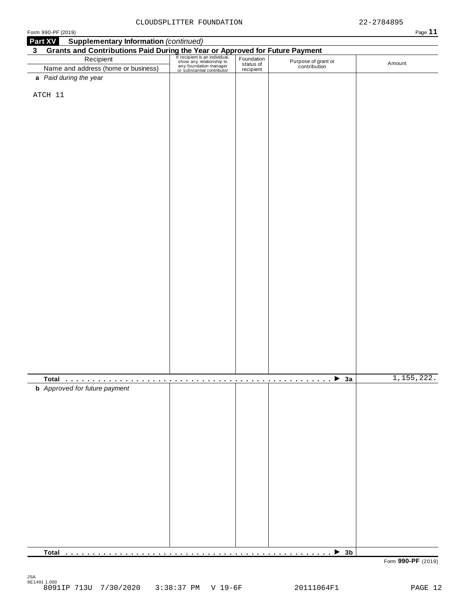| Form 990-PF (2019)                                                           |                                                                                                                 |                         |                                     | Page 11    |
|------------------------------------------------------------------------------|-----------------------------------------------------------------------------------------------------------------|-------------------------|-------------------------------------|------------|
| <b>Supplementary Information (continued)</b><br>Part XV                      |                                                                                                                 |                         |                                     |            |
| Grants and Contributions Paid During the Year or Approved for Future Payment |                                                                                                                 |                         |                                     |            |
| Recipient                                                                    | Frecipient is an individual,<br>the way relationship to<br>any foundation manager<br>or substantial contributor | Foundation<br>status of | Purpose of grant or<br>contribution | Amount     |
| Name and address (home or business)                                          |                                                                                                                 | recipient               |                                     |            |
| a Paid during the year                                                       |                                                                                                                 |                         |                                     |            |
| ATCH 11                                                                      |                                                                                                                 |                         |                                     |            |
|                                                                              |                                                                                                                 |                         |                                     |            |
|                                                                              |                                                                                                                 |                         |                                     |            |
|                                                                              |                                                                                                                 |                         |                                     |            |
|                                                                              |                                                                                                                 |                         |                                     |            |
|                                                                              |                                                                                                                 |                         |                                     |            |
|                                                                              |                                                                                                                 |                         |                                     |            |
|                                                                              |                                                                                                                 |                         |                                     |            |
|                                                                              |                                                                                                                 |                         |                                     |            |
|                                                                              |                                                                                                                 |                         |                                     |            |
|                                                                              |                                                                                                                 |                         |                                     |            |
|                                                                              |                                                                                                                 |                         |                                     |            |
|                                                                              |                                                                                                                 |                         |                                     |            |
|                                                                              |                                                                                                                 |                         |                                     |            |
|                                                                              |                                                                                                                 |                         |                                     |            |
|                                                                              |                                                                                                                 |                         |                                     |            |
|                                                                              |                                                                                                                 |                         |                                     |            |
|                                                                              |                                                                                                                 |                         |                                     |            |
|                                                                              |                                                                                                                 |                         |                                     |            |
|                                                                              |                                                                                                                 |                         |                                     |            |
|                                                                              |                                                                                                                 |                         |                                     |            |
|                                                                              |                                                                                                                 |                         |                                     |            |
|                                                                              |                                                                                                                 |                         |                                     |            |
|                                                                              |                                                                                                                 |                         |                                     |            |
|                                                                              |                                                                                                                 |                         |                                     |            |
|                                                                              |                                                                                                                 |                         |                                     |            |
|                                                                              |                                                                                                                 |                         |                                     |            |
|                                                                              |                                                                                                                 |                         |                                     |            |
|                                                                              |                                                                                                                 |                         |                                     |            |
|                                                                              |                                                                                                                 |                         |                                     |            |
|                                                                              |                                                                                                                 |                         |                                     | 1,155,222. |
| <b>b</b> Approved for future payment                                         |                                                                                                                 |                         |                                     |            |
|                                                                              |                                                                                                                 |                         |                                     |            |
|                                                                              |                                                                                                                 |                         |                                     |            |
|                                                                              |                                                                                                                 |                         |                                     |            |
|                                                                              |                                                                                                                 |                         |                                     |            |
|                                                                              |                                                                                                                 |                         |                                     |            |
|                                                                              |                                                                                                                 |                         |                                     |            |
|                                                                              |                                                                                                                 |                         |                                     |            |
|                                                                              |                                                                                                                 |                         |                                     |            |
|                                                                              |                                                                                                                 |                         |                                     |            |
|                                                                              |                                                                                                                 |                         |                                     |            |
|                                                                              |                                                                                                                 |                         |                                     |            |
|                                                                              |                                                                                                                 |                         |                                     |            |
|                                                                              |                                                                                                                 |                         |                                     |            |
|                                                                              |                                                                                                                 |                         |                                     |            |
|                                                                              |                                                                                                                 |                         |                                     |            |
|                                                                              |                                                                                                                 |                         |                                     |            |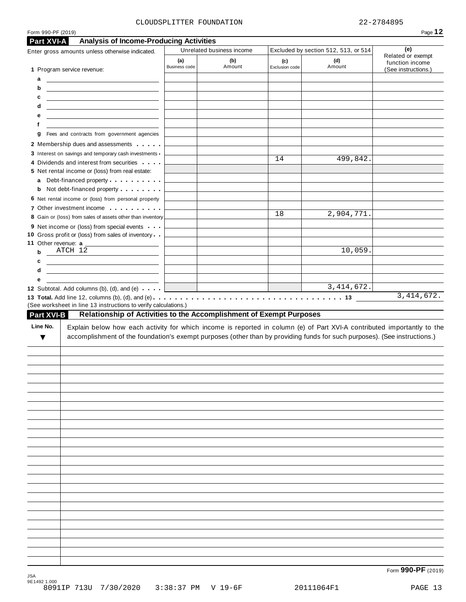| Part XVI-A                    | <b>Analysis of Income-Producing Activities</b><br>Enter gross amounts unless otherwise indicated.                                                                                              |                             | Unrelated business income |                       | Excluded by section 512, 513, or 514 | (e)                                                         |
|-------------------------------|------------------------------------------------------------------------------------------------------------------------------------------------------------------------------------------------|-----------------------------|---------------------------|-----------------------|--------------------------------------|-------------------------------------------------------------|
| 1 Program service revenue:    |                                                                                                                                                                                                | (a)<br><b>Business code</b> | (b)<br>Amount             | (c)<br>Exclusion code | (d)<br>Amount                        | Related or exempt<br>function income<br>(See instructions.) |
| а                             | <u> Alexandria de la contrada de la contrada de la contrada de la contrada de la contrada de la contrada de la c</u>                                                                           |                             |                           |                       |                                      |                                                             |
| b                             | <u> 1989 - Johann Harry Harry Harry Harry Harry Harry Harry Harry Harry Harry Harry Harry Harry Harry Harry Harry</u>                                                                          |                             |                           |                       |                                      |                                                             |
| с                             | <u> 1989 - Johann Harry Harry Harry Harry Harry Harry Harry Harry Harry Harry Harry Harry Harry Harry Harry Harry</u>                                                                          |                             |                           |                       |                                      |                                                             |
| d                             | <u> 1980 - Johann Barbara, martxa alemaniar a</u>                                                                                                                                              |                             |                           |                       |                                      |                                                             |
| е<br>f                        | <u> 1989 - Johann Stein, mars an deutscher Stein und der Stein und der Stein und der Stein und der Stein und der</u>                                                                           |                             |                           |                       |                                      |                                                             |
| g                             | Fees and contracts from government agencies                                                                                                                                                    |                             |                           |                       |                                      |                                                             |
|                               | 2 Membership dues and assessments                                                                                                                                                              |                             |                           |                       |                                      |                                                             |
|                               | 3 Interest on savings and temporary cash investments -                                                                                                                                         |                             |                           | 14                    | 499,842.                             |                                                             |
|                               | 4 Dividends and interest from securities                                                                                                                                                       |                             |                           |                       |                                      |                                                             |
| a                             | 5 Net rental income or (loss) from real estate:<br>Debt-financed property exercise the control of                                                                                              |                             |                           |                       |                                      |                                                             |
| b                             | Not debt-financed property entertainment                                                                                                                                                       |                             |                           |                       |                                      |                                                             |
|                               | 6 Net rental income or (loss) from personal property                                                                                                                                           |                             |                           |                       |                                      |                                                             |
|                               | 7 Other investment income <b>container</b> and <b>reports</b>                                                                                                                                  |                             |                           | 18                    | 2,904,771.                           |                                                             |
|                               | 8 Gain or (loss) from sales of assets other than inventory                                                                                                                                     |                             |                           |                       |                                      |                                                             |
|                               | 9 Net income or (loss) from special events<br>10 Gross profit or (loss) from sales of inventory                                                                                                |                             |                           |                       |                                      |                                                             |
| 11 Other revenue: a           |                                                                                                                                                                                                |                             |                           |                       |                                      |                                                             |
| ATCH 12<br>b                  |                                                                                                                                                                                                |                             |                           |                       | 10,059.                              |                                                             |
| с                             | <u> 2008 - An Dùbhlachd ann an Dùbhad ann an Dùbhad ann an Dùbhad ann an Dùbhad ann an Dùbhad ann an Dùbhad ann an </u>                                                                        |                             |                           |                       |                                      |                                                             |
|                               |                                                                                                                                                                                                |                             |                           |                       |                                      |                                                             |
|                               | <u> 1980 - Johann Barn, mars ann an t-Alban ann an t-Alban ann an t-Alban ann an t-Alban ann an t-Alban ann an t-</u>                                                                          |                             |                           |                       |                                      |                                                             |
| d<br>е                        |                                                                                                                                                                                                |                             |                           |                       |                                      |                                                             |
|                               | 12 Subtotal. Add columns (b), (d), and (e)                                                                                                                                                     |                             |                           |                       | 3,414,672.                           | 3,414,672.                                                  |
|                               | (See worksheet in line 13 instructions to verify calculations.)                                                                                                                                |                             |                           |                       |                                      |                                                             |
| <b>Part XVI-B</b><br>Line No. | Relationship of Activities to the Accomplishment of Exempt Purposes<br>Explain below how each activity for which income is reported in column (e) of Part XVI-A contributed importantly to the |                             |                           |                       |                                      |                                                             |
| ▼                             | accomplishment of the foundation's exempt purposes (other than by providing funds for such purposes). (See instructions.)                                                                      |                             |                           |                       |                                      |                                                             |
|                               |                                                                                                                                                                                                |                             |                           |                       |                                      |                                                             |
|                               |                                                                                                                                                                                                |                             |                           |                       |                                      |                                                             |
|                               |                                                                                                                                                                                                |                             |                           |                       |                                      |                                                             |
|                               |                                                                                                                                                                                                |                             |                           |                       |                                      |                                                             |
|                               |                                                                                                                                                                                                |                             |                           |                       |                                      |                                                             |
|                               |                                                                                                                                                                                                |                             |                           |                       |                                      |                                                             |
|                               |                                                                                                                                                                                                |                             |                           |                       |                                      |                                                             |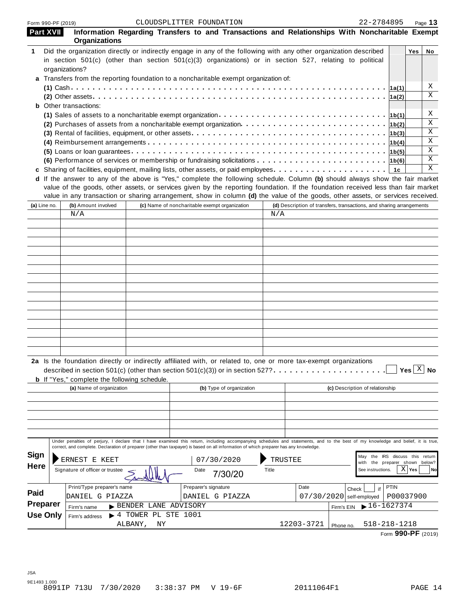| <b>Part XVII</b> | Information Regarding Transfers to and Transactions and Relationships With Noncharitable Exempt<br><b>Organizations</b>                                                                                                                                                                                                                                                                              |                                           |                                               |                          |              |                                                                      |            |                                 |                                                          |                                                |                   |
|------------------|------------------------------------------------------------------------------------------------------------------------------------------------------------------------------------------------------------------------------------------------------------------------------------------------------------------------------------------------------------------------------------------------------|-------------------------------------------|-----------------------------------------------|--------------------------|--------------|----------------------------------------------------------------------|------------|---------------------------------|----------------------------------------------------------|------------------------------------------------|-------------------|
| 1                | Did the organization directly or indirectly engage in any of the following with any other organization described<br>in section 501(c) (other than section 501(c)(3) organizations) or in section 527, relating to political                                                                                                                                                                          |                                           |                                               |                          |              |                                                                      |            |                                 |                                                          | Yes                                            | No                |
|                  | organizations?                                                                                                                                                                                                                                                                                                                                                                                       |                                           |                                               |                          |              |                                                                      |            |                                 |                                                          |                                                |                   |
|                  | a Transfers from the reporting foundation to a noncharitable exempt organization of:                                                                                                                                                                                                                                                                                                                 |                                           |                                               |                          |              |                                                                      |            |                                 |                                                          |                                                | Χ                 |
|                  |                                                                                                                                                                                                                                                                                                                                                                                                      |                                           |                                               |                          |              |                                                                      |            |                                 |                                                          |                                                | X                 |
|                  |                                                                                                                                                                                                                                                                                                                                                                                                      |                                           |                                               |                          |              |                                                                      |            |                                 | 1a(2)                                                    |                                                |                   |
|                  | <b>b</b> Other transactions:                                                                                                                                                                                                                                                                                                                                                                         |                                           |                                               |                          |              |                                                                      |            |                                 |                                                          |                                                |                   |
|                  | (1) Sales of assets to a noncharitable exempt organization $\ldots \ldots \ldots \ldots \ldots \ldots \ldots \ldots \ldots \ldots \lfloor b(1) \rfloor$                                                                                                                                                                                                                                              |                                           |                                               |                          |              |                                                                      |            |                                 |                                                          |                                                | Χ<br>$\mathbf{x}$ |
|                  |                                                                                                                                                                                                                                                                                                                                                                                                      |                                           |                                               |                          |              |                                                                      |            |                                 | 1b(2)                                                    |                                                |                   |
|                  |                                                                                                                                                                                                                                                                                                                                                                                                      |                                           |                                               |                          |              |                                                                      |            |                                 | 1b(3)                                                    |                                                | X<br>X            |
|                  |                                                                                                                                                                                                                                                                                                                                                                                                      |                                           |                                               |                          |              |                                                                      |            |                                 | 1b(4)                                                    |                                                |                   |
|                  |                                                                                                                                                                                                                                                                                                                                                                                                      |                                           |                                               |                          |              |                                                                      |            |                                 | 1b(5)                                                    |                                                | X                 |
|                  | (6) Performance of services or membership or fundraising solicitations $\ldots \ldots \ldots \ldots \ldots \ldots \ldots \ldots$                                                                                                                                                                                                                                                                     |                                           |                                               |                          |              |                                                                      |            |                                 |                                                          |                                                | X                 |
|                  |                                                                                                                                                                                                                                                                                                                                                                                                      |                                           |                                               |                          |              |                                                                      |            |                                 |                                                          |                                                | X                 |
|                  | d If the answer to any of the above is "Yes," complete the following schedule. Column (b) should always show the fair market<br>value of the goods, other assets, or services given by the reporting foundation. If the foundation received less than fair market<br>value in any transaction or sharing arrangement, show in column (d) the value of the goods, other assets, or services received. |                                           |                                               |                          |              | (d) Description of transfers, transactions, and sharing arrangements |            |                                 |                                                          |                                                |                   |
| (a) Line no.     | (b) Amount involved<br>N/A                                                                                                                                                                                                                                                                                                                                                                           |                                           | (c) Name of noncharitable exempt organization |                          | N/A          |                                                                      |            |                                 |                                                          |                                                |                   |
|                  |                                                                                                                                                                                                                                                                                                                                                                                                      |                                           |                                               |                          |              |                                                                      |            |                                 |                                                          |                                                |                   |
|                  |                                                                                                                                                                                                                                                                                                                                                                                                      |                                           |                                               |                          |              |                                                                      |            |                                 |                                                          |                                                |                   |
|                  |                                                                                                                                                                                                                                                                                                                                                                                                      |                                           |                                               |                          |              |                                                                      |            |                                 |                                                          |                                                |                   |
|                  |                                                                                                                                                                                                                                                                                                                                                                                                      |                                           |                                               |                          |              |                                                                      |            |                                 |                                                          |                                                |                   |
|                  |                                                                                                                                                                                                                                                                                                                                                                                                      |                                           |                                               |                          |              |                                                                      |            |                                 |                                                          |                                                |                   |
|                  |                                                                                                                                                                                                                                                                                                                                                                                                      |                                           |                                               |                          |              |                                                                      |            |                                 |                                                          |                                                |                   |
|                  |                                                                                                                                                                                                                                                                                                                                                                                                      |                                           |                                               |                          |              |                                                                      |            |                                 |                                                          |                                                |                   |
|                  |                                                                                                                                                                                                                                                                                                                                                                                                      |                                           |                                               |                          |              |                                                                      |            |                                 |                                                          |                                                |                   |
|                  |                                                                                                                                                                                                                                                                                                                                                                                                      |                                           |                                               |                          |              |                                                                      |            |                                 |                                                          |                                                |                   |
|                  |                                                                                                                                                                                                                                                                                                                                                                                                      |                                           |                                               |                          |              |                                                                      |            |                                 |                                                          |                                                |                   |
|                  |                                                                                                                                                                                                                                                                                                                                                                                                      |                                           |                                               |                          |              |                                                                      |            |                                 |                                                          |                                                |                   |
|                  |                                                                                                                                                                                                                                                                                                                                                                                                      |                                           |                                               |                          |              |                                                                      |            |                                 |                                                          |                                                |                   |
|                  |                                                                                                                                                                                                                                                                                                                                                                                                      |                                           |                                               |                          |              |                                                                      |            |                                 |                                                          |                                                |                   |
|                  |                                                                                                                                                                                                                                                                                                                                                                                                      |                                           |                                               |                          |              |                                                                      |            |                                 |                                                          |                                                |                   |
|                  |                                                                                                                                                                                                                                                                                                                                                                                                      |                                           |                                               |                          |              |                                                                      |            |                                 |                                                          |                                                |                   |
|                  | 2a Is the foundation directly or indirectly affiliated with, or related to, one or more tax-exempt organizations<br>described in section 501(c) (other than section 501(c)(3)) or in section 527? $\ldots$ .<br><b>b</b> If "Yes," complete the following schedule.                                                                                                                                  |                                           |                                               |                          |              |                                                                      |            |                                 |                                                          | $\rfloor$ Yes $\lfloor \frac{X}{2} \rfloor$ No |                   |
|                  | (a) Name of organization                                                                                                                                                                                                                                                                                                                                                                             |                                           |                                               | (b) Type of organization |              |                                                                      |            | (c) Description of relationship |                                                          |                                                |                   |
|                  |                                                                                                                                                                                                                                                                                                                                                                                                      |                                           |                                               |                          |              |                                                                      |            |                                 |                                                          |                                                |                   |
|                  |                                                                                                                                                                                                                                                                                                                                                                                                      |                                           |                                               |                          |              |                                                                      |            |                                 |                                                          |                                                |                   |
|                  |                                                                                                                                                                                                                                                                                                                                                                                                      |                                           |                                               |                          |              |                                                                      |            |                                 |                                                          |                                                |                   |
|                  |                                                                                                                                                                                                                                                                                                                                                                                                      |                                           |                                               |                          |              |                                                                      |            |                                 |                                                          |                                                |                   |
|                  |                                                                                                                                                                                                                                                                                                                                                                                                      |                                           |                                               |                          |              |                                                                      |            |                                 |                                                          |                                                |                   |
|                  | Under penalties of perjury, I declare that I have examined this return, including accompanying schedules and statements, and to the best of my knowledge and belief, it is true,                                                                                                                                                                                                                     |                                           |                                               |                          |              |                                                                      |            |                                 |                                                          |                                                |                   |
|                  | correct, and complete. Declaration of preparer (other than taxpayer) is based on all information of which preparer has any knowledge.                                                                                                                                                                                                                                                                |                                           |                                               |                          |              |                                                                      |            |                                 |                                                          |                                                |                   |
| <b>Sign</b>      | ERNEST E KEET                                                                                                                                                                                                                                                                                                                                                                                        |                                           |                                               | 07/30/2020               | TRUSTEE      |                                                                      |            | May<br>with                     | the IRS discuss this return<br>the preparer shown below? |                                                |                   |
| <b>Here</b>      | Signature of officer or trustee                                                                                                                                                                                                                                                                                                                                                                      |                                           | Date                                          | 7/30/20                  | <b>Title</b> |                                                                      |            | See instructions.               |                                                          | $X$ Yes                                        | No                |
|                  | Print/Type preparer's name                                                                                                                                                                                                                                                                                                                                                                           |                                           | Preparer's signature                          |                          |              | Date                                                                 |            | if<br>Check                     | <b>PTIN</b>                                              |                                                |                   |
| Paid             | DANIEL G PIAZZA                                                                                                                                                                                                                                                                                                                                                                                      |                                           |                                               | DANIEL G PIAZZA          |              | $07/30/2020$ self-employed                                           |            |                                 | P00037900                                                |                                                |                   |
| <b>Preparer</b>  | Firm's name                                                                                                                                                                                                                                                                                                                                                                                          | BENDER LANE ADVISORY                      |                                               |                          |              |                                                                      | Firm's EIN | $16 - 1627374$                  |                                                          |                                                |                   |
| <b>Use Only</b>  | Firm's address                                                                                                                                                                                                                                                                                                                                                                                       | $\blacktriangleright$ 4 TOWER PL STE 1001 |                                               |                          |              |                                                                      |            |                                 |                                                          |                                                |                   |
|                  |                                                                                                                                                                                                                                                                                                                                                                                                      | ALBANY,<br>ΝY                             |                                               |                          |              | 12203-3721                                                           | Phone no.  | $518 - 218 - 1218$              |                                                          |                                                |                   |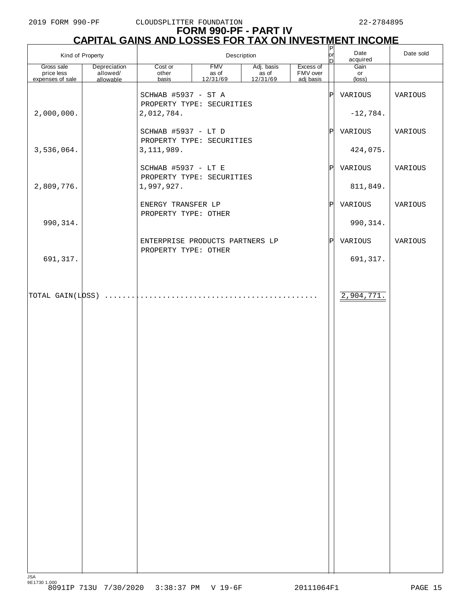#### 2019 FORM 990-PF CLOUDSPLITTER FOUNDATION 22-2784895

# **FORM 990-PF - PART IV CAPITAL GAINS AND LOSSES FOR TAX ON INVESTMENT INCOME** P

| Kind of Property                                   |                                       |                                                  | Description                     | $\begin{bmatrix} P \\ or \end{bmatrix}$<br>Inl | Date<br>acquired                   | Date sold         |                               |         |
|----------------------------------------------------|---------------------------------------|--------------------------------------------------|---------------------------------|------------------------------------------------|------------------------------------|-------------------|-------------------------------|---------|
| Gross sale<br>price less<br>expenses of sale       | Depreciation<br>allowed/<br>allowable | Cost or<br>other<br>basis                        | <b>FMV</b><br>as of<br>12/31/69 | Adj. basis<br>$\frac{7}{4}$ as of<br>12/31/69  | Excess of<br>FMV over<br>adj basis |                   | Gain<br>or<br>$(\text{loss})$ |         |
|                                                    |                                       | SCHWAB #5937 - ST A<br>PROPERTY TYPE: SECURITIES |                                 |                                                |                                    | P                 | VARIOUS                       | VARIOUS |
| 2,000,000.                                         |                                       | 2,012,784.<br>SCHWAB #5937 - LT D                |                                 |                                                |                                    | $\vert$ P $\vert$ | $-12,784.$<br>VARIOUS         | VARIOUS |
| 3,536,064.                                         |                                       | PROPERTY TYPE: SECURITIES<br>3, 111, 989.        |                                 |                                                |                                    |                   | 424,075.                      |         |
|                                                    |                                       | SCHWAB #5937 - LT E<br>PROPERTY TYPE: SECURITIES |                                 |                                                |                                    | $\vert$ P $\vert$ | VARIOUS                       | VARIOUS |
| 2,809,776.                                         |                                       | 1,997,927.                                       |                                 |                                                |                                    |                   | 811,849.                      |         |
| 990, 314.                                          |                                       | ENERGY TRANSFER LP<br>PROPERTY TYPE: OTHER       |                                 |                                                |                                    | $\vert$ P $\vert$ | VARIOUS<br>990, 314.          | VARIOUS |
|                                                    |                                       | ENTERPRISE PRODUCTS PARTNERS LP                  |                                 |                                                |                                    | $\mathbb{P}$      | VARIOUS                       | VARIOUS |
| 691,317.                                           |                                       | PROPERTY TYPE: OTHER                             |                                 |                                                |                                    |                   | 691, 317.                     |         |
| $\boxed{\text{TOTAL GAIN(L)} \quad \ldots \ldots}$ |                                       |                                                  |                                 |                                                |                                    |                   | 2,904,771.                    |         |
|                                                    |                                       |                                                  |                                 |                                                |                                    |                   |                               |         |
|                                                    |                                       |                                                  |                                 |                                                |                                    |                   |                               |         |
|                                                    |                                       |                                                  |                                 |                                                |                                    |                   |                               |         |
|                                                    |                                       |                                                  |                                 |                                                |                                    |                   |                               |         |
|                                                    |                                       |                                                  |                                 |                                                |                                    |                   |                               |         |
|                                                    |                                       |                                                  |                                 |                                                |                                    |                   |                               |         |
|                                                    |                                       |                                                  |                                 |                                                |                                    |                   |                               |         |
|                                                    |                                       |                                                  |                                 |                                                |                                    |                   |                               |         |
|                                                    |                                       |                                                  |                                 |                                                |                                    |                   |                               |         |
|                                                    |                                       |                                                  |                                 |                                                |                                    |                   |                               |         |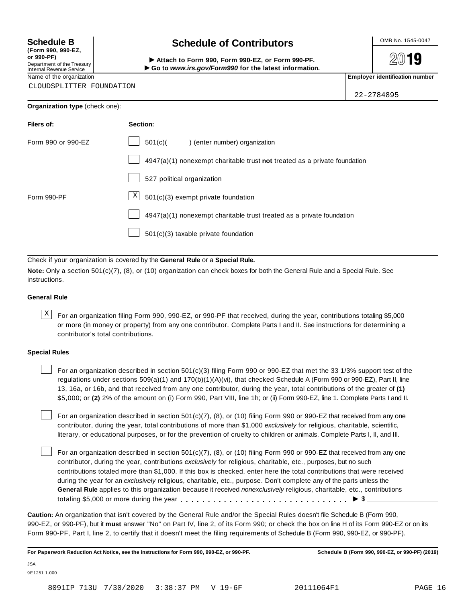**(Form 990, 990-EZ, or 990-PF)** Department of the Treasury<br>Internal Revenue Service

CLOUDSPLITTER FOUNDATION

# **Schedule B chedule of Contributors**

(Porm 990, Form 990, Form 990-EZ, or Form 990-PF.<br>Department of the Treasury → Attach to Form 990, Form 990-EZ, or Form 990-PF.<br>Internal Revenue Service → → Go to www.irs.gov/Form990 for the latest information.<br>Name of th

2019

22-2784895

| <b>Organization type (check one):</b> |                                                                           |
|---------------------------------------|---------------------------------------------------------------------------|
| Filers of:                            | Section:                                                                  |
| Form 990 or 990-EZ                    | 501(c)<br>) (enter number) organization                                   |
|                                       | 4947(a)(1) nonexempt charitable trust not treated as a private foundation |
|                                       | 527 political organization                                                |
| Form 990-PF                           | $\vert X \vert$<br>501(c)(3) exempt private foundation                    |
|                                       | 4947(a)(1) nonexempt charitable trust treated as a private foundation     |
|                                       | 501(c)(3) taxable private foundation                                      |

Check if your organization is covered by the **General Rule** or a **Special Rule.**

**Note:** Only a section 501(c)(7), (8), or (10) organization can check boxes for both the General Rule and a Special Rule. See instructions.

#### **General Rule**

 $\overline{X}$  For an organization filing Form 990, 990-EZ, or 990-PF that received, during the year, contributions totaling \$5,000 or more (in money or property) from any one contributor. Complete Parts I and II. See instructions for determining a contributor's total contributions.

#### **Special Rules**

For an organization described in section 501(c)(3) filing Form 990 or 990-EZ that met the 33 1/3% support test of the regulations under sections 509(a)(1) and 170(b)(1)(A)(vi), that checked Schedule A (Form 990 or 990-EZ), Part II, line 13, 16a, or 16b, and that received from any one contributor, during the year, total contributions of the greater of **(1)** \$5,000; or **(2)** 2% of the amount on (i) Form 990, Part VIII, line 1h; or (ii) Form 990-EZ, line 1. Complete Parts I and II.

For an organization described in section 501(c)(7), (8), or (10) filing Form 990 or 990-EZ that received from any one contributor, during the year, total contributions of more than \$1,000 *exclusively* for religious, charitable, scientific, literary, or educational purposes, or for the prevention of cruelty to children or animals. Complete Parts I, II, and III.

For an organization described in section 501(c)(7), (8), or (10) filing Form 990 or 990-EZ that received from any one contributor, during the year, contributions *exclusively* for religious, charitable, etc., purposes, but no such contributions totaled more than \$1,000. If this box is checked, enter here the total contributions that were received during the year for an *exclusively* religious, charitable, etc., purpose. Don't complete any of the parts unless the **General Rule** applies to this organization because it received *nonexclusively* religious, charitable, etc., contributions totaling \$5,000 or more during the year m m m m m m m m m m m m m m m m m m m m m m m m m m m m m m m I \$

**Caution:** An organization that isn't covered by the General Rule and/or the Special Rules doesn't file Schedule B (Form 990, 990-EZ, or 990-PF), but it **must** answer "No" on Part IV, line 2, of its Form 990; or check the box on line H of its Form 990-EZ or on its Form 990-PF, Part I, line 2, to certify that it doesn't meet the filing requirements of Schedule B (Form 990, 990-EZ, or 990-PF).

For Paperwork Reduction Act Notice, see the instructions for Form 990, 990-EZ, or 990-PF. Schedule B (Form 990, 990-EZ, or 990-PF) (2019)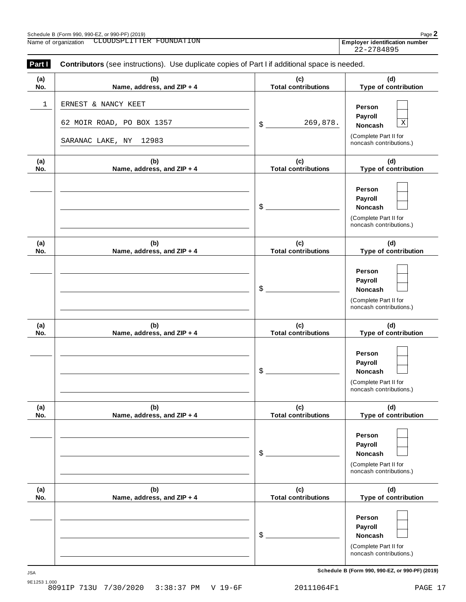| Part I      | Contributors (see instructions). Use duplicate copies of Part I if additional space is needed. |                                   |                                                                                                 |
|-------------|------------------------------------------------------------------------------------------------|-----------------------------------|-------------------------------------------------------------------------------------------------|
| (a)<br>No.  | (b)<br>Name, address, and ZIP + 4                                                              | (c)<br><b>Total contributions</b> | (d)<br>Type of contribution                                                                     |
| $\mathbf 1$ | ERNEST & NANCY KEET<br>62 MOIR ROAD, PO BOX 1357<br>SARANAC LAKE, NY 12983                     | 269,878.<br>$\frac{1}{2}$         | Person<br>Payroll<br>$\mathbf X$<br>Noncash<br>(Complete Part II for<br>noncash contributions.) |
| (a)<br>No.  | (b)<br>Name, address, and ZIP + 4                                                              | (c)<br><b>Total contributions</b> | (d)<br>Type of contribution                                                                     |
|             |                                                                                                | $\frac{1}{2}$                     | Person<br>Payroll<br>Noncash<br>(Complete Part II for<br>noncash contributions.)                |
| (a)<br>No.  | (b)<br>Name, address, and ZIP + 4                                                              | (c)<br><b>Total contributions</b> | (d)<br>Type of contribution                                                                     |
|             |                                                                                                | $\frac{1}{2}$                     | Person<br>Payroll<br>Noncash<br>(Complete Part II for<br>noncash contributions.)                |
| (a)<br>No.  | (b)<br>Name, address, and ZIP + 4                                                              | (c)<br><b>Total contributions</b> | (d)<br>Type of contribution                                                                     |
|             |                                                                                                | \$                                | Person<br>Payroll<br>Noncash<br>(Complete Part II for<br>noncash contributions.)                |
| (a)<br>No.  | (b)<br>Name, address, and ZIP + 4                                                              | (c)<br><b>Total contributions</b> | (d)<br>Type of contribution                                                                     |
|             |                                                                                                | \$                                | Person<br>Payroll<br>Noncash<br>(Complete Part II for<br>noncash contributions.)                |
| (a)<br>No.  | (b)<br>Name, address, and ZIP + 4                                                              | (c)<br><b>Total contributions</b> | (d)<br>Type of contribution                                                                     |
|             |                                                                                                | \$                                | Person<br>Payroll<br>Noncash<br>(Complete Part II for<br>noncash contributions.)                |

**Schedule B (Form 990, 990-EZ, or 990-PF) (2019)** JSA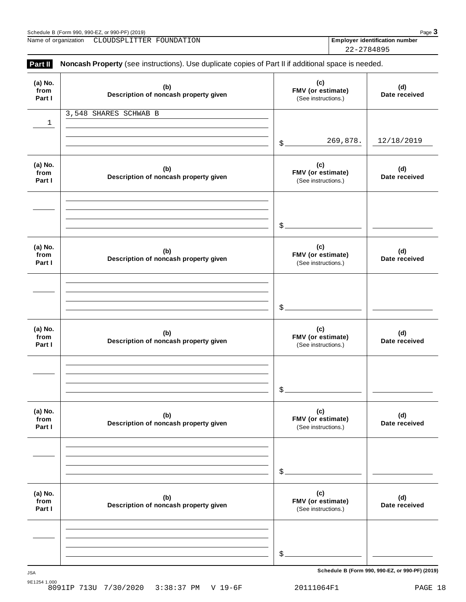| Schedule B (Form 990, 990-EZ, or 990-PF) (2019) |                          |  |                                       | Page $\mathbf{\dot{5}}$ |
|-------------------------------------------------|--------------------------|--|---------------------------------------|-------------------------|
| Name of organization                            | CLOUDSPLITTER FOUNDATION |  | <b>Employer identification number</b> |                         |
|                                                 |                          |  | 22-2784895                            |                         |

| (a) No.<br>from<br>Part I | (b)<br>Description of noncash property given | (c)<br>FMV (or estimate)<br>(See instructions.) | (d)<br>Date received |
|---------------------------|----------------------------------------------|-------------------------------------------------|----------------------|
| $\mathbf{1}$              | 3,548 SHARES SCHWAB B                        |                                                 |                      |
|                           |                                              | 269,878.<br>$\mathcal{S}_{-}$                   | 12/18/2019           |
| (a) No.<br>from<br>Part I | (b)<br>Description of noncash property given | (c)<br>FMV (or estimate)<br>(See instructions.) | (d)<br>Date received |
|                           |                                              | $\mathcal{L}_{-}$                               |                      |
| (a) No.<br>from<br>Part I | (b)<br>Description of noncash property given | (c)<br>FMV (or estimate)<br>(See instructions.) | (d)<br>Date received |
|                           |                                              | $\mathcal{S}_{-}$                               |                      |
| (a) No.<br>from<br>Part I | (b)<br>Description of noncash property given | (c)<br>FMV (or estimate)<br>(See instructions.) | (d)<br>Date received |
|                           |                                              | \$                                              |                      |
| (a) No.<br>from<br>Part I | (b)<br>Description of noncash property given | (c)<br>FMV (or estimate)<br>(See instructions.) | (d)<br>Date received |
|                           |                                              | \$                                              |                      |
| (a) No.<br>from<br>Part I | (b)<br>Description of noncash property given | (c)<br>FMV (or estimate)<br>(See instructions.) | (d)<br>Date received |
|                           |                                              | \$                                              |                      |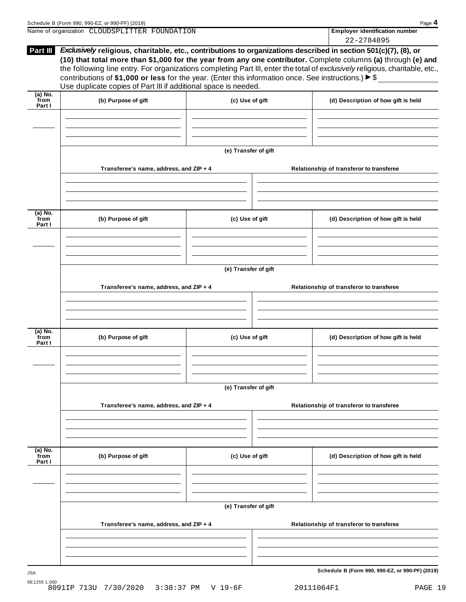| Schedule B (Form 990, 990-EZ, or 990-PF) (2019)                                                                                                                                                                                                            | Page 4                                |
|------------------------------------------------------------------------------------------------------------------------------------------------------------------------------------------------------------------------------------------------------------|---------------------------------------|
| Name of organization CLOUDSPLITTER FOUNDATION                                                                                                                                                                                                              | <b>Employer identification number</b> |
|                                                                                                                                                                                                                                                            | 22-2784895                            |
| <b>Part III</b><br><i>Exclusively</i> religious, charitable, etc., contributions to organizations described in section 501(c)(7), (8), or<br>(10) that total more than \$1,000 for the year from any one contributor. Complete columns (a) through (e) and |                                       |

|                             | Use duplicate copies of Part III if additional space is needed. |                      |                                          |  |  |
|-----------------------------|-----------------------------------------------------------------|----------------------|------------------------------------------|--|--|
| $(a)$ No.<br>from<br>Part I | (b) Purpose of gift                                             | (c) Use of gift      | (d) Description of how gift is held      |  |  |
|                             |                                                                 |                      |                                          |  |  |
|                             |                                                                 |                      |                                          |  |  |
|                             |                                                                 | (e) Transfer of gift |                                          |  |  |
|                             | Transferee's name, address, and ZIP + 4                         |                      | Relationship of transferor to transferee |  |  |
|                             |                                                                 |                      |                                          |  |  |
| $(a)$ No.<br>from<br>Part I | (b) Purpose of gift                                             | (c) Use of gift      | (d) Description of how gift is held      |  |  |
|                             |                                                                 |                      |                                          |  |  |
|                             |                                                                 | (e) Transfer of gift |                                          |  |  |
|                             |                                                                 |                      | Relationship of transferor to transferee |  |  |
|                             | Transferee's name, address, and ZIP + 4                         |                      |                                          |  |  |
|                             |                                                                 |                      |                                          |  |  |
| $(a)$ No.<br>from<br>Part I | (b) Purpose of gift                                             | (c) Use of gift      | (d) Description of how gift is held      |  |  |
|                             |                                                                 |                      |                                          |  |  |
|                             | (e) Transfer of gift                                            |                      |                                          |  |  |
|                             | Transferee's name, address, and ZIP + 4                         |                      | Relationship of transferor to transferee |  |  |
|                             |                                                                 |                      |                                          |  |  |
| $(a)$ No.<br>from<br>Part I | (b) Purpose of gift                                             | (c) Use of gift      | (d) Description of how gift is held      |  |  |
|                             |                                                                 |                      |                                          |  |  |
|                             | (e) Transfer of gift                                            |                      |                                          |  |  |
|                             |                                                                 |                      |                                          |  |  |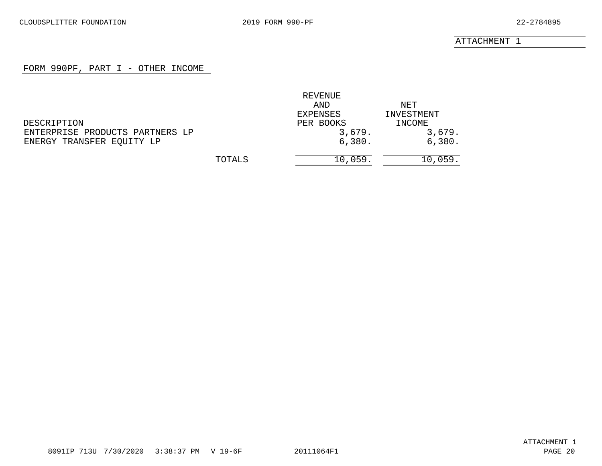## FORM 990PF, PART I - OTHER INCOME

<span id="page-19-0"></span>

|                                 |        | REVENUE   |            |
|---------------------------------|--------|-----------|------------|
|                                 |        | AND       | NET        |
|                                 |        | EXPENSES  | INVESTMENT |
| DESCRIPTION                     |        | PER BOOKS | INCOME     |
| ENTERPRISE PRODUCTS PARTNERS LP |        | 3,679.    | 3,679.     |
| ENERGY TRANSFER EQUITY LP       |        | 6,380.    | 6,380.     |
|                                 | TOTALS | 10,059.   | 10,059.    |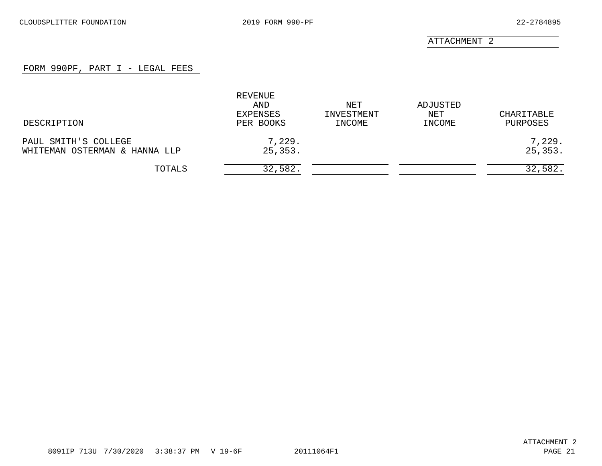## FORM 990PF, PART I - LEGAL FEES

<span id="page-20-0"></span>

|                                                       | REVENUE<br>AND<br>EXPENSES | NET<br>INVESTMENT | ADJUSTED<br>NET | CHARITABLE         |
|-------------------------------------------------------|----------------------------|-------------------|-----------------|--------------------|
| DESCRIPTION                                           | PER BOOKS                  | INCOME            | INCOME          | PURPOSES           |
| PAUL SMITH'S COLLEGE<br>WHITEMAN OSTERMAN & HANNA LLP | 7,229.<br>25,353.          |                   |                 | 7,229.<br>25, 353. |
| TOTALS                                                | 32,582.                    |                   |                 | 32,582.            |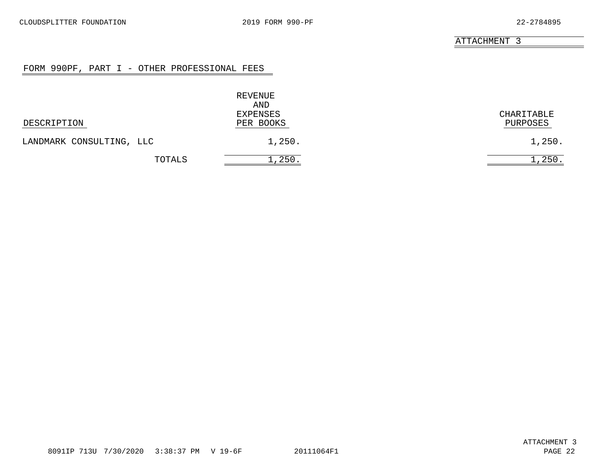## FORM 990PF, PART I - OTHER PROFESSIONAL FEES

<span id="page-21-0"></span>

|                          | REVENUE<br>AND        |                        |
|--------------------------|-----------------------|------------------------|
| DESCRIPTION              | EXPENSES<br>PER BOOKS | CHARITABLE<br>PURPOSES |
| LANDMARK CONSULTING, LLC | 1,250.                | 1,250.                 |
| TOTALS                   | 1,250.                | 250.                   |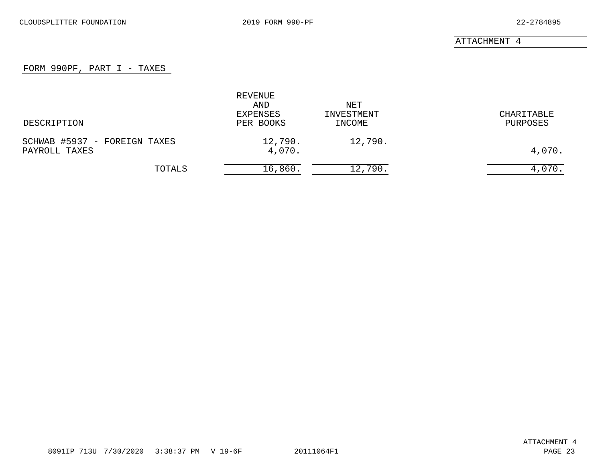# FORM 990PF, PART  $I - TAXES$

<span id="page-22-0"></span>

| DESCRIPTION                                   | REVENUE<br>AND<br>EXPENSES<br>PER BOOKS | NET<br>INVESTMENT<br>INCOME | CHARITABLE<br>PURPOSES |
|-----------------------------------------------|-----------------------------------------|-----------------------------|------------------------|
|                                               |                                         |                             |                        |
| SCHWAB #5937 - FOREIGN TAXES<br>PAYROLL TAXES | 12,790.<br>4,070.                       | 12,790.                     | 4,070.                 |
| TOTALS                                        | 16,860.                                 | 12,790.                     | 4,070.                 |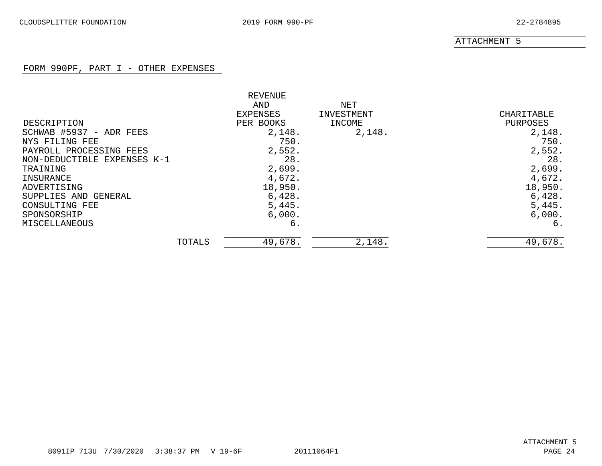# FORM 990PF, PART I - OTHER EXPENSES

<span id="page-23-0"></span>

|                             |        | REVENUE   |            |            |
|-----------------------------|--------|-----------|------------|------------|
|                             |        | AND       | NET        |            |
|                             |        | EXPENSES  | INVESTMENT | CHARITABLE |
| DESCRIPTION                 |        | PER BOOKS | INCOME     | PURPOSES   |
| SCHWAB #5937 - ADR FEES     |        | 2,148.    | 2,148.     | 2,148.     |
| NYS FILING FEE              |        | 750.      |            | 750.       |
| PAYROLL PROCESSING FEES     |        | 2,552.    |            | 2,552.     |
| NON-DEDUCTIBLE EXPENSES K-1 |        | 28.       |            | 28.        |
| TRAINING                    |        | 2,699.    |            | 2,699.     |
| INSURANCE                   |        | 4,672.    |            | 4,672.     |
| ADVERTISING                 |        | 18,950.   |            | 18,950.    |
| SUPPLIES AND<br>GENERAL     |        | 6,428.    |            | 6,428.     |
| CONSULTING FEE              |        | 5,445.    |            | 5,445.     |
| SPONSORSHIP                 |        | 6,000.    |            | 6,000.     |
| MISCELLANEOUS               |        | б.        |            | 6.         |
|                             | TOTALS | 49,678.   | 2,148.     | 49,678.    |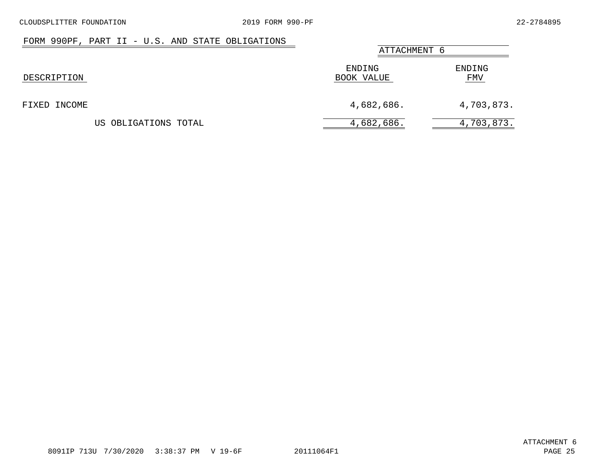# FORM 990PF, PART II - U.S. AND STATE OBLIGATIONS

<span id="page-24-0"></span>

|                      |                      | ATTACHMENT 6  |  |  |
|----------------------|----------------------|---------------|--|--|
| DESCRIPTION          | ENDING<br>BOOK VALUE | ENDING<br>FMV |  |  |
| FIXED INCOME         | 4,682,686.           | 4,703,873.    |  |  |
| US OBLIGATIONS TOTAL | 4,682,686.           | 4,703,873.    |  |  |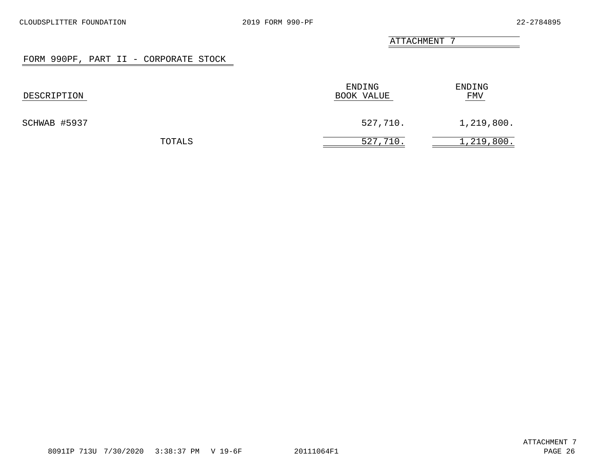### FORM 990PF, PART II - CORPORATE STOCK

<span id="page-25-0"></span>

| DESCRIPTION  | ENDING<br>BOOK VALUE | ENDING<br>FMV |  |
|--------------|----------------------|---------------|--|
| SCHWAB #5937 | 527,710.             | 1,219,800.    |  |
| TOTALS       | 527,710.             | 1,219,800.    |  |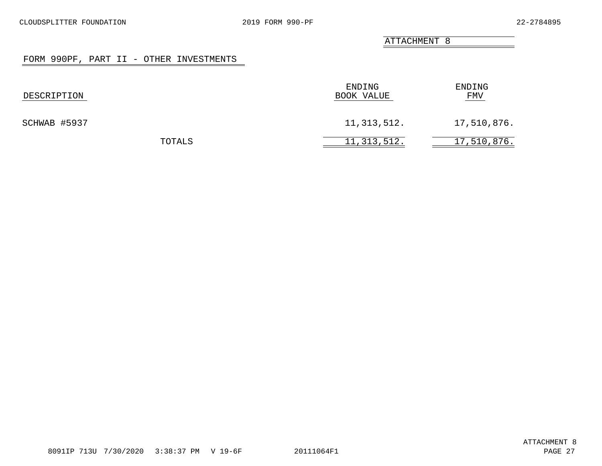## FORM 990PF, PART II - OTHER INVESTMENTS

<span id="page-26-0"></span>

| DESCRIPTION  |  | ENDING<br>BOOK VALUE | ENDING<br>FMV |
|--------------|--|----------------------|---------------|
| SCHWAB #5937 |  | 11, 313, 512.        | 17,510,876.   |
| TOTALS       |  | 11, 313, 512.        | 17,510,876.   |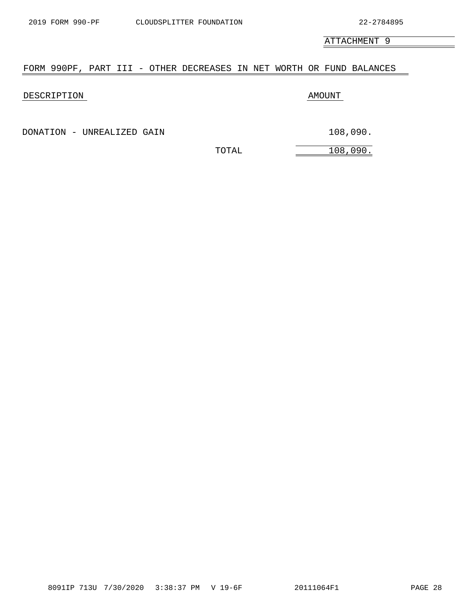# <span id="page-27-0"></span>FORM 990PF, PART III - OTHER DECREASES IN NET WORTH OR FUND BALANCES

## DESCRIPTION AMOUNT

DONATION - UNREALIZED GAIN 108,090.

TOTAL 108,090.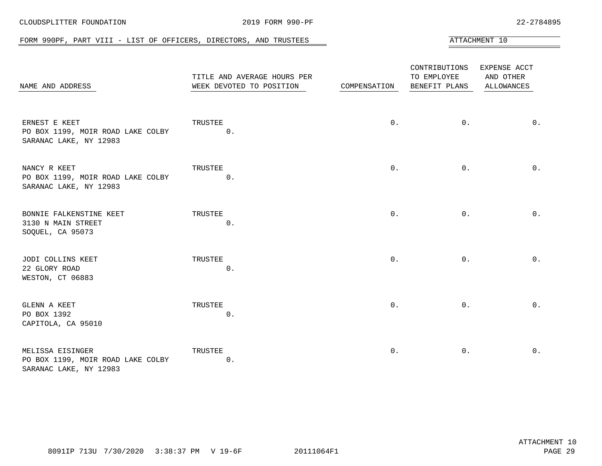<span id="page-28-0"></span>

| FORM 990PF, PART VIII - LIST OF OFFICERS, DIRECTORS, AND TRUSTEES               |                                                         |              |                                               | ATTACHMENT 10                           |
|---------------------------------------------------------------------------------|---------------------------------------------------------|--------------|-----------------------------------------------|-----------------------------------------|
| NAME AND ADDRESS                                                                | TITLE AND AVERAGE HOURS PER<br>WEEK DEVOTED TO POSITION | COMPENSATION | CONTRIBUTIONS<br>TO EMPLOYEE<br>BENEFIT PLANS | EXPENSE ACCT<br>AND OTHER<br>ALLOWANCES |
| ERNEST E KEET<br>PO BOX 1199, MOIR ROAD LAKE COLBY<br>SARANAC LAKE, NY 12983    | TRUSTEE<br>$0$ .                                        | $0$ .        | $0$ .                                         | $0$ .                                   |
| NANCY R KEET<br>PO BOX 1199, MOIR ROAD LAKE COLBY<br>SARANAC LAKE, NY 12983     | TRUSTEE<br>0.                                           | $0$ .        | $0$ .                                         | $0$ .                                   |
| BONNIE FALKENSTINE KEET<br>3130 N MAIN STREET<br>SOQUEL, CA 95073               | TRUSTEE<br>$0$ .                                        | $0$ .        | $0$ .                                         | $0$ .                                   |
| JODI COLLINS KEET<br>22 GLORY ROAD<br>WESTON, CT 06883                          | TRUSTEE<br>$0$ .                                        | $0$ .        | $0$ .                                         | $0$ .                                   |
| GLENN A KEET<br>PO BOX 1392<br>CAPITOLA, CA 95010                               | TRUSTEE<br>0.                                           | $0$ .        | $0$ .                                         | 0.                                      |
| MELISSA EISINGER<br>PO BOX 1199, MOIR ROAD LAKE COLBY<br>SARANAC LAKE, NY 12983 | TRUSTEE<br>$0$ .                                        | $0$ .        | 0.                                            | $0$ .                                   |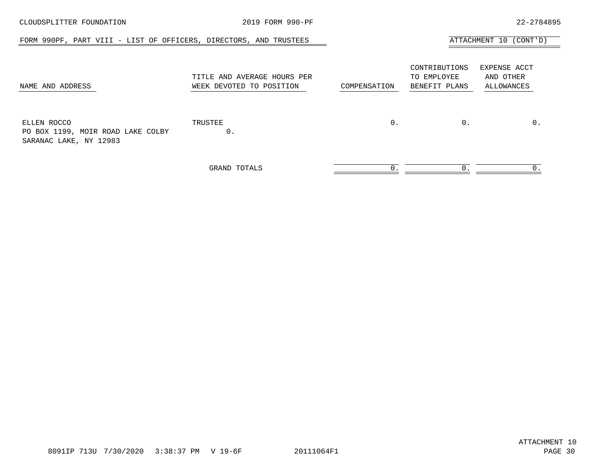| CLOUDSPLITTER FOUNDATION                                                   | 2019 FORM 990-PF                                        |              |                                               | 22-2784895                              |
|----------------------------------------------------------------------------|---------------------------------------------------------|--------------|-----------------------------------------------|-----------------------------------------|
| FORM 990PF, PART VIII - LIST OF OFFICERS, DIRECTORS, AND TRUSTEES          |                                                         |              |                                               | ATTACHMENT 10 (CONT'D)                  |
| NAME AND ADDRESS                                                           | TITLE AND AVERAGE HOURS PER<br>WEEK DEVOTED TO POSITION | COMPENSATION | CONTRIBUTIONS<br>TO EMPLOYEE<br>BENEFIT PLANS | EXPENSE ACCT<br>AND OTHER<br>ALLOWANCES |
| ELLEN ROCCO<br>PO BOX 1199, MOIR ROAD LAKE COLBY<br>SARANAC LAKE, NY 12983 | TRUSTEE<br>0.                                           | $0$ .        | $0$ .                                         | $0$ .                                   |
|                                                                            | GRAND TOTALS                                            | $0$ .        | 0.                                            | 0.                                      |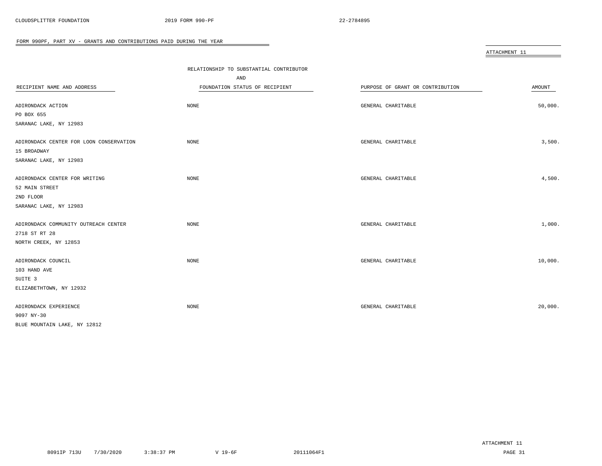<span id="page-30-0"></span>

|                                         |                                         |                                  | ATTACHMENT 11 |
|-----------------------------------------|-----------------------------------------|----------------------------------|---------------|
|                                         |                                         |                                  |               |
|                                         | RELATIONSHIP TO SUBSTANTIAL CONTRIBUTOR |                                  |               |
|                                         | AND                                     |                                  |               |
| RECIPIENT NAME AND ADDRESS              | FOUNDATION STATUS OF RECIPIENT          | PURPOSE OF GRANT OR CONTRIBUTION | AMOUNT        |
| ADIRONDACK ACTION                       | <b>NONE</b>                             | GENERAL CHARITABLE               | 50,000.       |
| PO BOX 655                              |                                         |                                  |               |
| SARANAC LAKE, NY 12983                  |                                         |                                  |               |
|                                         |                                         |                                  |               |
| ADIRONDACK CENTER FOR LOON CONSERVATION | <b>NONE</b>                             | GENERAL CHARITABLE               | 3,500.        |
| 15 BROADWAY                             |                                         |                                  |               |
| SARANAC LAKE, NY 12983                  |                                         |                                  |               |
|                                         |                                         |                                  |               |
| ADIRONDACK CENTER FOR WRITING           | NONE                                    | GENERAL CHARITABLE               | 4,500.        |
| 52 MAIN STREET                          |                                         |                                  |               |
| 2ND FLOOR                               |                                         |                                  |               |
| SARANAC LAKE, NY 12983                  |                                         |                                  |               |
|                                         |                                         |                                  |               |
| ADIRONDACK COMMUNITY OUTREACH CENTER    | NONE                                    | GENERAL CHARITABLE               | 1,000.        |
| 2718 ST RT 28                           |                                         |                                  |               |
| NORTH CREEK, NY 12853                   |                                         |                                  |               |
|                                         |                                         |                                  |               |
| ADIRONDACK COUNCIL                      | <b>NONE</b>                             | GENERAL CHARITABLE               | 10,000.       |
| 103 HAND AVE                            |                                         |                                  |               |
| SUITE <sub>3</sub>                      |                                         |                                  |               |
| ELIZABETHTOWN, NY 12932                 |                                         |                                  |               |
|                                         |                                         |                                  |               |
| ADIRONDACK EXPERIENCE                   | NONE                                    | GENERAL CHARITABLE               | 20,000.       |
| 9097 NY-30                              |                                         |                                  |               |
| BLUE MOUNTAIN LAKE, NY 12812            |                                         |                                  |               |

 $\overline{\phantom{0}}$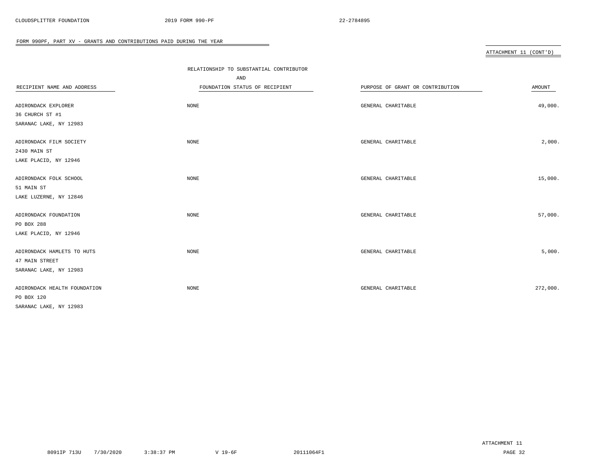|                              | RELATIONSHIP TO SUBSTANTIAL CONTRIBUTOR |                                  |          |
|------------------------------|-----------------------------------------|----------------------------------|----------|
|                              | AND                                     |                                  |          |
| RECIPIENT NAME AND ADDRESS   | FOUNDATION STATUS OF RECIPIENT          | PURPOSE OF GRANT OR CONTRIBUTION | AMOUNT   |
|                              |                                         |                                  |          |
| ADIRONDACK EXPLORER          | NONE                                    | GENERAL CHARITABLE               | 49,000.  |
| 36 CHURCH ST #1              |                                         |                                  |          |
| SARANAC LAKE, NY 12983       |                                         |                                  |          |
| ADIRONDACK FILM SOCIETY      | NONE                                    | GENERAL CHARITABLE               | 2,000.   |
| 2430 MAIN ST                 |                                         |                                  |          |
| LAKE PLACID, NY 12946        |                                         |                                  |          |
| ADIRONDACK FOLK SCHOOL       | NONE                                    | GENERAL CHARITABLE               | 15,000.  |
| 51 MAIN ST                   |                                         |                                  |          |
| LAKE LUZERNE, NY 12846       |                                         |                                  |          |
| ADIRONDACK FOUNDATION        | NONE                                    | GENERAL CHARITABLE               | 57,000.  |
| PO BOX 288                   |                                         |                                  |          |
| LAKE PLACID, NY 12946        |                                         |                                  |          |
| ADIRONDACK HAMLETS TO HUTS   | NONE                                    | GENERAL CHARITABLE               | 5,000.   |
| 47 MAIN STREET               |                                         |                                  |          |
| SARANAC LAKE, NY 12983       |                                         |                                  |          |
| ADIRONDACK HEALTH FOUNDATION | NONE                                    | GENERAL CHARITABLE               | 272,000. |
| PO BOX 120                   |                                         |                                  |          |
| SARANAC LAKE, NY 12983       |                                         |                                  |          |
|                              |                                         |                                  |          |

 $\overline{\phantom{a}}$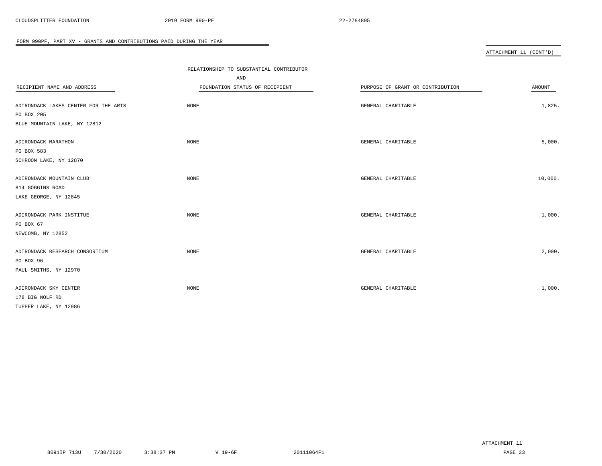|                                      | RELATIONSHIP TO SUBSTANTIAL CONTRIBUTOR |                                  |         |
|--------------------------------------|-----------------------------------------|----------------------------------|---------|
|                                      | AND                                     |                                  |         |
| RECIPIENT NAME AND ADDRESS           | FOUNDATION STATUS OF RECIPIENT          | PURPOSE OF GRANT OR CONTRIBUTION | AMOUNT  |
|                                      |                                         |                                  |         |
| ADIRONDACK LAKES CENTER FOR THE ARTS | NONE                                    | GENERAL CHARITABLE               | 1,825.  |
| PO BOX 205                           |                                         |                                  |         |
| BLUE MOUNTAIN LAKE, NY 12812         |                                         |                                  |         |
| ADIRONDACK MARATHON                  | <b>NONE</b>                             | GENERAL CHARITABLE               | 5,000.  |
| PO BOX 583                           |                                         |                                  |         |
| SCHROON LAKE, NY 12870               |                                         |                                  |         |
|                                      |                                         |                                  |         |
| ADIRONDACK MOUNTAIN CLUB             | NONE                                    | GENERAL CHARITABLE               | 10,000. |
| 814 GOGGINS ROAD                     |                                         |                                  |         |
| LAKE GEORGE, NY 12845                |                                         |                                  |         |
| ADIRONDACK PARK INSTITUE             | NONE                                    | GENERAL CHARITABLE               | 1,000.  |
| PO BOX 67                            |                                         |                                  |         |
| NEWCOMB, NY 12852                    |                                         |                                  |         |
|                                      |                                         |                                  |         |
| ADIRONDACK RESEARCH CONSORTIUM       | NONE                                    | GENERAL CHARITABLE               | 2,000.  |
| PO BOX 96                            |                                         |                                  |         |
| PAUL SMITHS, NY 12970                |                                         |                                  |         |
|                                      |                                         |                                  |         |
| ADIRONDACK SKY CENTER                | <b>NONE</b>                             | GENERAL CHARITABLE               | 1,000.  |
| 178 BIG WOLF RD                      |                                         |                                  |         |
| TUPPER LAKE, NY 12986                |                                         |                                  |         |

 $\overline{\phantom{a}}$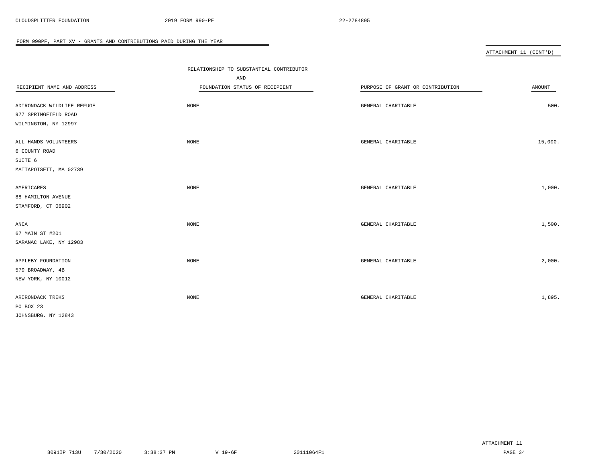|                            | RELATIONSHIP TO SUBSTANTIAL CONTRIBUTOR |                                  |               |
|----------------------------|-----------------------------------------|----------------------------------|---------------|
|                            | AND                                     |                                  |               |
| RECIPIENT NAME AND ADDRESS | FOUNDATION STATUS OF RECIPIENT          | PURPOSE OF GRANT OR CONTRIBUTION | <b>AMOUNT</b> |
|                            |                                         |                                  |               |
| ADIRONDACK WILDLIFE REFUGE | <b>NONE</b>                             | GENERAL CHARITABLE               | 500.          |
| 977 SPRINGFIELD ROAD       |                                         |                                  |               |
| WILMINGTON, NY 12997       |                                         |                                  |               |
| ALL HANDS VOLUNTEERS       | <b>NONE</b>                             | GENERAL CHARITABLE               | 15,000.       |
| 6 COUNTY ROAD              |                                         |                                  |               |
| SUITE 6                    |                                         |                                  |               |
| MATTAPOISETT, MA 02739     |                                         |                                  |               |
| AMERICARES                 | <b>NONE</b>                             | GENERAL CHARITABLE               | 1,000.        |
| 88 HAMILTON AVENUE         |                                         |                                  |               |
| STAMFORD, CT 06902         |                                         |                                  |               |
|                            |                                         |                                  |               |
| ANCA                       | <b>NONE</b>                             | GENERAL CHARITABLE               | 1,500.        |
| 67 MAIN ST #201            |                                         |                                  |               |
| SARANAC LAKE, NY 12983     |                                         |                                  |               |
| APPLEBY FOUNDATION         | <b>NONE</b>                             | GENERAL CHARITABLE               | 2,000.        |
| 579 BROADWAY, 4B           |                                         |                                  |               |
| NEW YORK, NY 10012         |                                         |                                  |               |
| ARIRONDACK TREKS           | NONE                                    | GENERAL CHARITABLE               | 1,895.        |
| PO BOX 23                  |                                         |                                  |               |
| JOHNSBURG, NY 12843        |                                         |                                  |               |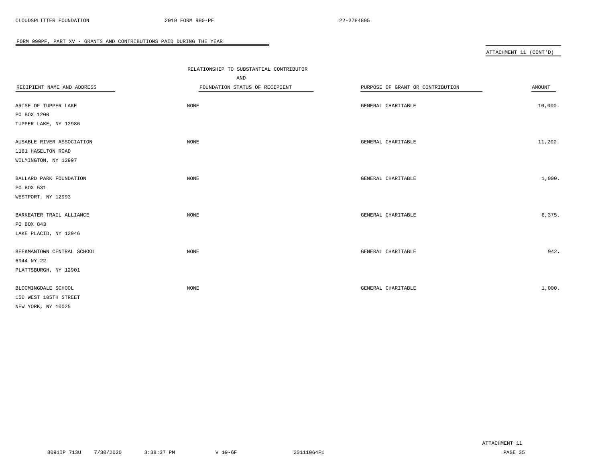|                            | RELATIONSHIP TO SUBSTANTIAL CONTRIBUTOR |                                  |         |
|----------------------------|-----------------------------------------|----------------------------------|---------|
|                            | AND                                     |                                  |         |
| RECIPIENT NAME AND ADDRESS | FOUNDATION STATUS OF RECIPIENT          | PURPOSE OF GRANT OR CONTRIBUTION | AMOUNT  |
|                            |                                         |                                  |         |
| ARISE OF TUPPER LAKE       | <b>NONE</b>                             | GENERAL CHARITABLE               | 10,000. |
| PO BOX 1200                |                                         |                                  |         |
| TUPPER LAKE, NY 12986      |                                         |                                  |         |
| AUSABLE RIVER ASSOCIATION  | <b>NONE</b>                             | GENERAL CHARITABLE               | 11,200. |
| 1181 HASELTON ROAD         |                                         |                                  |         |
| WILMINGTON, NY 12997       |                                         |                                  |         |
| BALLARD PARK FOUNDATION    | <b>NONE</b>                             | GENERAL CHARITABLE               | 1,000.  |
| PO BOX 531                 |                                         |                                  |         |
| WESTPORT, NY 12993         |                                         |                                  |         |
| BARKEATER TRAIL ALLIANCE   | <b>NONE</b>                             | GENERAL CHARITABLE               | 6,375.  |
| PO BOX 843                 |                                         |                                  |         |
| LAKE PLACID, NY 12946      |                                         |                                  |         |
| BEEKMANTOWN CENTRAL SCHOOL | NONE                                    | GENERAL CHARITABLE               | 942.    |
| 6944 NY-22                 |                                         |                                  |         |
| PLATTSBURGH, NY 12901      |                                         |                                  |         |
|                            |                                         |                                  |         |
| BLOOMINGDALE SCHOOL        | <b>NONE</b>                             | GENERAL CHARITABLE               | 1,000.  |
| 150 WEST 105TH STREET      |                                         |                                  |         |
| NEW YORK, NY 10025         |                                         |                                  |         |

 $\overline{\phantom{a}}$ 

ATTACHMENT 11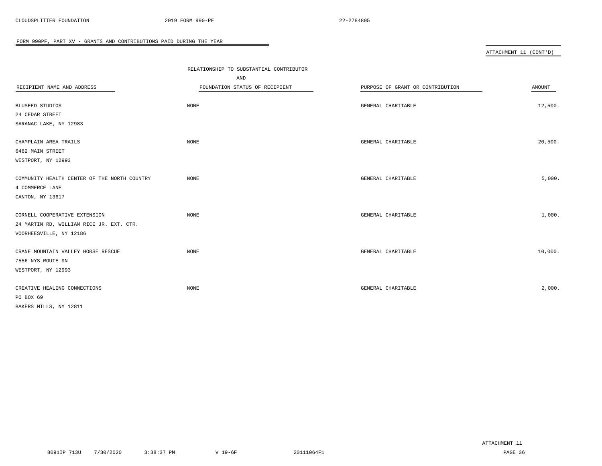|                                              | RELATIONSHIP TO SUBSTANTIAL CONTRIBUTOR |                                  |         |
|----------------------------------------------|-----------------------------------------|----------------------------------|---------|
|                                              | AND                                     |                                  |         |
| RECIPIENT NAME AND ADDRESS                   | FOUNDATION STATUS OF RECIPIENT          | PURPOSE OF GRANT OR CONTRIBUTION | AMOUNT  |
|                                              |                                         |                                  |         |
| <b>BLUSEED STUDIOS</b>                       | NONE                                    | GENERAL CHARITABLE               | 12,500. |
| 24 CEDAR STREET                              |                                         |                                  |         |
| SARANAC LAKE, NY 12983                       |                                         |                                  |         |
| CHAMPLAIN AREA TRAILS                        | NONE                                    | GENERAL CHARITABLE               | 20,500. |
| 6482 MAIN STREET                             |                                         |                                  |         |
| WESTPORT, NY 12993                           |                                         |                                  |         |
|                                              |                                         |                                  |         |
| COMMUNITY HEALTH CENTER OF THE NORTH COUNTRY | NONE                                    | GENERAL CHARITABLE               | 5,000.  |
| 4 COMMERCE LANE                              |                                         |                                  |         |
| CANTON, NY 13617                             |                                         |                                  |         |
| CORNELL COOPERATIVE EXTENSION                | <b>NONE</b>                             | GENERAL CHARITABLE               | 1,000.  |
| 24 MARTIN RD, WILLIAM RICE JR. EXT. CTR.     |                                         |                                  |         |
| VOORHEESVILLE, NY 12186                      |                                         |                                  |         |
| CRANE MOUNTAIN VALLEY HORSE RESCUE           | NONE                                    | GENERAL CHARITABLE               | 10,000. |
| 7556 NYS ROUTE 9N                            |                                         |                                  |         |
| WESTPORT, NY 12993                           |                                         |                                  |         |
|                                              |                                         |                                  |         |
| CREATIVE HEALING CONNECTIONS                 | <b>NONE</b>                             | GENERAL CHARITABLE               | 2,000.  |
| PO BOX 69                                    |                                         |                                  |         |
| BAKERS MILLS, NY 12811                       |                                         |                                  |         |

 $\overline{\phantom{a}}$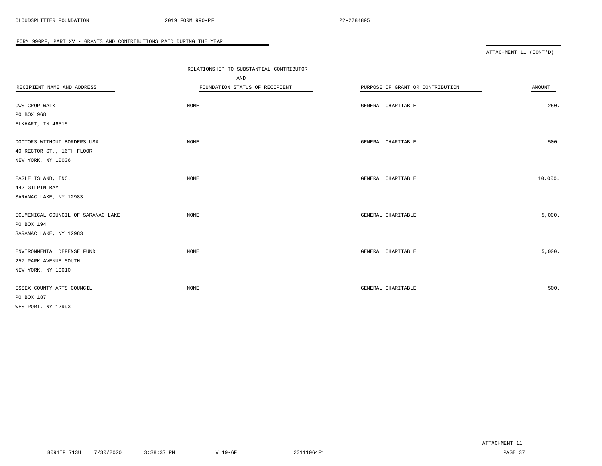|                                    | RELATIONSHIP TO SUBSTANTIAL CONTRIBUTOR |                                  |         |  |
|------------------------------------|-----------------------------------------|----------------------------------|---------|--|
|                                    | AND                                     |                                  |         |  |
| RECIPIENT NAME AND ADDRESS         | FOUNDATION STATUS OF RECIPIENT          | PURPOSE OF GRANT OR CONTRIBUTION | AMOUNT  |  |
|                                    |                                         |                                  |         |  |
| CWS CROP WALK                      | NONE                                    | GENERAL CHARITABLE               | 250.    |  |
| PO BOX 968                         |                                         |                                  |         |  |
| ELKHART, IN 46515                  |                                         |                                  |         |  |
| DOCTORS WITHOUT BORDERS USA        | NONE                                    | GENERAL CHARITABLE               | 500.    |  |
| 40 RECTOR ST., 16TH FLOOR          |                                         |                                  |         |  |
| NEW YORK, NY 10006                 |                                         |                                  |         |  |
| EAGLE ISLAND, INC.                 | NONE                                    | GENERAL CHARITABLE               | 10,000. |  |
| 442 GILPIN BAY                     |                                         |                                  |         |  |
| SARANAC LAKE, NY 12983             |                                         |                                  |         |  |
| ECUMENICAL COUNCIL OF SARANAC LAKE | NONE                                    | GENERAL CHARITABLE               | 5,000.  |  |
| PO BOX 194                         |                                         |                                  |         |  |
| SARANAC LAKE, NY 12983             |                                         |                                  |         |  |
| ENVIRONMENTAL DEFENSE FUND         | NONE                                    | GENERAL CHARITABLE               | 5,000.  |  |
| 257 PARK AVENUE SOUTH              |                                         |                                  |         |  |
| NEW YORK, NY 10010                 |                                         |                                  |         |  |
| ESSEX COUNTY ARTS COUNCIL          | <b>NONE</b>                             | GENERAL CHARITABLE               | 500.    |  |
| PO BOX 187                         |                                         |                                  |         |  |
| WESTPORT, NY 12993                 |                                         |                                  |         |  |
|                                    |                                         |                                  |         |  |

 $\overline{\phantom{a}}$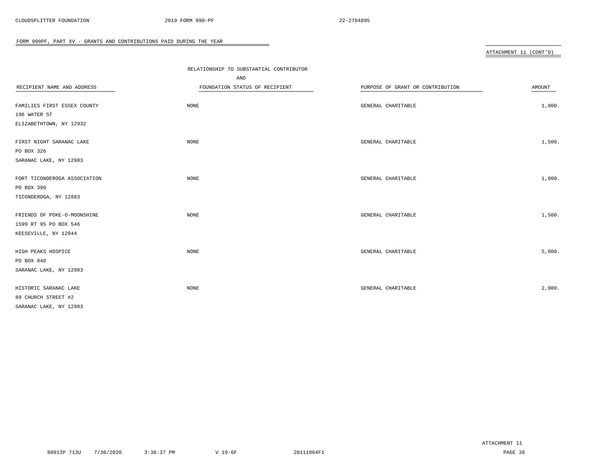|                              | RELATIONSHIP TO SUBSTANTIAL CONTRIBUTOR |                                  |        |
|------------------------------|-----------------------------------------|----------------------------------|--------|
| RECIPIENT NAME AND ADDRESS   | AND                                     |                                  |        |
|                              | FOUNDATION STATUS OF RECIPIENT          | PURPOSE OF GRANT OR CONTRIBUTION | AMOUNT |
| FAMILIES FIRST ESSEX COUNTY  | NONE                                    | GENERAL CHARITABLE               | 1,000. |
| 196 WATER ST                 |                                         |                                  |        |
| ELIZABETHTOWN, NY 12932      |                                         |                                  |        |
|                              |                                         |                                  |        |
| FIRST NIGHT SARANAC LAKE     | NONE                                    | GENERAL CHARITABLE               | 1,500. |
| PO BOX 326                   |                                         |                                  |        |
| SARANAC LAKE, NY 12983       |                                         |                                  |        |
|                              |                                         |                                  |        |
| FORT TICONDEROGA ASSOCIATION | NONE                                    | GENERAL CHARITABLE               | 1,000. |
| PO BOX 390                   |                                         |                                  |        |
| TICONDEROGA, NY 12883        |                                         |                                  |        |
|                              |                                         |                                  |        |
| FRIENDS OF POKE-O-MOONSHINE  | NONE                                    | GENERAL CHARITABLE               | 1,500. |
| 1599 RT 95 PO BOX 546        |                                         |                                  |        |
| KEESEVILLE, NY 12944         |                                         |                                  |        |
| HIGH PEAKS HOSPICE           | $\rm{NONE}$                             | GENERAL CHARITABLE               | 5,000. |
| PO BOX 840                   |                                         |                                  |        |
| SARANAC LAKE, NY 12983       |                                         |                                  |        |
|                              |                                         |                                  |        |
| HISTORIC SARANAC LAKE        | NONE                                    | GENERAL CHARITABLE               | 2,000. |
| 89 CHURCH STREET #2          |                                         |                                  |        |
| SARANAC LAKE, NY 12983       |                                         |                                  |        |

 $\overline{\phantom{a}}$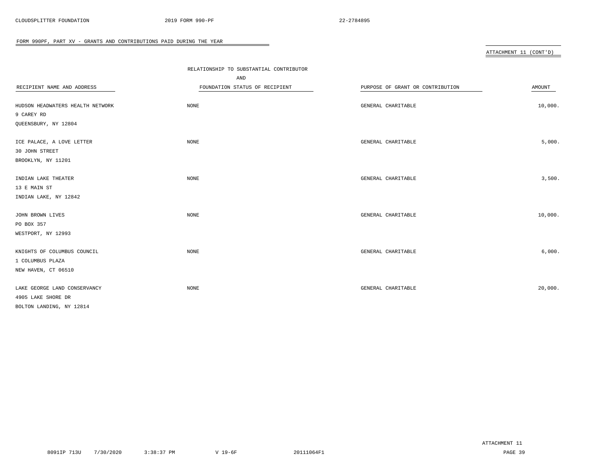|                                  |                                       | RELATIONSHIP TO SUBSTANTIAL CONTRIBUTOR |         |  |
|----------------------------------|---------------------------------------|-----------------------------------------|---------|--|
| RECIPIENT NAME AND ADDRESS       | AND<br>FOUNDATION STATUS OF RECIPIENT | PURPOSE OF GRANT OR CONTRIBUTION        | AMOUNT  |  |
|                                  |                                       |                                         |         |  |
| HUDSON HEADWATERS HEALTH NETWORK | NONE                                  | GENERAL CHARITABLE                      | 10,000. |  |
| 9 CAREY RD                       |                                       |                                         |         |  |
| QUEENSBURY, NY 12804             |                                       |                                         |         |  |
| ICE PALACE, A LOVE LETTER        | NONE                                  | GENERAL CHARITABLE                      | 5,000.  |  |
| 30 JOHN STREET                   |                                       |                                         |         |  |
| BROOKLYN, NY 11201               |                                       |                                         |         |  |
| INDIAN LAKE THEATER              | NONE                                  | GENERAL CHARITABLE                      | 3,500.  |  |
| 13 E MAIN ST                     |                                       |                                         |         |  |
| INDIAN LAKE, NY 12842            |                                       |                                         |         |  |
| JOHN BROWN LIVES                 | NONE                                  | GENERAL CHARITABLE                      | 10,000. |  |
| PO BOX 357                       |                                       |                                         |         |  |
| WESTPORT, NY 12993               |                                       |                                         |         |  |
| KNIGHTS OF COLUMBUS COUNCIL      | NONE                                  | GENERAL CHARITABLE                      | 6,000.  |  |
| 1 COLUMBUS PLAZA                 |                                       |                                         |         |  |
| NEW HAVEN, CT 06510              |                                       |                                         |         |  |
| LAKE GEORGE LAND CONSERVANCY     | NONE                                  | GENERAL CHARITABLE                      | 20,000. |  |
| 4905 LAKE SHORE DR               |                                       |                                         |         |  |
| BOLTON LANDING, NY 12814         |                                       |                                         |         |  |

 $\overline{\phantom{a}}$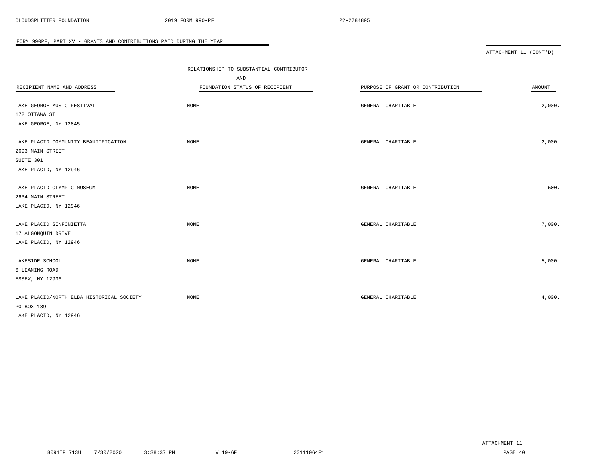|                                                          |                                         |                                  | ATTACHMENT 11 (CONT'D) |
|----------------------------------------------------------|-----------------------------------------|----------------------------------|------------------------|
|                                                          |                                         |                                  |                        |
|                                                          | RELATIONSHIP TO SUBSTANTIAL CONTRIBUTOR |                                  |                        |
|                                                          | AND                                     |                                  |                        |
| RECIPIENT NAME AND ADDRESS                               | FOUNDATION STATUS OF RECIPIENT          | PURPOSE OF GRANT OR CONTRIBUTION | AMOUNT                 |
| LAKE GEORGE MUSIC FESTIVAL                               | NONE                                    | GENERAL CHARITABLE               | 2,000.                 |
| 172 OTTAWA ST                                            |                                         |                                  |                        |
| LAKE GEORGE, NY 12845                                    |                                         |                                  |                        |
| LAKE PLACID COMMUNITY BEAUTIFICATION<br>2693 MAIN STREET | <b>NONE</b>                             | GENERAL CHARITABLE               | 2,000.                 |
| SUITE 301                                                |                                         |                                  |                        |
| LAKE PLACID, NY 12946                                    |                                         |                                  |                        |
| LAKE PLACID OLYMPIC MUSEUM                               | <b>NONE</b>                             | GENERAL CHARITABLE               | 500.                   |
| 2634 MAIN STREET                                         |                                         |                                  |                        |
| LAKE PLACID, NY 12946                                    |                                         |                                  |                        |
| LAKE PLACID SINFONIETTA                                  | NONE                                    | GENERAL CHARITABLE               | 7,000.                 |
| 17 ALGONQUIN DRIVE                                       |                                         |                                  |                        |
| LAKE PLACID, NY 12946                                    |                                         |                                  |                        |
| LAKESIDE SCHOOL                                          | NONE                                    | GENERAL CHARITABLE               | 5,000.                 |
| 6 LEANING ROAD                                           |                                         |                                  |                        |
| ESSEX, NY 12936                                          |                                         |                                  |                        |
| LAKE PLACID/NORTH ELBA HISTORICAL SOCIETY                | NONE                                    | GENERAL CHARITABLE               | 4,000.                 |
| PO BOX 189                                               |                                         |                                  |                        |
| LAKE PLACID, NY 12946                                    |                                         |                                  |                        |

 $\overline{\phantom{0}}$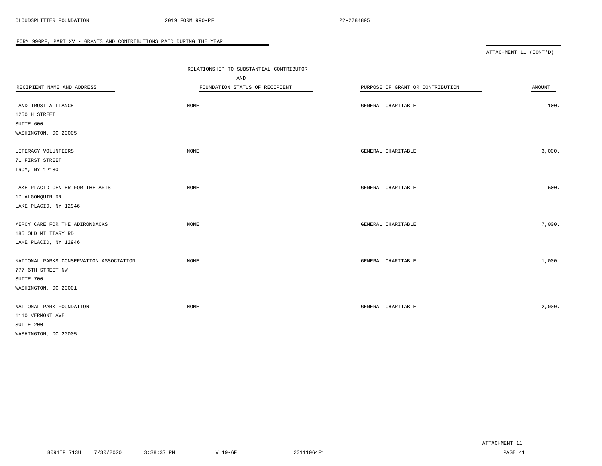|                                         |                                         |                                  | ATTACHMENT 11 (CONT'D) |
|-----------------------------------------|-----------------------------------------|----------------------------------|------------------------|
|                                         |                                         |                                  |                        |
|                                         | RELATIONSHIP TO SUBSTANTIAL CONTRIBUTOR |                                  |                        |
|                                         | AND                                     |                                  |                        |
| RECIPIENT NAME AND ADDRESS              | FOUNDATION STATUS OF RECIPIENT          | PURPOSE OF GRANT OR CONTRIBUTION | AMOUNT                 |
| LAND TRUST ALLIANCE                     | $\rm{NONE}$                             | GENERAL CHARITABLE               | 100.                   |
| 1250 H STREET                           |                                         |                                  |                        |
| SUITE 600                               |                                         |                                  |                        |
| WASHINGTON, DC 20005                    |                                         |                                  |                        |
|                                         |                                         |                                  |                        |
| LITERACY VOLUNTEERS                     | <b>NONE</b>                             | GENERAL CHARITABLE               | 3,000.                 |
| 71 FIRST STREET                         |                                         |                                  |                        |
| TROY, NY 12180                          |                                         |                                  |                        |
|                                         |                                         |                                  |                        |
| LAKE PLACID CENTER FOR THE ARTS         | NONE                                    | GENERAL CHARITABLE               | 500.                   |
| 17 ALGONQUIN DR                         |                                         |                                  |                        |
| LAKE PLACID, NY 12946                   |                                         |                                  |                        |
|                                         |                                         |                                  |                        |
| MERCY CARE FOR THE ADIRONDACKS          | <b>NONE</b>                             | GENERAL CHARITABLE               | 7,000.                 |
| 185 OLD MILITARY RD                     |                                         |                                  |                        |
| LAKE PLACID, NY 12946                   |                                         |                                  |                        |
|                                         |                                         |                                  |                        |
| NATIONAL PARKS CONSERVATION ASSOCIATION | $\rm{NONE}$                             | GENERAL CHARITABLE               | 1,000.                 |
| 777 6TH STREET NW                       |                                         |                                  |                        |
| SUITE 700                               |                                         |                                  |                        |
| WASHINGTON, DC 20001                    |                                         |                                  |                        |
|                                         |                                         |                                  |                        |
| NATIONAL PARK FOUNDATION                | <b>NONE</b>                             | GENERAL CHARITABLE               | 2,000.                 |
| 1110 VERMONT AVE                        |                                         |                                  |                        |
| SUITE 200                               |                                         |                                  |                        |
| WASHINGTON, DC 20005                    |                                         |                                  |                        |

÷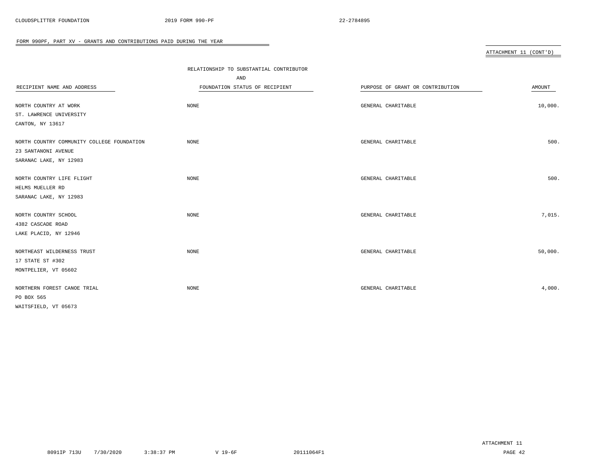|                                            | RELATIONSHIP TO SUBSTANTIAL CONTRIBUTOR |                                  |         |
|--------------------------------------------|-----------------------------------------|----------------------------------|---------|
|                                            | AND                                     |                                  |         |
| RECIPIENT NAME AND ADDRESS                 | FOUNDATION STATUS OF RECIPIENT          | PURPOSE OF GRANT OR CONTRIBUTION | AMOUNT  |
|                                            |                                         |                                  |         |
| NORTH COUNTRY AT WORK                      | NONE                                    | GENERAL CHARITABLE               | 10,000. |
| ST. LAWRENCE UNIVERSITY                    |                                         |                                  |         |
| CANTON, NY 13617                           |                                         |                                  |         |
| NORTH COUNTRY COMMUNITY COLLEGE FOUNDATION | NONE                                    | GENERAL CHARITABLE               | 500.    |
| 23 SANTANONI AVENUE                        |                                         |                                  |         |
| SARANAC LAKE, NY 12983                     |                                         |                                  |         |
| NORTH COUNTRY LIFE FLIGHT                  | <b>NONE</b>                             | GENERAL CHARITABLE               | 500.    |
| HELMS MUELLER RD                           |                                         |                                  |         |
| SARANAC LAKE, NY 12983                     |                                         |                                  |         |
|                                            |                                         |                                  |         |
| NORTH COUNTRY SCHOOL                       | <b>NONE</b>                             | GENERAL CHARITABLE               | 7,015.  |
| 4382 CASCADE ROAD                          |                                         |                                  |         |
| LAKE PLACID, NY 12946                      |                                         |                                  |         |
| NORTHEAST WILDERNESS TRUST                 | <b>NONE</b>                             | GENERAL CHARITABLE               | 50,000. |
| 17 STATE ST #302                           |                                         |                                  |         |
| MONTPELIER, VT 05602                       |                                         |                                  |         |
|                                            |                                         |                                  |         |
| NORTHERN FOREST CANOE TRIAL                | <b>NONE</b>                             | GENERAL CHARITABLE               | 4,000.  |
| PO BOX 565                                 |                                         |                                  |         |
| WAITSFIELD, VT 05673                       |                                         |                                  |         |

 $\overline{\phantom{0}}$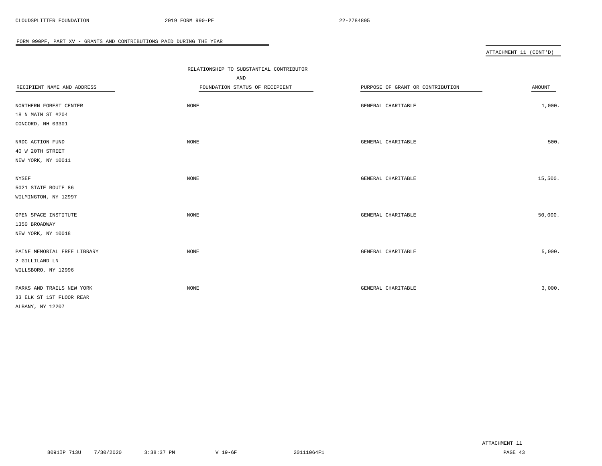|                             | RELATIONSHIP TO SUBSTANTIAL CONTRIBUTOR |                                  |         |
|-----------------------------|-----------------------------------------|----------------------------------|---------|
|                             | AND                                     |                                  |         |
| RECIPIENT NAME AND ADDRESS  | FOUNDATION STATUS OF RECIPIENT          | PURPOSE OF GRANT OR CONTRIBUTION | AMOUNT  |
|                             |                                         |                                  |         |
| NORTHERN FOREST CENTER      | NONE                                    | GENERAL CHARITABLE               | 1,000.  |
| 18 N MAIN ST #204           |                                         |                                  |         |
| CONCORD, NH 03301           |                                         |                                  |         |
| NRDC ACTION FUND            | NONE                                    | GENERAL CHARITABLE               | 500.    |
| 40 W 20TH STREET            |                                         |                                  |         |
| NEW YORK, NY 10011          |                                         |                                  |         |
| NYSEF                       | NONE                                    | GENERAL CHARITABLE               | 15,500. |
| 5021 STATE ROUTE 86         |                                         |                                  |         |
| WILMINGTON, NY 12997        |                                         |                                  |         |
| OPEN SPACE INSTITUTE        | NONE                                    | GENERAL CHARITABLE               | 50,000. |
| 1350 BROADWAY               |                                         |                                  |         |
| NEW YORK, NY 10018          |                                         |                                  |         |
|                             |                                         |                                  |         |
| PAINE MEMORIAL FREE LIBRARY | NONE                                    | GENERAL CHARITABLE               | 5,000.  |
| 2 GILLILAND LN              |                                         |                                  |         |
| WILLSBORO, NY 12996         |                                         |                                  |         |
| PARKS AND TRAILS NEW YORK   | NONE                                    | GENERAL CHARITABLE               | 3,000.  |
| 33 ELK ST 1ST FLOOR REAR    |                                         |                                  |         |
| ALBANY, NY 12207            |                                         |                                  |         |
|                             |                                         |                                  |         |

 $\overline{\phantom{a}}$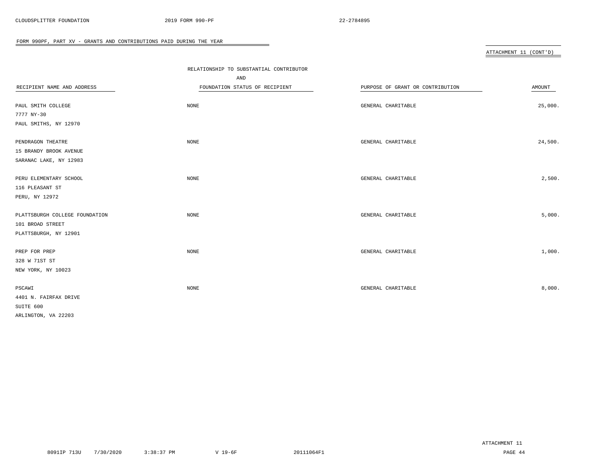|                                | RELATIONSHIP TO SUBSTANTIAL CONTRIBUTOR |                                  |         |
|--------------------------------|-----------------------------------------|----------------------------------|---------|
|                                | AND                                     |                                  |         |
| RECIPIENT NAME AND ADDRESS     | FOUNDATION STATUS OF RECIPIENT          | PURPOSE OF GRANT OR CONTRIBUTION | AMOUNT  |
| PAUL SMITH COLLEGE             | NONE                                    | GENERAL CHARITABLE               | 25,000. |
| 7777 NY-30                     |                                         |                                  |         |
| PAUL SMITHS, NY 12970          |                                         |                                  |         |
| PENDRAGON THEATRE              | NONE                                    | GENERAL CHARITABLE               | 24,500. |
| 15 BRANDY BROOK AVENUE         |                                         |                                  |         |
| SARANAC LAKE, NY 12983         |                                         |                                  |         |
| PERU ELEMENTARY SCHOOL         | NONE                                    | GENERAL CHARITABLE               | 2,500.  |
| 116 PLEASANT ST                |                                         |                                  |         |
| PERU, NY 12972                 |                                         |                                  |         |
| PLATTSBURGH COLLEGE FOUNDATION | NONE                                    | GENERAL CHARITABLE               | 5,000.  |
| 101 BROAD STREET               |                                         |                                  |         |
| PLATTSBURGH, NY 12901          |                                         |                                  |         |
| PREP FOR PREP                  | $\rm{NONE}$                             | GENERAL CHARITABLE               | 1,000.  |
| 328 W 71ST ST                  |                                         |                                  |         |
| NEW YORK, NY 10023             |                                         |                                  |         |
| PSCAWI                         | NONE                                    | GENERAL CHARITABLE               | 8,000.  |
| 4401 N. FAIRFAX DRIVE          |                                         |                                  |         |
| SUITE 600                      |                                         |                                  |         |
| ARLINGTON, VA 22203            |                                         |                                  |         |

 $\overline{\phantom{a}}$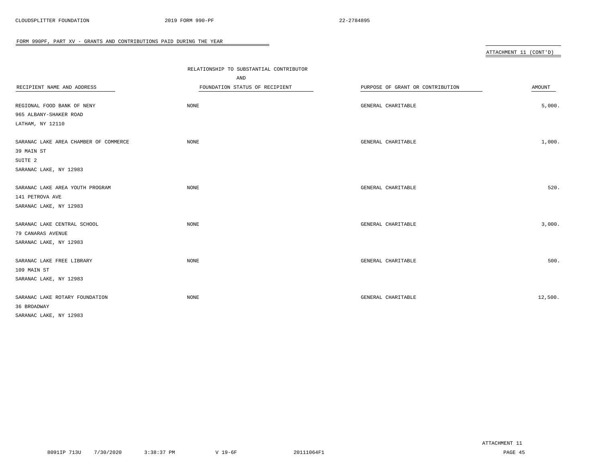|                                       | RELATIONSHIP TO SUBSTANTIAL CONTRIBUTOR |                                  |         |
|---------------------------------------|-----------------------------------------|----------------------------------|---------|
|                                       | AND                                     |                                  |         |
| RECIPIENT NAME AND ADDRESS            | FOUNDATION STATUS OF RECIPIENT          | PURPOSE OF GRANT OR CONTRIBUTION | AMOUNT  |
|                                       |                                         |                                  |         |
| REGIONAL FOOD BANK OF NENY            | <b>NONE</b>                             | GENERAL CHARITABLE               | 5,000.  |
| 965 ALBANY-SHAKER ROAD                |                                         |                                  |         |
| LATHAM, NY 12110                      |                                         |                                  |         |
| SARANAC LAKE AREA CHAMBER OF COMMERCE | <b>NONE</b>                             | GENERAL CHARITABLE               | 1,000.  |
| 39 MAIN ST                            |                                         |                                  |         |
| SUITE <sub>2</sub>                    |                                         |                                  |         |
| SARANAC LAKE, NY 12983                |                                         |                                  |         |
| SARANAC LAKE AREA YOUTH PROGRAM       | NONE                                    | GENERAL CHARITABLE               | 520.    |
| 141 PETROVA AVE                       |                                         |                                  |         |
| SARANAC LAKE, NY 12983                |                                         |                                  |         |
|                                       |                                         |                                  |         |
| SARANAC LAKE CENTRAL SCHOOL           | <b>NONE</b>                             | GENERAL CHARITABLE               | 3,000.  |
| 79 CANARAS AVENUE                     |                                         |                                  |         |
| SARANAC LAKE, NY 12983                |                                         |                                  |         |
| SARANAC LAKE FREE LIBRARY             | <b>NONE</b>                             | GENERAL CHARITABLE               | 500.    |
| 109 MAIN ST                           |                                         |                                  |         |
| SARANAC LAKE, NY 12983                |                                         |                                  |         |
|                                       |                                         |                                  |         |
| SARANAC LAKE ROTARY FOUNDATION        | <b>NONE</b>                             | GENERAL CHARITABLE               | 12,500. |
| 36 BROADWAY                           |                                         |                                  |         |
| SARANAC LAKE, NY 12983                |                                         |                                  |         |

 $\overline{\phantom{a}}$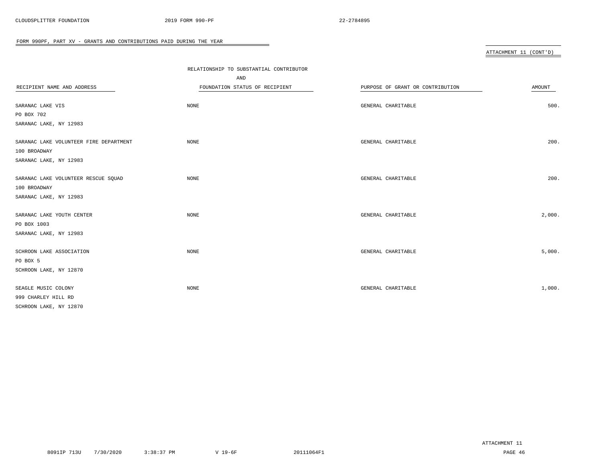|                                        | RELATIONSHIP TO SUBSTANTIAL CONTRIBUTOR |                                  |        |
|----------------------------------------|-----------------------------------------|----------------------------------|--------|
|                                        | AND                                     |                                  |        |
| RECIPIENT NAME AND ADDRESS             | FOUNDATION STATUS OF RECIPIENT          | PURPOSE OF GRANT OR CONTRIBUTION | AMOUNT |
|                                        |                                         |                                  |        |
| SARANAC LAKE VIS                       | NONE                                    | GENERAL CHARITABLE               | 500.   |
| PO BOX 702                             |                                         |                                  |        |
| SARANAC LAKE, NY 12983                 |                                         |                                  |        |
|                                        |                                         |                                  |        |
| SARANAC LAKE VOLUNTEER FIRE DEPARTMENT | NONE                                    | GENERAL CHARITABLE               | 200.   |
| 100 BROADWAY                           |                                         |                                  |        |
| SARANAC LAKE, NY 12983                 |                                         |                                  |        |
| SARANAC LAKE VOLUNTEER RESCUE SQUAD    | NONE                                    | GENERAL CHARITABLE               | 200.   |
| 100 BROADWAY                           |                                         |                                  |        |
| SARANAC LAKE, NY 12983                 |                                         |                                  |        |
|                                        |                                         |                                  |        |
| SARANAC LAKE YOUTH CENTER              | $\rm{NONE}$                             | GENERAL CHARITABLE               | 2,000. |
| PO BOX 1003                            |                                         |                                  |        |
| SARANAC LAKE, NY 12983                 |                                         |                                  |        |
|                                        |                                         |                                  |        |
| SCHROON LAKE ASSOCIATION               | NONE                                    | GENERAL CHARITABLE               | 5,000. |
| PO BOX 5                               |                                         |                                  |        |
| SCHROON LAKE, NY 12870                 |                                         |                                  |        |
|                                        |                                         |                                  |        |
| SEAGLE MUSIC COLONY                    | NONE                                    | GENERAL CHARITABLE               | 1,000. |
| 999 CHARLEY HILL RD                    |                                         |                                  |        |
| SCHROON LAKE, NY 12870                 |                                         |                                  |        |

 $\overline{\phantom{a}}$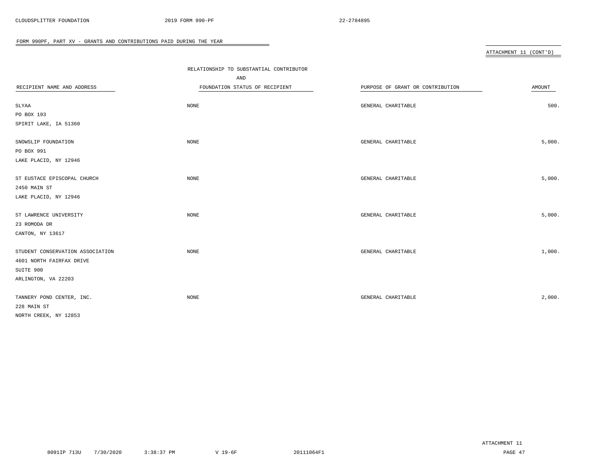|                                  | RELATIONSHIP TO SUBSTANTIAL CONTRIBUTOR |                                  |        |
|----------------------------------|-----------------------------------------|----------------------------------|--------|
|                                  | AND                                     |                                  |        |
| RECIPIENT NAME AND ADDRESS       | FOUNDATION STATUS OF RECIPIENT          | PURPOSE OF GRANT OR CONTRIBUTION | AMOUNT |
|                                  |                                         |                                  |        |
| SLYAA                            | NONE                                    | GENERAL CHARITABLE               | 500.   |
| PO BOX 193                       |                                         |                                  |        |
| SPIRIT LAKE, IA 51360            |                                         |                                  |        |
| SNOWSLIP FOUNDATION              | <b>NONE</b>                             | GENERAL CHARITABLE               | 5,000. |
| PO BOX 991                       |                                         |                                  |        |
| LAKE PLACID, NY 12946            |                                         |                                  |        |
| ST EUSTACE EPISCOPAL CHURCH      | NONE                                    | GENERAL CHARITABLE               | 5,000. |
| 2450 MAIN ST                     |                                         |                                  |        |
| LAKE PLACID, NY 12946            |                                         |                                  |        |
| ST LAWRENCE UNIVERSITY           | NONE                                    | GENERAL CHARITABLE               | 5,000. |
| 23 ROMODA DR                     |                                         |                                  |        |
| CANTON, NY 13617                 |                                         |                                  |        |
| STUDENT CONSERVATION ASSOCIATION | NONE                                    | GENERAL CHARITABLE               | 1,000. |
| 4601 NORTH FAIRFAX DRIVE         |                                         |                                  |        |
| SUITE 900                        |                                         |                                  |        |
| ARLINGTON, VA 22203              |                                         |                                  |        |
| TANNERY POND CENTER, INC.        | NONE                                    | GENERAL CHARITABLE               | 2,000. |
| 228 MAIN ST                      |                                         |                                  |        |
| NORTH CREEK, NY 12853            |                                         |                                  |        |
|                                  |                                         |                                  |        |

 $\overline{\phantom{a}}$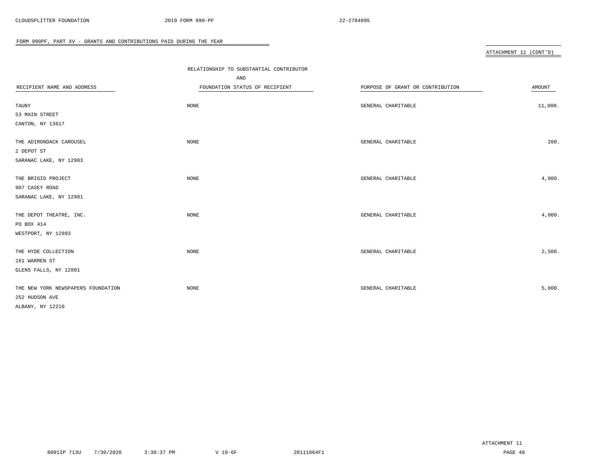|                                    | RELATIONSHIP TO SUBSTANTIAL CONTRIBUTOR |                                  |         |
|------------------------------------|-----------------------------------------|----------------------------------|---------|
|                                    | AND                                     |                                  |         |
| RECIPIENT NAME AND ADDRESS         | FOUNDATION STATUS OF RECIPIENT          | PURPOSE OF GRANT OR CONTRIBUTION | AMOUNT  |
|                                    |                                         |                                  |         |
| TAUNY                              | NONE                                    | GENERAL CHARITABLE               | 11,000. |
| 53 MAIN STREET                     |                                         |                                  |         |
| CANTON, NY 13617                   |                                         |                                  |         |
| THE ADIRONDACK CAROUSEL            | NONE                                    | GENERAL CHARITABLE               | 200.    |
| 2 DEPOT ST                         |                                         |                                  |         |
| SARANAC LAKE, NY 12983             |                                         |                                  |         |
| THE BRIGID PROJECT                 | NONE                                    | GENERAL CHARITABLE               | 4,000.  |
| 907 CASEY ROAD                     |                                         |                                  |         |
| SARANAC LAKE, NY 12981             |                                         |                                  |         |
| THE DEPOT THEATRE, INC.            | NONE                                    | GENERAL CHARITABLE               | 4,000.  |
| PO BOX 414                         |                                         |                                  |         |
| WESTPORT, NY 12993                 |                                         |                                  |         |
|                                    |                                         |                                  |         |
| THE HYDE COLLECTION                | NONE                                    | GENERAL CHARITABLE               | 2,500.  |
| 161 WARREN ST                      |                                         |                                  |         |
| GLENS FALLS, NY 12801              |                                         |                                  |         |
| THE NEW YORK NEWSPAPERS FOUNDATION | NONE                                    | GENERAL CHARITABLE               | 5,000.  |
| 252 HUDSON AVE                     |                                         |                                  |         |
| ALBANY, NY 12210                   |                                         |                                  |         |
|                                    |                                         |                                  |         |

 $\overline{\phantom{a}}$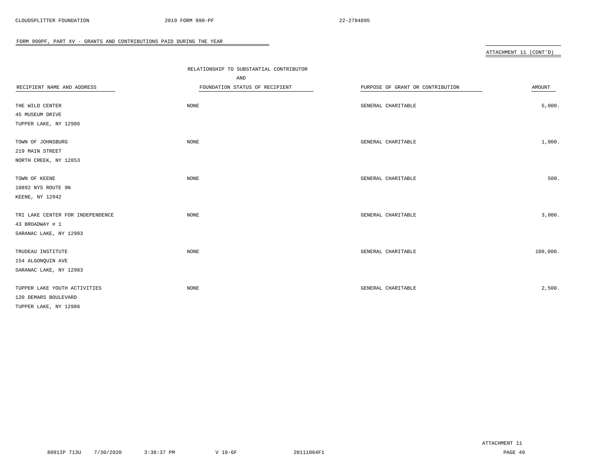|                                  | RELATIONSHIP TO SUBSTANTIAL CONTRIBUTOR |                                  |          |
|----------------------------------|-----------------------------------------|----------------------------------|----------|
|                                  | AND                                     |                                  |          |
| RECIPIENT NAME AND ADDRESS       | FOUNDATION STATUS OF RECIPIENT          | PURPOSE OF GRANT OR CONTRIBUTION | AMOUNT   |
|                                  |                                         |                                  |          |
| THE WILD CENTER                  | <b>NONE</b>                             | GENERAL CHARITABLE               | 5,000.   |
| 45 MUSEUM DRIVE                  |                                         |                                  |          |
| TUPPER LAKE, NY 12986            |                                         |                                  |          |
| TOWN OF JOHNSBURG                | <b>NONE</b>                             | GENERAL CHARITABLE               | 1,000.   |
| 219 MAIN STREET                  |                                         |                                  |          |
| NORTH CREEK, NY 12853            |                                         |                                  |          |
| TOWN OF KEENE                    | NONE                                    | GENERAL CHARITABLE               | 500.     |
| 10892 NYS ROUTE 9N               |                                         |                                  |          |
| KEENE, NY 12942                  |                                         |                                  |          |
|                                  |                                         |                                  |          |
| TRI LAKE CENTER FOR INDEPENDENCE | <b>NONE</b>                             | GENERAL CHARITABLE               | 3,000.   |
| 43 BROADWAY # 1                  |                                         |                                  |          |
| SARANAC LAKE, NY 12983           |                                         |                                  |          |
| TRUDEAU INSTITUTE                | NONE                                    | GENERAL CHARITABLE               | 100,000. |
| 154 ALGONQUIN AVE                |                                         |                                  |          |
| SARANAC LAKE, NY 12983           |                                         |                                  |          |
| TUPPER LAKE YOUTH ACTIVITIES     | NONE                                    | GENERAL CHARITABLE               | 2,500.   |
| 120 DEMARS BOULEVARD             |                                         |                                  |          |
| TUPPER LAKE, NY 12986            |                                         |                                  |          |
|                                  |                                         |                                  |          |

 $\overline{\phantom{0}}$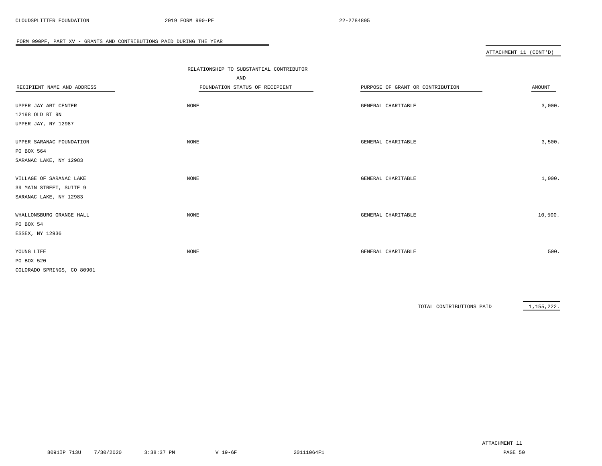|                            | RELATIONSHIP TO SUBSTANTIAL CONTRIBUTOR |                                  |         |
|----------------------------|-----------------------------------------|----------------------------------|---------|
|                            | AND                                     |                                  |         |
| RECIPIENT NAME AND ADDRESS | FOUNDATION STATUS OF RECIPIENT          | PURPOSE OF GRANT OR CONTRIBUTION | AMOUNT  |
|                            |                                         |                                  |         |
| UPPER JAY ART CENTER       | NONE                                    | GENERAL CHARITABLE               | 3,000.  |
| 12198 OLD RT 9N            |                                         |                                  |         |
| UPPER JAY, NY 12987        |                                         |                                  |         |
| UPPER SARANAC FOUNDATION   | NONE                                    | GENERAL CHARITABLE               | 3,500.  |
| PO BOX 564                 |                                         |                                  |         |
| SARANAC LAKE, NY 12983     |                                         |                                  |         |
| VILLAGE OF SARANAC LAKE    | NONE                                    | GENERAL CHARITABLE               | 1,000.  |
| 39 MAIN STREET, SUITE 9    |                                         |                                  |         |
| SARANAC LAKE, NY 12983     |                                         |                                  |         |
| WHALLONSBURG GRANGE HALL   | NONE                                    | GENERAL CHARITABLE               | 10,500. |
| PO BOX 54                  |                                         |                                  |         |
| ESSEX, NY 12936            |                                         |                                  |         |
| YOUNG LIFE                 | NONE                                    | GENERAL CHARITABLE               | 500.    |
| PO BOX 520                 |                                         |                                  |         |
| COLORADO SPRINGS, CO 80901 |                                         |                                  |         |

 $\overline{\phantom{0}}$ 

TOTAL CONTRIBUTIONS PAID 1,155,222.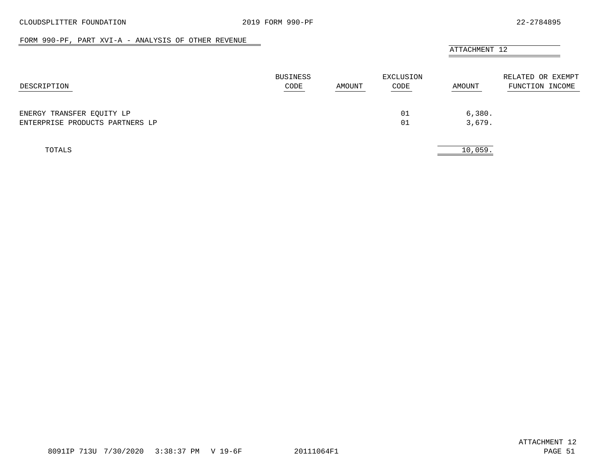$\overline{\phantom{a}}$ 

#### FORM 990-PF, PART XVI-A - ANALYSIS OF OTHER REVENUE

<span id="page-50-0"></span>

|                                                              |                         |        |                   | ATTACHMENT 12    |                                      |
|--------------------------------------------------------------|-------------------------|--------|-------------------|------------------|--------------------------------------|
| DESCRIPTION                                                  | <b>BUSINESS</b><br>CODE | AMOUNT | EXCLUSION<br>CODE | AMOUNT           | RELATED OR EXEMPT<br>FUNCTION INCOME |
| ENERGY TRANSFER EQUITY LP<br>ENTERPRISE PRODUCTS PARTNERS LP |                         |        | 01<br>01          | 6,380.<br>3,679. |                                      |
| TOTALS                                                       |                         |        |                   | 10,059.          |                                      |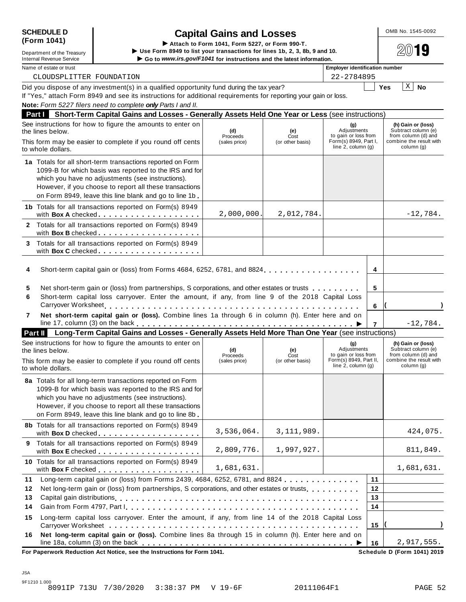| <b>SCHEDULE D</b> |  |
|-------------------|--|
| (Form 1041)       |  |

## **SCHEDULE D** OMB No. 1545-0092 **Capital Gains and Losses** Capital Gains and Losses<br>
► Attach to Form 1041, Form 5227, or Form 990-T.

|               | Use Form 8949 to list your transactions for lines 1b, 2, 3, 8b, 9 and 10.<br>Department of the Treasury<br>Go to www.irs.gov/F1041 for instructions and the latest information.<br><b>Internal Revenue Service</b> |                                                                                                                                                                                                                                                                                                     |                 |                  |                                                   |             |                                                                  |
|---------------|--------------------------------------------------------------------------------------------------------------------------------------------------------------------------------------------------------------------|-----------------------------------------------------------------------------------------------------------------------------------------------------------------------------------------------------------------------------------------------------------------------------------------------------|-----------------|------------------|---------------------------------------------------|-------------|------------------------------------------------------------------|
|               | Name of estate or trust                                                                                                                                                                                            |                                                                                                                                                                                                                                                                                                     |                 |                  | <b>Employer identification number</b>             |             |                                                                  |
|               | CLOUDSPLITTER FOUNDATION                                                                                                                                                                                           |                                                                                                                                                                                                                                                                                                     |                 |                  | 22-2784895                                        |             |                                                                  |
|               |                                                                                                                                                                                                                    | Did you dispose of any investment(s) in a qualified opportunity fund during the tax year?<br>If "Yes," attach Form 8949 and see its instructions for additional requirements for reporting your gain or loss.<br>Note: Form 5227 filers need to complete only Parts I and II.                       |                 |                  |                                                   |             | X<br><b>No</b><br><b>Yes</b>                                     |
| <b>Part I</b> |                                                                                                                                                                                                                    | Short-Term Capital Gains and Losses - Generally Assets Held One Year or Less (see instructions)                                                                                                                                                                                                     |                 |                  |                                                   |             |                                                                  |
|               | the lines below.                                                                                                                                                                                                   | See instructions for how to figure the amounts to enter on                                                                                                                                                                                                                                          | (d)<br>Proceeds | (e)<br>Cost      | (g)<br>Adjustments<br>to gain or loss from        |             | (h) Gain or (loss)<br>Subtract column (e)<br>from column (d) and |
|               | to whole dollars.                                                                                                                                                                                                  | This form may be easier to complete if you round off cents                                                                                                                                                                                                                                          | (sales price)   | (or other basis) | Form(s) 8949, Part I,<br>line $2$ , column $(g)$  |             | combine the result with<br>column (g)                            |
|               |                                                                                                                                                                                                                    | 1a Totals for all short-term transactions reported on Form<br>1099-B for which basis was reported to the IRS and for<br>which you have no adjustments (see instructions).<br>However, if you choose to report all these transactions<br>on Form 8949, leave this line blank and go to line 1b       |                 |                  |                                                   |             |                                                                  |
|               |                                                                                                                                                                                                                    | 1b Totals for all transactions reported on Form(s) 8949<br>with Box A checked                                                                                                                                                                                                                       | 2,000,000       | 2,012,784.       |                                                   |             | $-12,784.$                                                       |
|               |                                                                                                                                                                                                                    | 2 Totals for all transactions reported on Form(s) 8949<br>with Box B checked. <u>.</u>                                                                                                                                                                                                              |                 |                  |                                                   |             |                                                                  |
| 3             |                                                                                                                                                                                                                    | Totals for all transactions reported on Form(s) 8949                                                                                                                                                                                                                                                |                 |                  |                                                   |             |                                                                  |
| 4<br>5<br>6   |                                                                                                                                                                                                                    | Short-term capital gain or (loss) from Forms 4684, 6252, 6781, and 8824<br>Net short-term gain or (loss) from partnerships, S corporations, and other estates or trusts<br>Short-term capital loss carryover. Enter the amount, if any, from line 9 of the 2018 Capital Loss<br>Carryover Worksheet |                 |                  |                                                   | 4<br>5<br>6 |                                                                  |
| 7             |                                                                                                                                                                                                                    | Net short-term capital gain or (loss). Combine lines 1a through 6 in column (h). Enter here and on                                                                                                                                                                                                  |                 |                  |                                                   |             | $-12,784.$                                                       |
| Part II       |                                                                                                                                                                                                                    | Long-Term Capital Gains and Losses - Generally Assets Held More Than One Year (see instructions)                                                                                                                                                                                                    |                 |                  |                                                   |             |                                                                  |
|               | the lines below.                                                                                                                                                                                                   | See instructions for how to figure the amounts to enter on                                                                                                                                                                                                                                          | (d)<br>Proceeds | (e)<br>Cost      | (g)<br>Adjustments<br>to gain or loss from        |             | (h) Gain or (loss)<br>Subtract column (e)<br>from column (d) and |
|               | to whole dollars.                                                                                                                                                                                                  | This form may be easier to complete if you round off cents                                                                                                                                                                                                                                          | (sales price)   | (or other basis) | Form(s) 8949, Part II,<br>line $2$ , column $(g)$ |             | combine the result with<br>column (g)                            |
|               |                                                                                                                                                                                                                    | 8a Totals for all long-term transactions reported on Form<br>1099-B for which basis was reported to the IRS and for<br>which you have no adjustments (see instructions).<br>However, if you choose to report all these transactions<br>on Form 8949, leave this line blank and go to line 8b.       |                 |                  |                                                   |             |                                                                  |
|               |                                                                                                                                                                                                                    | 8b Totals for all transactions reported on Form(s) 8949<br>with Box D checked                                                                                                                                                                                                                       | 3,536,064.      | 3, 111, 989.     |                                                   |             | 424,075.                                                         |
|               |                                                                                                                                                                                                                    | 9 Totals for all transactions reported on Form(s) 8949<br>with Box E checked                                                                                                                                                                                                                        | 2,809,776.      | 1,997,927.       |                                                   |             | 811,849.                                                         |
|               |                                                                                                                                                                                                                    | 10 Totals for all transactions reported on Form(s) 8949<br>with Box F checked                                                                                                                                                                                                                       | 1,681,631.      |                  |                                                   |             | 1,681,631.                                                       |
| 11            |                                                                                                                                                                                                                    | Long-term capital gain or (loss) from Forms 2439, 4684, 6252, 6781, and 8824                                                                                                                                                                                                                        |                 |                  |                                                   | 11          |                                                                  |
| 12            |                                                                                                                                                                                                                    | Net long-term gain or (loss) from partnerships, S corporations, and other estates or trusts                                                                                                                                                                                                         |                 |                  |                                                   | 12          |                                                                  |
| 13            |                                                                                                                                                                                                                    |                                                                                                                                                                                                                                                                                                     |                 |                  |                                                   | 13          |                                                                  |
| 14            |                                                                                                                                                                                                                    |                                                                                                                                                                                                                                                                                                     |                 |                  |                                                   | 14          |                                                                  |
| 15            |                                                                                                                                                                                                                    | Long-term capital loss carryover. Enter the amount, if any, from line 14 of the 2018 Capital Loss                                                                                                                                                                                                   |                 |                  |                                                   | 15          |                                                                  |
| 16            |                                                                                                                                                                                                                    | Net long-term capital gain or (loss). Combine lines 8a through 15 in column (h). Enter here and on                                                                                                                                                                                                  |                 |                  |                                                   | 16          | 2,917,555.                                                       |

line 18a, column (3) on the back m m m m m m m m m m m m m m m m m m m m m m m m m m m m m m m m m m m m m m m I  $\overline{\text{For Paperwork Reduction Act Notice, see the Insertive information.}$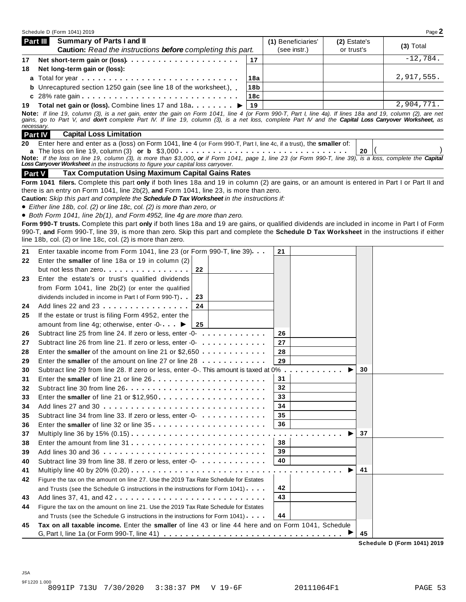|    | Schedule D (Form 1041) 2019                                                                                                                                                                                                                       |                 |                                                                 |              |    | Page 2     |
|----|---------------------------------------------------------------------------------------------------------------------------------------------------------------------------------------------------------------------------------------------------|-----------------|-----------------------------------------------------------------|--------------|----|------------|
|    | <b>Summary of Parts I and II</b><br>Part III                                                                                                                                                                                                      |                 | (1) Beneficiaries'                                              | (2) Estate's |    | (3) Total  |
|    | Caution: Read the instructions before completing this part.                                                                                                                                                                                       |                 | (see instr.)                                                    | or trust's   |    |            |
| 17 | Net short-term gain or (loss)                                                                                                                                                                                                                     | 17              |                                                                 |              |    | $-12,784.$ |
| 18 | Net long-term gain or (loss):                                                                                                                                                                                                                     |                 |                                                                 |              |    |            |
|    | a Total for year enterity to the content of the content of the content of the Total County of Total County To                                                                                                                                     | 18a             |                                                                 |              |    | 2,917,555. |
|    | <b>b</b> Unrecaptured section 1250 gain (see line 18 of the worksheet.)                                                                                                                                                                           | 18 <sub>b</sub> |                                                                 |              |    |            |
|    |                                                                                                                                                                                                                                                   | 18c             |                                                                 |              |    |            |
| 19 | Total net gain or (loss). Combine lines 17 and 18a. ▶                                                                                                                                                                                             | 19              |                                                                 |              |    | 2,904,771. |
|    | Note: If line 19, column (3), is a net gain, enter the gain on Form 1041, line 4 (or Form 990-T, Part I, line 4a). If lines 18a and 19, column (2), are net                                                                                       |                 |                                                                 |              |    |            |
|    | gains, go to Part V, and don't complete Part IV. If line 19, column (3), is a net loss, complete Part IV and the Capital Loss Carryover Worksheet, as<br>necessary.                                                                               |                 |                                                                 |              |    |            |
|    | <b>Capital Loss Limitation</b><br>Part IV                                                                                                                                                                                                         |                 |                                                                 |              |    |            |
| 20 | Enter here and enter as a (loss) on Form 1041, line 4 (or Form 990-T, Part I, line 4c, if a trust), the smaller of:                                                                                                                               |                 |                                                                 |              |    |            |
|    |                                                                                                                                                                                                                                                   |                 |                                                                 |              | 20 |            |
|    | Note: If the loss on line 19, column (3), is more than \$3,000, or if Form 1041, page 1, line 23 (or Form 990-T, line 39), is a loss, complete the Capital<br>Loss Carryover Worksheet in the instructions to figure your capital loss carryover. |                 |                                                                 |              |    |            |
|    | <b>Tax Computation Using Maximum Capital Gains Rates</b>                                                                                                                                                                                          |                 |                                                                 |              |    |            |
|    | <b>Part V</b>                                                                                                                                                                                                                                     |                 |                                                                 |              |    |            |
|    | Form 1041 filers. Complete this part only if both lines 18a and 19 in column (2) are gains, or an amount is entered in Part I or Part II and<br>there is an entry on Form 1041, line 2b(2), and Form 1041, line 23, is more than zero.            |                 |                                                                 |              |    |            |
|    | Caution: Skip this part and complete the Schedule D Tax Worksheet in the instructions if:                                                                                                                                                         |                 |                                                                 |              |    |            |
|    | • Either line 18b, col. (2) or line 18c, col. (2) is more than zero, or                                                                                                                                                                           |                 |                                                                 |              |    |            |
|    | • Both Form 1041, line 2b(1), and Form 4952, line 4g are more than zero.                                                                                                                                                                          |                 |                                                                 |              |    |            |
|    | Form 990-T trusts. Complete this part only if both lines 18a and 19 are gains, or qualified dividends are included in income in Part I of Form                                                                                                    |                 |                                                                 |              |    |            |
|    | 990-T, and Form 990-T, line 39, is more than zero. Skip this part and complete the Schedule D Tax Worksheet in the instructions if either                                                                                                         |                 |                                                                 |              |    |            |
|    | line 18b, col. (2) or line 18c, col. (2) is more than zero.                                                                                                                                                                                       |                 |                                                                 |              |    |            |
| 21 | Enter taxable income from Form 1041, line 23 (or Form 990-T, line 39).                                                                                                                                                                            |                 | 21                                                              |              |    |            |
| 22 | Enter the smaller of line 18a or 19 in column (2)                                                                                                                                                                                                 |                 |                                                                 |              |    |            |
|    | but not less than zero<br>22                                                                                                                                                                                                                      |                 |                                                                 |              |    |            |
| 23 | Enter the estate's or trust's qualified dividends                                                                                                                                                                                                 |                 |                                                                 |              |    |            |
|    | from Form 1041, line 2b(2) (or enter the qualified                                                                                                                                                                                                |                 |                                                                 |              |    |            |
|    | dividends included in income in Part I of Form 990-T)<br>23                                                                                                                                                                                       |                 |                                                                 |              |    |            |
| 24 | 24<br>Add lines 22 and 23                                                                                                                                                                                                                         |                 |                                                                 |              |    |            |
| 25 | If the estate or trust is filing Form 4952, enter the                                                                                                                                                                                             |                 |                                                                 |              |    |            |
|    | amount from line 4g; otherwise, enter -0- $\blacktriangleright$<br>25                                                                                                                                                                             |                 |                                                                 |              |    |            |
| 26 | Subtract line 25 from line 24. If zero or less, enter -0-                                                                                                                                                                                         |                 | 26                                                              |              |    |            |
| 27 | Subtract line 26 from line 21. If zero or less, enter -0-<br>                                                                                                                                                                                     |                 | 27                                                              |              |    |            |
| 28 | Enter the smaller of the amount on line 21 or $$2,650$                                                                                                                                                                                            |                 | 28                                                              |              |    |            |
| 29 | Enter the smaller of the amount on line 27 or line 28                                                                                                                                                                                             |                 | 29                                                              |              |    |            |
| 30 | Subtract line 29 from line 28. If zero or less, enter -0-. This amount is taxed at 0%                                                                                                                                                             |                 |                                                                 |              | 30 |            |
| 31 |                                                                                                                                                                                                                                                   |                 | 31                                                              |              |    |            |
| 32 |                                                                                                                                                                                                                                                   |                 | 32                                                              |              |    |            |
| 33 |                                                                                                                                                                                                                                                   |                 | 33                                                              |              |    |            |
| 34 |                                                                                                                                                                                                                                                   |                 | 34                                                              |              |    |            |
| 35 | Subtract line 34 from line 33. If zero or less, enter -0-                                                                                                                                                                                         |                 | 35                                                              |              |    |            |
| 36 | Enter the smaller of line 32 or line 35                                                                                                                                                                                                           |                 | 36                                                              |              |    |            |
| 37 | Multiply line 36 by 15% (0.15)                                                                                                                                                                                                                    |                 | $\sim$ $\sim$ $\sim$                                            |              | 37 |            |
| 38 |                                                                                                                                                                                                                                                   |                 | 38                                                              |              |    |            |
| 39 | Add lines 30 and 36                                                                                                                                                                                                                               |                 | 39                                                              |              |    |            |
| 40 | Subtract line 39 from line 38. If zero or less, enter -0-                                                                                                                                                                                         |                 | 40                                                              |              |    |            |
| 41 |                                                                                                                                                                                                                                                   |                 | $\mathbf{a} \cdot \mathbf{a} \cdot \mathbf{a} \cdot \mathbf{a}$ |              | 41 |            |
| 42 | Figure the tax on the amount on line 27. Use the 2019 Tax Rate Schedule for Estates                                                                                                                                                               |                 |                                                                 |              |    |            |
|    |                                                                                                                                                                                                                                                   |                 | 42                                                              |              |    |            |
|    | and Trusts (see the Schedule G instructions in the instructions for Form 1041).                                                                                                                                                                   |                 | 43                                                              |              |    |            |
| 43 | Add lines 37, 41, and 42                                                                                                                                                                                                                          |                 |                                                                 |              |    |            |
| 44 | Figure the tax on the amount on line 21. Use the 2019 Tax Rate Schedule for Estates                                                                                                                                                               |                 |                                                                 |              |    |            |
|    | and Trusts (see the Schedule G instructions in the instructions for Form 1041).                                                                                                                                                                   |                 | 44                                                              |              |    |            |
| 45 | Tax on all taxable income. Enter the smaller of line 43 or line 44 here and on Form 1041, Schedule                                                                                                                                                |                 |                                                                 |              |    |            |
|    |                                                                                                                                                                                                                                                   |                 |                                                                 |              | 45 |            |

**Schedule D (Form 1041) 2019**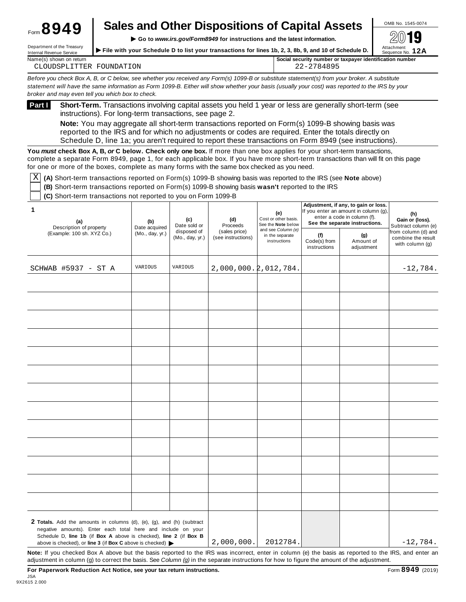|                       | <b>Sales and Other Dispositions of Capital Assets</b> | OMB No. 1545-0074 |
|-----------------------|-------------------------------------------------------|-------------------|
| $F_{\text{G}}$ $8949$ |                                                       | െി 10             |

**Internal Revenue Service**<br>Internal Revenue Service → File with your Schedule D to list your transactions for lines 1b, 2, 3, 8b, 9, and 10 of Schedule D.<br>Internal Revenue Service → Sequence No. 12A Department of the Ireasury<br>Internal Revenue Service<br>Internal Revenue Service

| Name(s)                           | r taxpayer identification number |
|-----------------------------------|----------------------------------|
| i shown on return                 | I security number or             |
|                                   | Social                           |
| ON<br>H'OLINI<br>'H:R<br>$\Delta$ | <u>.  </u>                       |

Before you check Box A, B, or C below, see whether you received any Form(s) 1099-B or substitute statement(s) from your broker. A substitute statement will have the same information as Form 1099-B. Either will show whether your basis (usually your cost) was reported to the IRS by your *broker and may even tell you which box to check.*

**Short-Term.** Transactions involving capital assets you held 1 year or less are generally short-term (see instructions). For long-term transactions, see page 2. **Part <sup>I</sup>**

**Note:** You may aggregate all short-term transactions reported on Form(s) 1099-B showing basis was reported to the IRS and for which no adjustments or codes are required. Enter the totals directly on Schedule D, line 1a; you aren't required to report these transactions on Form 8949 (see instructions).

**You** *must* **check Box A, B,** *or* **C below. Check only one box.** If more than one box applies for your short-term transactions, complete a separate Form 8949, page 1, for each applicable box. If you have more short-term transactions than will fit on this page for one or more of the boxes, complete as many forms with the same box checked as you need.

 $\overline{X}$  (A) Short-term transactions reported on Form(s) 1099-B showing basis was reported to the IRS (see Note above)

**(B)** Short-term transactions reported on Form(s) 1099-B showing basis **wasn't** reported to the IRS

**(C)** Short-term transactions not reported to you on Form 1099-B

| 1<br>(a)<br>Description of property                                                                                                                                                                                                    | (b)<br>Date acquired | (c)<br>Date sold or            | (d)<br>Proceeds                     | (e)<br>Cost or other basis.<br>See the Note below     | Adjustment, if any, to gain or loss.<br>If you enter an amount in column (g),<br>enter a code in column (f).<br>See the separate instructions. |                                | (h)<br>Gain or (loss).<br>Subtract column (e)                  |
|----------------------------------------------------------------------------------------------------------------------------------------------------------------------------------------------------------------------------------------|----------------------|--------------------------------|-------------------------------------|-------------------------------------------------------|------------------------------------------------------------------------------------------------------------------------------------------------|--------------------------------|----------------------------------------------------------------|
| (Example: 100 sh. XYZ Co.)                                                                                                                                                                                                             | (Mo., day, yr.)      | disposed of<br>(Mo., day, yr.) | (sales price)<br>(see instructions) | and see Column (e)<br>in the separate<br>instructions | (f)<br>Code(s) from<br>instructions                                                                                                            | (g)<br>Amount of<br>adjustment | from column (d) and<br>combine the result<br>with column $(g)$ |
| SCHWAB #5937 - ST A                                                                                                                                                                                                                    | VARIOUS              | VARIOUS                        | $2,000,000.\overline{2},012,784.$   |                                                       |                                                                                                                                                |                                | $-12,784.$                                                     |
|                                                                                                                                                                                                                                        |                      |                                |                                     |                                                       |                                                                                                                                                |                                |                                                                |
|                                                                                                                                                                                                                                        |                      |                                |                                     |                                                       |                                                                                                                                                |                                |                                                                |
|                                                                                                                                                                                                                                        |                      |                                |                                     |                                                       |                                                                                                                                                |                                |                                                                |
|                                                                                                                                                                                                                                        |                      |                                |                                     |                                                       |                                                                                                                                                |                                |                                                                |
|                                                                                                                                                                                                                                        |                      |                                |                                     |                                                       |                                                                                                                                                |                                |                                                                |
|                                                                                                                                                                                                                                        |                      |                                |                                     |                                                       |                                                                                                                                                |                                |                                                                |
|                                                                                                                                                                                                                                        |                      |                                |                                     |                                                       |                                                                                                                                                |                                |                                                                |
|                                                                                                                                                                                                                                        |                      |                                |                                     |                                                       |                                                                                                                                                |                                |                                                                |
|                                                                                                                                                                                                                                        |                      |                                |                                     |                                                       |                                                                                                                                                |                                |                                                                |
|                                                                                                                                                                                                                                        |                      |                                |                                     |                                                       |                                                                                                                                                |                                |                                                                |
|                                                                                                                                                                                                                                        |                      |                                |                                     |                                                       |                                                                                                                                                |                                |                                                                |
|                                                                                                                                                                                                                                        |                      |                                |                                     |                                                       |                                                                                                                                                |                                |                                                                |
|                                                                                                                                                                                                                                        |                      |                                |                                     |                                                       |                                                                                                                                                |                                |                                                                |
| <b>2 Totals.</b> Add the amounts in columns (d), (e), (g), and (h) (subtract<br>negative amounts). Enter each total here and include on your<br>Schedule D, line 1b (if Box A above is checked), line 2 (if Box B                      |                      |                                | 2,000,000.                          | 2012784.                                              |                                                                                                                                                |                                | $-12,784.$                                                     |
| above is checked), or line 3 (if Box C above is checked) $\blacktriangleright$<br>Note: If you checked Box A above but the basis reported to the IRS was incorrect, enter in column (e) the basis as reported to the IRS, and enter an |                      |                                |                                     |                                                       |                                                                                                                                                |                                |                                                                |

adjustment in column (g) to correct the basis. See *Column (g)* in the separate instructions for how to figure the amount of the adjustment.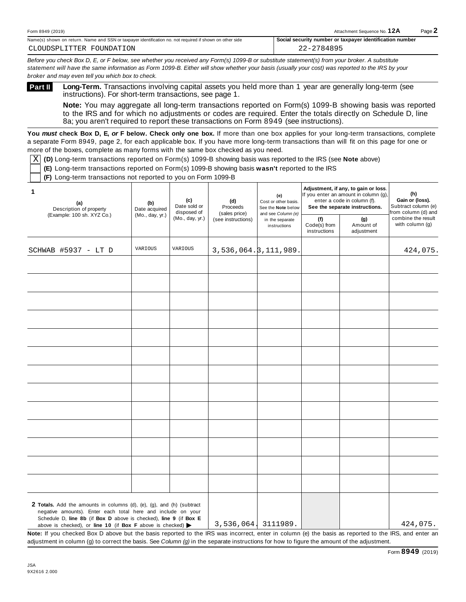| Form 8949 (2019)                                                                                               | Attachment Sequence No. 12A                              | $P$ age |
|----------------------------------------------------------------------------------------------------------------|----------------------------------------------------------|---------|
| Name(s)<br>s) shown on return. Name and SSN or taxpaver identification no. not required if shown on other side | Social security number or taxpayer identification number |         |

*Before you check Box D, E, or F below, see whether you received any Form(s) 1099-B or substitute statement(s) from your broker. A substitute statement will have the same information as Form 1099-B. Either will show whether your basis (usually your cost) was reported to the IRS by your broker and may even tell you which box to check.*

**Part II** 

**Long-Term.** Transactions involving capital assets you held more than 1 year are generally long-term (see instructions). For short-term transactions, see page 1.

**Note:** You may aggregate all long-term transactions reported on Form(s) 1099-B showing basis was reported to the IRS and for which no adjustments or codes are required. Enter the totals directly on Schedule D, line 8a; you aren't required to report these transactions on Form 8949 (see instructions).

**You** *must* **check Box D, E,** *or* **F below. Check only one box.** If more than one box applies for your long-term transactions, complete a separate Form 8949, page 2, for each applicable box. If you have more long-term transactions than will fit on this page for one or more of the boxes, complete as many forms with the same box checked as you need.

 $\overline{\text{X}}$  (D) Long-term transactions reported on Form(s) 1099-B showing basis was reported to the IRS (see **Note** above)

**(E)** Long-term transactions reported on Form(s) 1099-B showing basis **wasn't** reported to the IRS

**(F)** Long-term transactions not reported to you on Form 1099-B

| 1<br>(a)<br>Description of property                                                                                                                                                                        | (b)<br>Date acquired | (c)<br>Date sold or<br>disposed of | (d)<br>Proceeds<br>(sales price) | (e)<br>Cost or other basis.<br>See the Note below<br>and see Column (e)<br>in the separate<br>instructions |                                     | Adjustment, if any, to gain or loss.<br>If you enter an amount in column (g),<br>enter a code in column (f).<br>See the separate instructions. | (h)<br>Gain or (loss).<br>Subtract column (e)<br>from column (d) and<br>combine the result<br>with column (g) |
|------------------------------------------------------------------------------------------------------------------------------------------------------------------------------------------------------------|----------------------|------------------------------------|----------------------------------|------------------------------------------------------------------------------------------------------------|-------------------------------------|------------------------------------------------------------------------------------------------------------------------------------------------|---------------------------------------------------------------------------------------------------------------|
| (Example: 100 sh. XYZ Co.)                                                                                                                                                                                 | (Mo., day, yr.)      | (Mo., day, yr.)                    | (see instructions)               |                                                                                                            | (f)<br>Code(s) from<br>instructions | (g)<br>Amount of<br>adjustment                                                                                                                 |                                                                                                               |
| SCHWAB #5937 - LT D                                                                                                                                                                                        | VARIOUS              | VARIOUS                            | $3,536,064.$ $3,111,989.$        |                                                                                                            |                                     |                                                                                                                                                | 424,075.                                                                                                      |
|                                                                                                                                                                                                            |                      |                                    |                                  |                                                                                                            |                                     |                                                                                                                                                |                                                                                                               |
|                                                                                                                                                                                                            |                      |                                    |                                  |                                                                                                            |                                     |                                                                                                                                                |                                                                                                               |
|                                                                                                                                                                                                            |                      |                                    |                                  |                                                                                                            |                                     |                                                                                                                                                |                                                                                                               |
|                                                                                                                                                                                                            |                      |                                    |                                  |                                                                                                            |                                     |                                                                                                                                                |                                                                                                               |
|                                                                                                                                                                                                            |                      |                                    |                                  |                                                                                                            |                                     |                                                                                                                                                |                                                                                                               |
|                                                                                                                                                                                                            |                      |                                    |                                  |                                                                                                            |                                     |                                                                                                                                                |                                                                                                               |
|                                                                                                                                                                                                            |                      |                                    |                                  |                                                                                                            |                                     |                                                                                                                                                |                                                                                                               |
|                                                                                                                                                                                                            |                      |                                    |                                  |                                                                                                            |                                     |                                                                                                                                                |                                                                                                               |
|                                                                                                                                                                                                            |                      |                                    |                                  |                                                                                                            |                                     |                                                                                                                                                |                                                                                                               |
|                                                                                                                                                                                                            |                      |                                    |                                  |                                                                                                            |                                     |                                                                                                                                                |                                                                                                               |
|                                                                                                                                                                                                            |                      |                                    |                                  |                                                                                                            |                                     |                                                                                                                                                |                                                                                                               |
|                                                                                                                                                                                                            |                      |                                    |                                  |                                                                                                            |                                     |                                                                                                                                                |                                                                                                               |
| 2 Totals. Add the amounts in columns (d), (e), (g), and (h) (subtract<br>negative amounts). Enter each total here and include on your<br>Schedule D, line 8b (if Box D above is checked), line 9 (if Box E |                      |                                    |                                  |                                                                                                            |                                     |                                                                                                                                                |                                                                                                               |

above is checked), or **line 10** (if **Box F** above is checked)  $\blacktriangleright$ **Note:** If you checked Box D above but the basis reported to the IRS was incorrect, enter in column (e) the basis as reported to the IRS, and enter an adjustment in column (g) to correct the basis. See *Column (g)* in the separate instructions for how to figure the amount of the adjustment.  $\begin{array}{|c|c|c|c|c|c|c|c|c|c|c|} \hline \end{array}$  3,536,064, 3111989.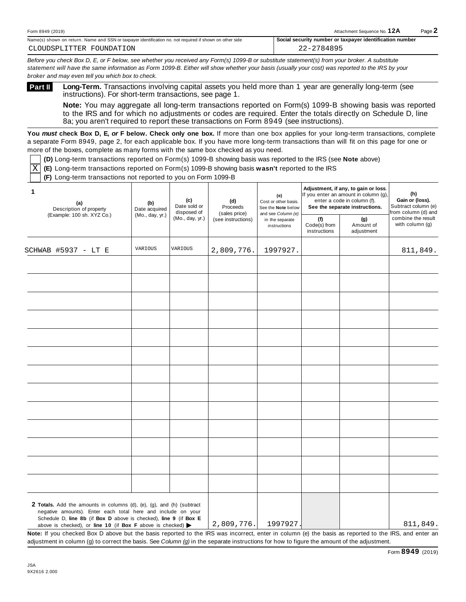| Form 8949<br>(2019)                                                                                                | Attachment<br>.∩t Sequence No. ⊺                                              | $P$ age |
|--------------------------------------------------------------------------------------------------------------------|-------------------------------------------------------------------------------|---------|
| Name(s)<br>. Name and SSN or taxpaver identification no, not required if shown on other side<br>i shown on return. | -Social<br>r identification number<br>, number or taxpaver<br><b>security</b> |         |

Before you check Box D, E, or F below, see whether you received any Form(s) 1099-B or substitute statement(s) from your broker. A substitute statement will have the same information as Form 1099-B. Either will show whether your basis (usually your cost) was reported to the IRS by your *broker and may even tell you which box to check.*

**Long-Term.** Transactions involving capital assets you held more than 1 year are generally long-term (see instructions). For short-term transactions, see page 1. **Part II**

**Note:** You may aggregate all long-term transactions reported on Form(s) 1099-B showing basis was reported to the IRS and for which no adjustments or codes are required. Enter the totals directly on Schedule D, line 8a; you aren't required to report these transactions on Form 8949 (see instructions).

**You** *must* **check Box D, E,** *or* **F below. Check only one box.** If more than one box applies for your long-term transactions, complete a separate Form 8949, page 2, for each applicable box. If you have more long-term transactions than will fit on this page for one or more of the boxes, complete as many forms with the same box checked as you need.

**(D)** Long-term transactions reported on Form(s) 1099-B showing basis was reported to the IRS (see **Note** above)

**(E)** Long-term transactions reported on Form(s) 1099-B showing basis **wasn't** reported to the IRS X

**(F)** Long-term transactions not reported to you on Form 1099-B

| 1<br>(a)<br>Description of property                                                                                                                                                                                                                                                                  | (b)<br>Date acquired | (c)<br>Date sold or<br>disposed of | (d)<br>Proceeds                     |                                                       |                                     |                                |                                       | (e)<br>Cost or other basis.<br>See the Note below | Adjustment, if any, to gain or loss.<br>If you enter an amount in column (g),<br>enter a code in column (f).<br>See the separate instructions. | (h)<br>Gain or (loss).<br>Subtract column (e)<br>from column (d) and |
|------------------------------------------------------------------------------------------------------------------------------------------------------------------------------------------------------------------------------------------------------------------------------------------------------|----------------------|------------------------------------|-------------------------------------|-------------------------------------------------------|-------------------------------------|--------------------------------|---------------------------------------|---------------------------------------------------|------------------------------------------------------------------------------------------------------------------------------------------------|----------------------------------------------------------------------|
| (Example: 100 sh. XYZ Co.)                                                                                                                                                                                                                                                                           | (Mo., day, yr.)      | (Mo., day, yr.)                    | (sales price)<br>(see instructions) | and see Column (e)<br>in the separate<br>instructions | (f)<br>Code(s) from<br>instructions | (g)<br>Amount of<br>adjustment | combine the result<br>with column (g) |                                                   |                                                                                                                                                |                                                                      |
| SCHWAB #5937 - LT E                                                                                                                                                                                                                                                                                  | VARIOUS              | VARIOUS                            | 2,809,776.                          | 1997927.                                              |                                     |                                | 811,849.                              |                                                   |                                                                                                                                                |                                                                      |
|                                                                                                                                                                                                                                                                                                      |                      |                                    |                                     |                                                       |                                     |                                |                                       |                                                   |                                                                                                                                                |                                                                      |
|                                                                                                                                                                                                                                                                                                      |                      |                                    |                                     |                                                       |                                     |                                |                                       |                                                   |                                                                                                                                                |                                                                      |
|                                                                                                                                                                                                                                                                                                      |                      |                                    |                                     |                                                       |                                     |                                |                                       |                                                   |                                                                                                                                                |                                                                      |
|                                                                                                                                                                                                                                                                                                      |                      |                                    |                                     |                                                       |                                     |                                |                                       |                                                   |                                                                                                                                                |                                                                      |
|                                                                                                                                                                                                                                                                                                      |                      |                                    |                                     |                                                       |                                     |                                |                                       |                                                   |                                                                                                                                                |                                                                      |
|                                                                                                                                                                                                                                                                                                      |                      |                                    |                                     |                                                       |                                     |                                |                                       |                                                   |                                                                                                                                                |                                                                      |
|                                                                                                                                                                                                                                                                                                      |                      |                                    |                                     |                                                       |                                     |                                |                                       |                                                   |                                                                                                                                                |                                                                      |
|                                                                                                                                                                                                                                                                                                      |                      |                                    |                                     |                                                       |                                     |                                |                                       |                                                   |                                                                                                                                                |                                                                      |
|                                                                                                                                                                                                                                                                                                      |                      |                                    |                                     |                                                       |                                     |                                |                                       |                                                   |                                                                                                                                                |                                                                      |
|                                                                                                                                                                                                                                                                                                      |                      |                                    |                                     |                                                       |                                     |                                |                                       |                                                   |                                                                                                                                                |                                                                      |
|                                                                                                                                                                                                                                                                                                      |                      |                                    |                                     |                                                       |                                     |                                |                                       |                                                   |                                                                                                                                                |                                                                      |
| <b>2 Totals.</b> Add the amounts in columns (d), (e), (g), and (h) (subtract<br>negative amounts). Enter each total here and include on your<br>Schedule D, line 8b (if Box D above is checked), line 9 (if Box E<br>above is checked), or line 10 (if Box F above is checked) $\blacktriangleright$ |                      |                                    | 2,809,776.                          | 1997927.                                              |                                     |                                | 811,849.                              |                                                   |                                                                                                                                                |                                                                      |

**Note:** If you checked Box D above but the basis reported to the IRS was incorrect, enter in column (e) the basis as reported to the IRS, and enter an adjustment in column (g) to correct the basis. See *Column (g)* in the separate instructions for how to figure the amount of the adjustment.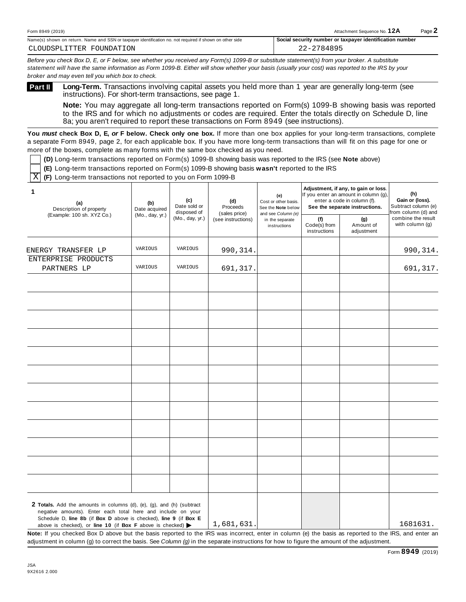| Form 8949<br>(2019)                                                                                                | Attachment<br>.∩t Sequence No. ⊺                                              | $P$ age |
|--------------------------------------------------------------------------------------------------------------------|-------------------------------------------------------------------------------|---------|
| Name(s)<br>. Name and SSN or taxpaver identification no, not required if shown on other side<br>i shown on return. | -Social<br>r identification number<br>, number or taxpaver<br><b>security</b> |         |

Before you check Box D, E, or F below, see whether you received any Form(s) 1099-B or substitute statement(s) from your broker. A substitute statement will have the same information as Form 1099-B. Either will show whether your basis (usually your cost) was reported to the IRS by your *broker and may even tell you which box to check.*

**Long-Term.** Transactions involving capital assets you held more than 1 year are generally long-term (see instructions). For short-term transactions, see page 1. **Part II**

**Note:** You may aggregate all long-term transactions reported on Form(s) 1099-B showing basis was reported to the IRS and for which no adjustments or codes are required. Enter the totals directly on Schedule D, line 8a; you aren't required to report these transactions on Form 8949 (see instructions).

**You** *must* **check Box D, E,** *or* **F below. Check only one box.** If more than one box applies for your long-term transactions, complete a separate Form 8949, page 2, for each applicable box. If you have more long-term transactions than will fit on this page for one or more of the boxes, complete as many forms with the same box checked as you need.

**(D)** Long-term transactions reported on Form(s) 1099-B showing basis was reported to the IRS (see **Note** above)

**(E)** Long-term transactions reported on Form(s) 1099-B showing basis **wasn't** reported to the IRS

**(F)** Long-term transactions not reported to you on Form 1099-B  $\overline{\mathbf{X}}$ 

| 1<br>(a)<br>Description of property                                                                                                                                                                        | (b)<br>Date acquired | (c)<br>Date sold or<br>disposed of | (d)<br>Proceeds                     | (e)<br>Cost or other basis.<br>See the Note below<br>and see Column (e)<br>in the separate<br>instructions | Adjustment, if any, to gain or loss.<br>If you enter an amount in column (g),<br>enter a code in column (f).<br>See the separate instructions. | (h)<br>Gain or (loss).<br>Subtract column (e)<br>from column (d) and |                                       |
|------------------------------------------------------------------------------------------------------------------------------------------------------------------------------------------------------------|----------------------|------------------------------------|-------------------------------------|------------------------------------------------------------------------------------------------------------|------------------------------------------------------------------------------------------------------------------------------------------------|----------------------------------------------------------------------|---------------------------------------|
| (Example: 100 sh. XYZ Co.)                                                                                                                                                                                 | (Mo., day, yr.)      | (Mo., day, yr.)                    | (sales price)<br>(see instructions) |                                                                                                            | (f)<br>Code(s) from<br>instructions                                                                                                            | (g)<br>Amount of<br>adjustment                                       | combine the result<br>with column (g) |
| ENERGY TRANSFER LP                                                                                                                                                                                         | VARIOUS              | VARIOUS                            | 990, 314.                           |                                                                                                            |                                                                                                                                                |                                                                      | 990, 314.                             |
| ENTERPRISE PRODUCTS<br>PARTNERS LP                                                                                                                                                                         | VARIOUS              | VARIOUS                            | 691,317.                            |                                                                                                            |                                                                                                                                                |                                                                      | 691,317.                              |
|                                                                                                                                                                                                            |                      |                                    |                                     |                                                                                                            |                                                                                                                                                |                                                                      |                                       |
|                                                                                                                                                                                                            |                      |                                    |                                     |                                                                                                            |                                                                                                                                                |                                                                      |                                       |
|                                                                                                                                                                                                            |                      |                                    |                                     |                                                                                                            |                                                                                                                                                |                                                                      |                                       |
|                                                                                                                                                                                                            |                      |                                    |                                     |                                                                                                            |                                                                                                                                                |                                                                      |                                       |
|                                                                                                                                                                                                            |                      |                                    |                                     |                                                                                                            |                                                                                                                                                |                                                                      |                                       |
|                                                                                                                                                                                                            |                      |                                    |                                     |                                                                                                            |                                                                                                                                                |                                                                      |                                       |
|                                                                                                                                                                                                            |                      |                                    |                                     |                                                                                                            |                                                                                                                                                |                                                                      |                                       |
|                                                                                                                                                                                                            |                      |                                    |                                     |                                                                                                            |                                                                                                                                                |                                                                      |                                       |
|                                                                                                                                                                                                            |                      |                                    |                                     |                                                                                                            |                                                                                                                                                |                                                                      |                                       |
|                                                                                                                                                                                                            |                      |                                    |                                     |                                                                                                            |                                                                                                                                                |                                                                      |                                       |
| 2 Totals. Add the amounts in columns (d), (e), (g), and (h) (subtract<br>negative amounts). Enter each total here and include on your<br>Schedule D, line 8b (if Box D above is checked), line 9 (if Box E |                      |                                    | $\sim$ $\sim$ $\sim$ $\sim$         |                                                                                                            |                                                                                                                                                |                                                                      | $ -$                                  |

above is checked), or **line 10** (if **Box F** above is checked)  $\blacktriangleright$ 1,681,631. 1681631.

**Note:** If you checked Box D above but the basis reported to the IRS was incorrect, enter in column (e) the basis as reported to the IRS, and enter an adjustment in column (g) to correct the basis. See *Column (g)* in the separate instructions for how to figure the amount of the adjustment.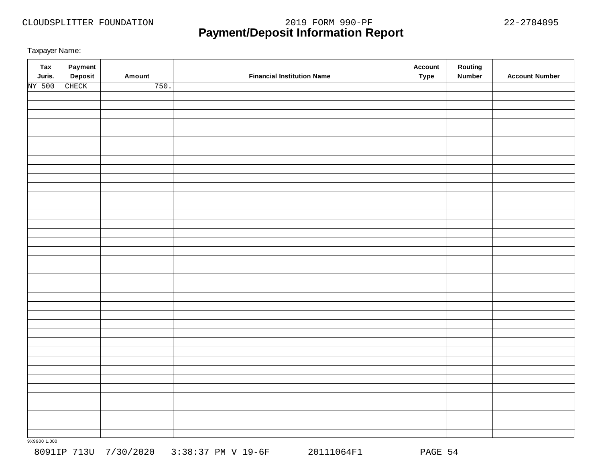# **Payment/Deposit Information Report** CLOUDSPLITTER FOUNDATION 2019 FORM 990-PF 22-2784895

Taxpayer Name:

| <b>Tax</b><br>Juris. | Payment<br>Deposit | Amount | <b>Financial Institution Name</b> | <b>Account</b><br><b>Type</b> | Routing<br><b>Number</b> | <b>Account Number</b> |
|----------------------|--------------------|--------|-----------------------------------|-------------------------------|--------------------------|-----------------------|
| NY 500               | CHECK              | 750.   |                                   |                               |                          |                       |
|                      |                    |        |                                   |                               |                          |                       |
|                      |                    |        |                                   |                               |                          |                       |
|                      |                    |        |                                   |                               |                          |                       |
|                      |                    |        |                                   |                               |                          |                       |
|                      |                    |        |                                   |                               |                          |                       |
|                      |                    |        |                                   |                               |                          |                       |
|                      |                    |        |                                   |                               |                          |                       |
|                      |                    |        |                                   |                               |                          |                       |
|                      |                    |        |                                   |                               |                          |                       |
|                      |                    |        |                                   |                               |                          |                       |
|                      |                    |        |                                   |                               |                          |                       |
|                      |                    |        |                                   |                               |                          |                       |
|                      |                    |        |                                   |                               |                          |                       |
|                      |                    |        |                                   |                               |                          |                       |
|                      |                    |        |                                   |                               |                          |                       |
|                      |                    |        |                                   |                               |                          |                       |
|                      |                    |        |                                   |                               |                          |                       |
|                      |                    |        |                                   |                               |                          |                       |
|                      |                    |        |                                   |                               |                          |                       |
|                      |                    |        |                                   |                               |                          |                       |
|                      |                    |        |                                   |                               |                          |                       |
|                      |                    |        |                                   |                               |                          |                       |
|                      |                    |        |                                   |                               |                          |                       |
|                      |                    |        |                                   |                               |                          |                       |
|                      |                    |        |                                   |                               |                          |                       |
|                      |                    |        |                                   |                               |                          |                       |
|                      |                    |        |                                   |                               |                          |                       |
|                      |                    |        |                                   |                               |                          |                       |
|                      |                    |        |                                   |                               |                          |                       |
|                      |                    |        |                                   |                               |                          |                       |
|                      |                    |        |                                   |                               |                          |                       |
|                      |                    |        |                                   |                               |                          |                       |
|                      |                    |        |                                   |                               |                          |                       |
|                      |                    |        |                                   |                               |                          |                       |
|                      |                    |        |                                   |                               |                          |                       |
|                      |                    |        |                                   |                               |                          |                       |
|                      |                    |        |                                   |                               |                          |                       |
|                      |                    |        |                                   |                               |                          |                       |
|                      |                    |        |                                   |                               |                          |                       |

9X9900 1.000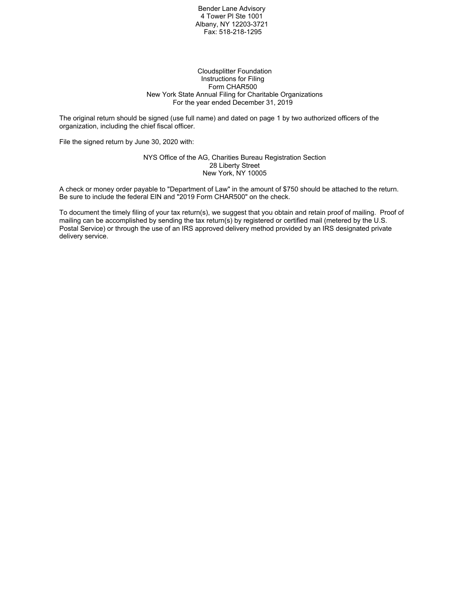Bender Lane Advisory 4 Tower Pl Ste 1001 Albany, NY 12203-3721 Fax: 518-218-1295

#### Cloudsplitter Foundation Instructions for Filing Form CHAR500 New York State Annual Filing for Charitable Organizations For the year ended December 31, 2019

The original return should be signed (use full name) and dated on page 1 by two authorized officers of the organization, including the chief fiscal officer.

File the signed return by June 30, 2020 with:

#### NYS Office of the AG, Charities Bureau Registration Section 28 Liberty Street New York, NY 10005

A check or money order payable to "Department of Law" in the amount of \$750 should be attached to the return. Be sure to include the federal EIN and "2019 Form CHAR500" on the check.

To document the timely filing of your tax return(s), we suggest that you obtain and retain proof of mailing. Proof of mailing can be accomplished by sending the tax return(s) by registered or certified mail (metered by the U.S. Postal Service) or through the use of an IRS approved delivery method provided by an IRS designated private delivery service.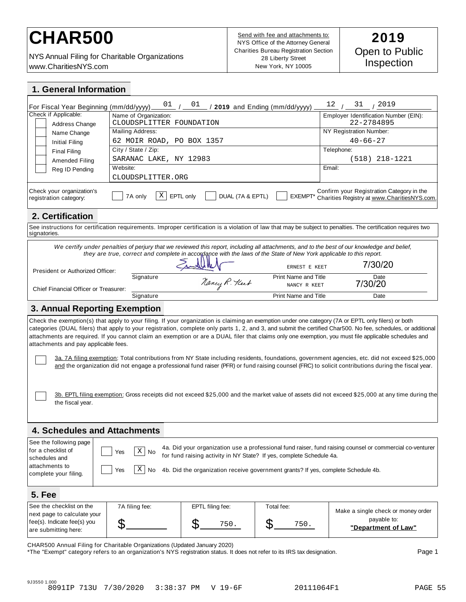# CHAR500<br>**CHAR500 Example 1** Send with fee and attachments to: 2019

NYS Annual Filing for Charitable Organizations www.CharitiesNYS.com

Send with fee and attachments to: NYS Office of the Attorney General Charities Bureau Registration Section 28 Liberty Street New York, NY 10005

| 1. General Information                                                                                                                                      |                                                                                                                     |                                                                                   |                                       |                                                                                                                                                                                                                                                                                                                                                                                                                                                                               |  |  |
|-------------------------------------------------------------------------------------------------------------------------------------------------------------|---------------------------------------------------------------------------------------------------------------------|-----------------------------------------------------------------------------------|---------------------------------------|-------------------------------------------------------------------------------------------------------------------------------------------------------------------------------------------------------------------------------------------------------------------------------------------------------------------------------------------------------------------------------------------------------------------------------------------------------------------------------|--|--|
| For Fiscal Year Beginning (mm/dd/yyyy).                                                                                                                     | $\frac{01}{1}$ / $\frac{01}{1}$                                                                                     |                                                                                   | $\sim$ / 2019 and Ending (mm/dd/yyyy) | $\frac{12}{1}$ / $\frac{31}{1}$ / 2019                                                                                                                                                                                                                                                                                                                                                                                                                                        |  |  |
| Check if Applicable:                                                                                                                                        | Name of Organization:                                                                                               |                                                                                   |                                       | Employer Identification Number (EIN):                                                                                                                                                                                                                                                                                                                                                                                                                                         |  |  |
| Address Change                                                                                                                                              | CLOUDSPLITTER FOUNDATION<br>Mailing Address:                                                                        |                                                                                   |                                       | 22-2784895<br>NY Registration Number:                                                                                                                                                                                                                                                                                                                                                                                                                                         |  |  |
| Name Change                                                                                                                                                 | 62 MOIR ROAD, PO BOX 1357                                                                                           |                                                                                   |                                       | $40 - 66 - 27$                                                                                                                                                                                                                                                                                                                                                                                                                                                                |  |  |
| Initial Filing<br><b>Final Filing</b>                                                                                                                       | City / State / Zip:                                                                                                 |                                                                                   |                                       | Telephone:                                                                                                                                                                                                                                                                                                                                                                                                                                                                    |  |  |
| Amended Filing                                                                                                                                              | SARANAC LAKE, NY 12983                                                                                              |                                                                                   |                                       | $(518)$ 218-1221                                                                                                                                                                                                                                                                                                                                                                                                                                                              |  |  |
| Reg ID Pending                                                                                                                                              | Website:                                                                                                            |                                                                                   |                                       | Email:                                                                                                                                                                                                                                                                                                                                                                                                                                                                        |  |  |
|                                                                                                                                                             | CLOUDSPLITTER.ORG                                                                                                   |                                                                                   |                                       |                                                                                                                                                                                                                                                                                                                                                                                                                                                                               |  |  |
| Check your organization's<br>registration category:                                                                                                         | Χ<br>7A only                                                                                                        | EPTL only<br>DUAL (7A & EPTL)                                                     | <b>EXEMPT*</b>                        | Confirm your Registration Category in the<br>Charities Registry at www.CharitiesNYS.com.                                                                                                                                                                                                                                                                                                                                                                                      |  |  |
| 2. Certification                                                                                                                                            |                                                                                                                     |                                                                                   |                                       |                                                                                                                                                                                                                                                                                                                                                                                                                                                                               |  |  |
|                                                                                                                                                             |                                                                                                                     |                                                                                   |                                       | See instructions for certification requirements. Improper certification is a violation of law that may be subject to penalties. The certification requires two                                                                                                                                                                                                                                                                                                                |  |  |
| signatories.                                                                                                                                                |                                                                                                                     |                                                                                   |                                       |                                                                                                                                                                                                                                                                                                                                                                                                                                                                               |  |  |
|                                                                                                                                                             | they are true, correct and complete in accordance with the laws of the State of New York applicable to this report. |                                                                                   | ERNEST E KEET                         | We certify under penalties of perjury that we reviewed this report, including all attachments, and to the best of our knowledge and belief,<br>7/30/20                                                                                                                                                                                                                                                                                                                        |  |  |
| President or Authorized Officer:                                                                                                                            | Signature                                                                                                           |                                                                                   | <b>Print Name and Title</b>           | Date                                                                                                                                                                                                                                                                                                                                                                                                                                                                          |  |  |
| Chief Financial Officer or Treasurer:                                                                                                                       |                                                                                                                     | Nancy R. Heet                                                                     | NANCY R KEET                          | 7/30/20                                                                                                                                                                                                                                                                                                                                                                                                                                                                       |  |  |
|                                                                                                                                                             | Signature                                                                                                           |                                                                                   | <b>Print Name and Title</b>           | Date                                                                                                                                                                                                                                                                                                                                                                                                                                                                          |  |  |
| 3. Annual Reporting Exemption                                                                                                                               |                                                                                                                     |                                                                                   |                                       |                                                                                                                                                                                                                                                                                                                                                                                                                                                                               |  |  |
| attachments and pay applicable fees.                                                                                                                        |                                                                                                                     |                                                                                   |                                       | Check the exemption(s) that apply to your filing. If your organization is claiming an exemption under one category (7A or EPTL only filers) or both<br>categories (DUAL filers) that apply to your registration, complete only parts 1, 2, and 3, and submit the certified Char500. No fee, schedules, or additional<br>attachments are required. If you cannot claim an exemption or are a DUAL filer that claims only one exemption, you must file applicable schedules and |  |  |
|                                                                                                                                                             |                                                                                                                     |                                                                                   |                                       | 3a. 7A filing exemption: Total contributions from NY State including residents, foundations, government agencies, etc. did not exceed \$25,000<br>and the organization did not engage a professional fund raiser (PFR) or fund raising counsel (FRC) to solicit contributions during the fiscal year.                                                                                                                                                                         |  |  |
| the fiscal year.                                                                                                                                            |                                                                                                                     |                                                                                   |                                       | 3b. EPTL filing exemption: Gross receipts did not exceed \$25,000 and the market value of assets did not exceed \$25,000 at any time during the                                                                                                                                                                                                                                                                                                                               |  |  |
| <b>4. Schedules and Attachments</b>                                                                                                                         |                                                                                                                     |                                                                                   |                                       |                                                                                                                                                                                                                                                                                                                                                                                                                                                                               |  |  |
| See the following page                                                                                                                                      |                                                                                                                     |                                                                                   |                                       |                                                                                                                                                                                                                                                                                                                                                                                                                                                                               |  |  |
| 4a. Did your organization use a professional fund raiser, fund raising counsel or commercial co-venturer<br>for a checklist of<br>$\mathbf{X}$<br>Yes<br>No |                                                                                                                     |                                                                                   |                                       |                                                                                                                                                                                                                                                                                                                                                                                                                                                                               |  |  |
| for fund raising activity in NY State? If yes, complete Schedule 4a.<br>schedules and                                                                       |                                                                                                                     |                                                                                   |                                       |                                                                                                                                                                                                                                                                                                                                                                                                                                                                               |  |  |
| attachments to<br>complete your filing.                                                                                                                     | Χ<br>Yes<br>No                                                                                                      | 4b. Did the organization receive government grants? If yes, complete Schedule 4b. |                                       |                                                                                                                                                                                                                                                                                                                                                                                                                                                                               |  |  |
| <b>5. Fee</b>                                                                                                                                               |                                                                                                                     |                                                                                   |                                       |                                                                                                                                                                                                                                                                                                                                                                                                                                                                               |  |  |
| See the checklist on the                                                                                                                                    | 7A filing fee:                                                                                                      | EPTL filing fee:                                                                  | Total fee:                            |                                                                                                                                                                                                                                                                                                                                                                                                                                                                               |  |  |
| next page to calculate your<br>fee(s). Indicate fee(s) you                                                                                                  | \$                                                                                                                  | \$<br>750.                                                                        | \$<br>750.                            | Make a single check or money order<br>payable to:<br>"Department of Law"                                                                                                                                                                                                                                                                                                                                                                                                      |  |  |
| are submitting here:                                                                                                                                        |                                                                                                                     |                                                                                   |                                       |                                                                                                                                                                                                                                                                                                                                                                                                                                                                               |  |  |

CHAR500 Annual Filing for Charitable Organizations (Updated January 2020)

\*The "Exempt" category refers to an organization's NYS registration status. It does not refer to its IRS tax designation. Page 1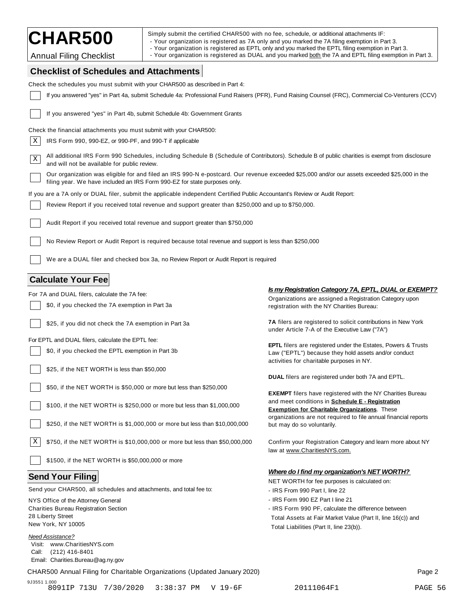CHAR500 Simply submit the certified CHAR500 with no fee, schedule, or additional attachments IF:<br>The Your organization is registered as 7A only and you marked the 7A filing exemption in Part 3.

- Your organization is registered as EPTL only and you marked the EPTL filing exemption in Part 3.

Annual Filing Checklist **Filing Checklist** and a Your organization is registered as DUAL and you marked <u>both</u> the 7A and EPTL filing exemption in Part 3.

# **Checklist of Schedules and Attachments**

| Check the schedules you must submit with your CHAR500 as described in Part 4:                                                                                                                                              |                                                                                                                                                                                      |  |  |  |
|----------------------------------------------------------------------------------------------------------------------------------------------------------------------------------------------------------------------------|--------------------------------------------------------------------------------------------------------------------------------------------------------------------------------------|--|--|--|
| If you answered "yes" in Part 4a, submit Schedule 4a: Professional Fund Raisers (PFR), Fund Raising Counsel (FRC), Commercial Co-Venturers (CCV)                                                                           |                                                                                                                                                                                      |  |  |  |
| If you answered "yes" in Part 4b, submit Schedule 4b: Government Grants                                                                                                                                                    |                                                                                                                                                                                      |  |  |  |
| Check the financial attachments you must submit with your CHAR500:                                                                                                                                                         |                                                                                                                                                                                      |  |  |  |
| X<br>IRS Form 990, 990-EZ, or 990-PF, and 990-T if applicable                                                                                                                                                              |                                                                                                                                                                                      |  |  |  |
| All additional IRS Form 990 Schedules, including Schedule B (Schedule of Contributors). Schedule B of public charities is exempt from disclosure<br>$\mathbf X$<br>and will not be available for public review.            |                                                                                                                                                                                      |  |  |  |
| Our organization was eligible for and filed an IRS 990-N e-postcard. Our revenue exceeded \$25,000 and/or our assets exceeded \$25,000 in the<br>filing year. We have included an IRS Form 990-EZ for state purposes only. |                                                                                                                                                                                      |  |  |  |
| If you are a 7A only or DUAL filer, submit the applicable independent Certified Public Accountant's Review or Audit Report:                                                                                                |                                                                                                                                                                                      |  |  |  |
| Review Report if you received total revenue and support greater than \$250,000 and up to \$750,000.                                                                                                                        |                                                                                                                                                                                      |  |  |  |
| Audit Report if you received total revenue and support greater than \$750,000                                                                                                                                              |                                                                                                                                                                                      |  |  |  |
| No Review Report or Audit Report is required because total revenue and support is less than \$250,000                                                                                                                      |                                                                                                                                                                                      |  |  |  |
| We are a DUAL filer and checked box 3a, no Review Report or Audit Report is required                                                                                                                                       |                                                                                                                                                                                      |  |  |  |
| <b>Calculate Your Fee</b>                                                                                                                                                                                                  |                                                                                                                                                                                      |  |  |  |
| For 7A and DUAL filers, calculate the 7A fee:                                                                                                                                                                              | Is my Registration Category 7A, EPTL, DUAL or EXEMPT?                                                                                                                                |  |  |  |
| \$0, if you checked the 7A exemption in Part 3a                                                                                                                                                                            | Organizations are assigned a Registration Category upon<br>registration with the NY Charities Bureau:                                                                                |  |  |  |
| \$25, if you did not check the 7A exemption in Part 3a                                                                                                                                                                     | 7A filers are registered to solicit contributions in New York<br>under Article 7-A of the Executive Law ("7A")                                                                       |  |  |  |
| For EPTL and DUAL filers, calculate the EPTL fee:                                                                                                                                                                          |                                                                                                                                                                                      |  |  |  |
| \$0, if you checked the EPTL exemption in Part 3b                                                                                                                                                                          | <b>EPTL</b> filers are registered under the Estates, Powers & Trusts<br>Law ("EPTL") because they hold assets and/or conduct<br>activities for charitable purposes in NY.            |  |  |  |
| \$25, if the NET WORTH is less than \$50,000                                                                                                                                                                               |                                                                                                                                                                                      |  |  |  |
|                                                                                                                                                                                                                            | <b>DUAL</b> filers are registered under both 7A and EPTL.                                                                                                                            |  |  |  |
| \$50, if the NET WORTH is \$50,000 or more but less than \$250,000                                                                                                                                                         |                                                                                                                                                                                      |  |  |  |
| \$100, if the NET WORTH is \$250,000 or more but less than \$1,000,000                                                                                                                                                     | <b>EXEMPT</b> filers have registered with the NY Charities Bureau<br>and meet conditions in <b>Schedule E - Registration</b><br><b>Exemption for Charitable Organizations.</b> These |  |  |  |
| \$250, if the NET WORTH is \$1,000,000 or more but less than \$10,000,000                                                                                                                                                  | organizations are not required to file annual financial reports<br>but may do so voluntarily.                                                                                        |  |  |  |
| X<br>\$750, if the NET WORTH is \$10,000,000 or more but less than \$50,000,000                                                                                                                                            | Confirm your Registration Category and learn more about NY<br>law at www.CharitiesNYS.com.                                                                                           |  |  |  |
| \$1500, if the NET WORTH is \$50,000,000 or more                                                                                                                                                                           |                                                                                                                                                                                      |  |  |  |
|                                                                                                                                                                                                                            | <b>Where do I find my organization's NET WORTH?</b>                                                                                                                                  |  |  |  |
| <b>Send Your Filing</b>                                                                                                                                                                                                    | NET WORTH for fee purposes is calculated on:                                                                                                                                         |  |  |  |
| Send your CHAR500, all schedules and attachments, and total fee to:                                                                                                                                                        | - IRS From 990 Part I, line 22                                                                                                                                                       |  |  |  |
| NYS Office of the Attorney General                                                                                                                                                                                         | - IRS Form 990 EZ Part I line 21                                                                                                                                                     |  |  |  |
| <b>Charities Bureau Registration Section</b>                                                                                                                                                                               | - IRS Form 990 PF, calculate the difference between                                                                                                                                  |  |  |  |
| 28 Liberty Street                                                                                                                                                                                                          | Total Assets at Fair Market Value (Part II, line 16(c)) and                                                                                                                          |  |  |  |
| New York, NY 10005                                                                                                                                                                                                         | Total Liabilities (Part II, line 23(b)).                                                                                                                                             |  |  |  |
| <b>Need Assistance?</b><br>Visit: www.CharitiesNYS.com<br>(212) 416-8401<br>Call:<br>Email: Charities.Bureau@ag.ny.gov                                                                                                     |                                                                                                                                                                                      |  |  |  |
| CHAR500 Annual Filing for Charitable Organizations (Updated January 2020)                                                                                                                                                  | Page 2                                                                                                                                                                               |  |  |  |

9J3551 1.000 8091IP 713U 7/30/2020 3:38:37 PM V 19-6F 20111064F1 PAGE 56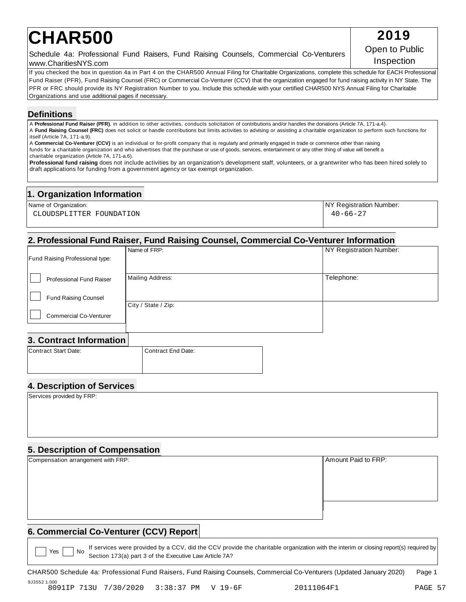# **CHAR500** 2019

Schedule 4a: Professional Fund Raisers, Fund Raising Counsels, Commercial Co-Venturers [Copert to Flub<br>Inspection www.CharitiesNYS.com

If you checked the box in question 4a in Part 4 on the CHAR500 Annual Filing for Charitable Organizations, complete this schedule for EACH Professional Fund Raiser (PFR), Fund Raising Counsel (FRC) or Commercial Co-Venturer (CCV) that the organization engaged for fund raising activity in NY State. The PFR or FRC should provide its NY Registration Number to you. Include this schedule with your certified CHAR500 NYS Annual Filing for Charitable Organizations and use additional pages if necessary.

# **Definitions**

A **Professional Fund Raiser (PFR)**, in addition to other activities, conducts solicitation of contributions and/or handles the donations (Article 7A, 171-a.4). A **Fund Raising Counsel (FRC)** does not solicit or handle contributions but limits activities to advising or assisting a charitable organization to perform such functions for itself (Article 7A, 171-a.9).

A **Commercial Co-Venturer (CCV)** is an individual or for-profit company that is regularly and primarily engaged in trade or commerce other than raising funds for a charitable organization and who advertises that the purchase or use of goods, services, entertainment or any other thing of value will benefit a charitable organization (Article 7A, 171-a.6).

**Professional fund raising** does not include activities by an organization's development staff, volunteers, or a grantwriter who has been hired solely to draft applications for funding from a government agency or tax exempt organization.

# **1. Organization Information**

| Name of Organization:    | NY Registration Number: |
|--------------------------|-------------------------|
| CLOUDSPLITTER FOUNDATION | $40 - 66 - 27$          |
|                          |                         |

# **2. Professional Fund Raiser, Fund Raising Counsel, Commercial Co-Venturer Information**

|                                        | Name of FRP:        | NY Registration Number: |
|----------------------------------------|---------------------|-------------------------|
| <b>Fund Raising Professional type:</b> |                     |                         |
|                                        | Mailing Address:    | Telephone:              |
| Professional Fund Raiser               |                     |                         |
| <b>Fund Raising Counsel</b>            |                     |                         |
|                                        | City / State / Zip: |                         |
| <b>Commercial Co-Venturer</b>          |                     |                         |
|                                        |                     |                         |
|                                        |                     |                         |

# **3. Contract Information**

| Contract Start Date: | Contract End Date: |
|----------------------|--------------------|
|                      |                    |
|                      |                    |

# **4. Description of Services**

Services provided by FRP:

# **5. Description of Compensation**

| Compensation arrangement with FRP: | Amount Paid to FRP: |
|------------------------------------|---------------------|
|                                    |                     |
|                                    |                     |
|                                    |                     |
|                                    |                     |
|                                    |                     |
|                                    |                     |

# **6. Commercial Co-Venturer (CCV) Report**

If services were provided by a CCV, did the CCV provide the charitable organization with the interim or closing report(s) required by Section 173(a) part 3 of the Executive Law Article 7A?  $Yes \t\t\t No \t\t \frac{1}{SG}$ The Samuel CHAR500 Schedule 4a: Professional Fund Raisers, Fund Raising Counsels, Commercial Co-Venturers (Updated January 2020) Page 1

9J3552 1.000